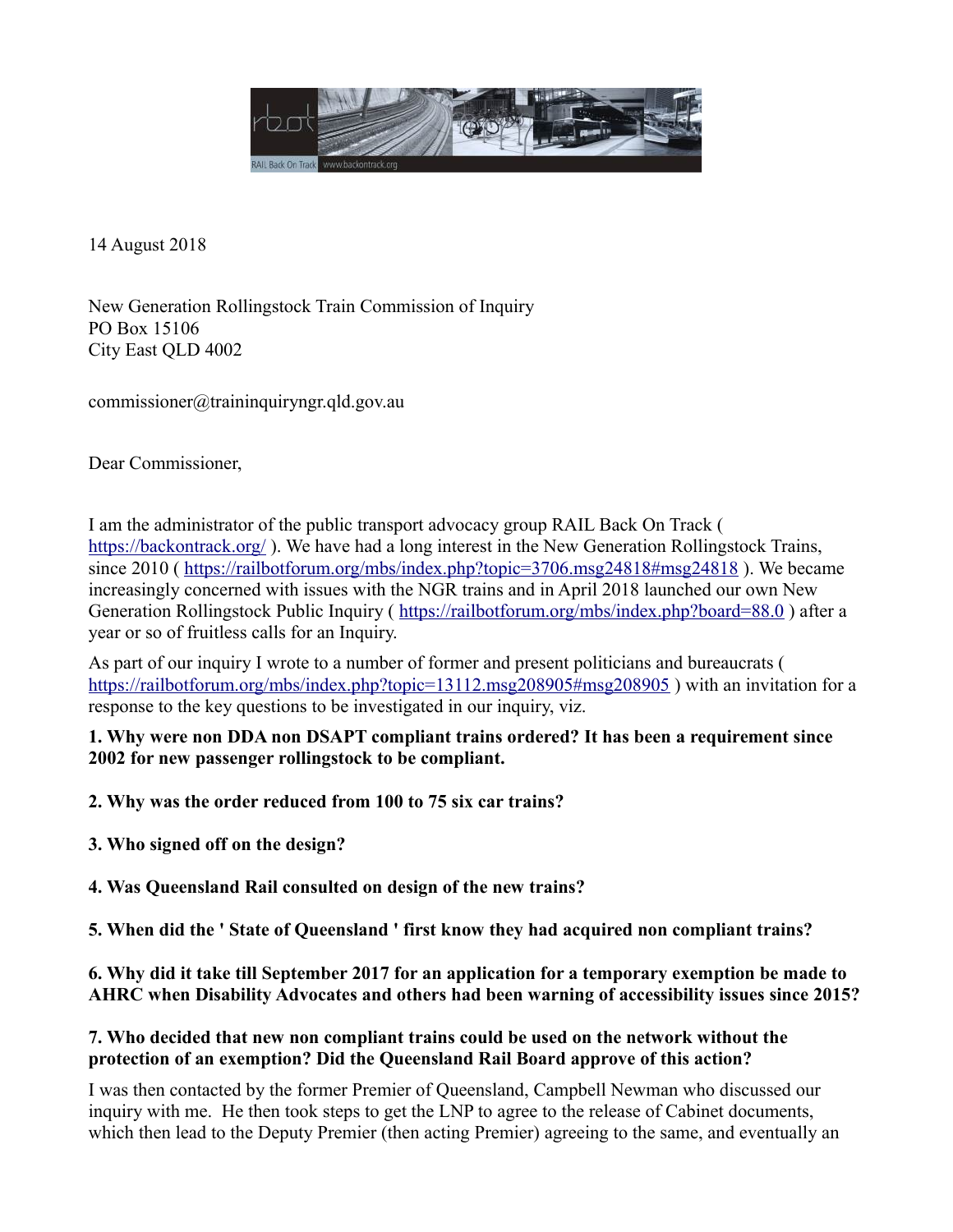

14 August 2018

New Generation Rollingstock Train Commission of Inquiry PO Box 15106 City East QLD 4002

commissioner@traininquiryngr.qld.gov.au

Dear Commissioner,

I am the administrator of the public transport advocacy group RAIL Back On Track ( <https://backontrack.org/>). We have had a long interest in the New Generation Rollingstock Trains, since 2010 (<https://railbotforum.org/mbs/index.php?topic=3706.msg24818#msg24818>). We became increasingly concerned with issues with the NGR trains and in April 2018 launched our own New Generation Rollingstock Public Inquiry (<https://railbotforum.org/mbs/index.php?board=88.0>) after a year or so of fruitless calls for an Inquiry.

As part of our inquiry I wrote to a number of former and present politicians and bureaucrats ( <https://railbotforum.org/mbs/index.php?topic=13112.msg208905#msg208905>) with an invitation for a response to the key questions to be investigated in our inquiry, viz.

**1. Why were non DDA non DSAPT compliant trains ordered? It has been a requirement since 2002 for new passenger rollingstock to be compliant.**

**2. Why was the order reduced from 100 to 75 six car trains?**

**3. Who signed off on the design?**

**4. Was Queensland Rail consulted on design of the new trains?**

**5. When did the ' State of Queensland ' first know they had acquired non compliant trains?**

**6. Why did it take till September 2017 for an application for a temporary exemption be made to AHRC when Disability Advocates and others had been warning of accessibility issues since 2015?**

# **7. Who decided that new non compliant trains could be used on the network without the protection of an exemption? Did the Queensland Rail Board approve of this action?**

I was then contacted by the former Premier of Queensland, Campbell Newman who discussed our inquiry with me. He then took steps to get the LNP to agree to the release of Cabinet documents, which then lead to the Deputy Premier (then acting Premier) agreeing to the same, and eventually an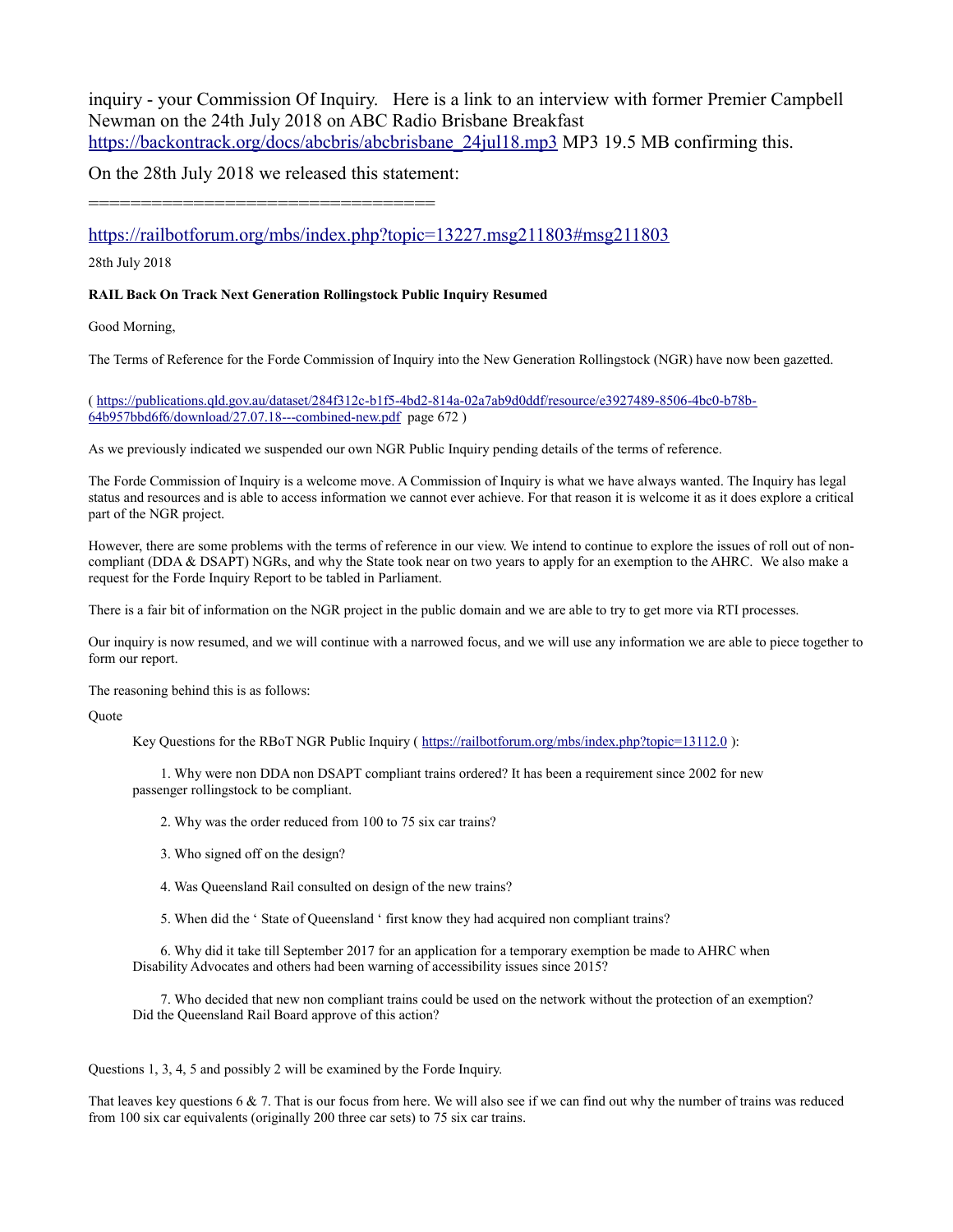inquiry - your Commission Of Inquiry. Here is a link to an interview with former Premier Campbell Newman on the 24th July 2018 on ABC Radio Brisbane Breakfast [https://backontrack.org/docs/abcbris/abcbrisbane\\_24jul18.mp3](https://backontrack.org/docs/abcbris/abcbrisbane_24jul18.mp3) MP3 19.5 MB confirming this.

On the 28th July 2018 we released this statement:

=================================

<https://railbotforum.org/mbs/index.php?topic=13227.msg211803#msg211803>

28th July 2018

#### **RAIL Back On Track Next Generation Rollingstock Public Inquiry Resumed**

Good Morning,

The Terms of Reference for the Forde Commission of Inquiry into the New Generation Rollingstock (NGR) have now been gazetted.

( [https://publications.qld.gov.au/dataset/284f312c-b1f5-4bd2-814a-02a7ab9d0ddf/resource/e3927489-8506-4bc0-b78b-](https://publications.qld.gov.au/dataset/284f312c-b1f5-4bd2-814a-02a7ab9d0ddf/resource/e3927489-8506-4bc0-b78b-64b957bbd6f6/download/27.07.18---combined-new.pdf)[64b957bbd6f6/download/27.07.18---combined-new.pdf](https://publications.qld.gov.au/dataset/284f312c-b1f5-4bd2-814a-02a7ab9d0ddf/resource/e3927489-8506-4bc0-b78b-64b957bbd6f6/download/27.07.18---combined-new.pdf) page 672 )

As we previously indicated we suspended our own NGR Public Inquiry pending details of the terms of reference.

The Forde Commission of Inquiry is a welcome move. A Commission of Inquiry is what we have always wanted. The Inquiry has legal status and resources and is able to access information we cannot ever achieve. For that reason it is welcome it as it does explore a critical part of the NGR project.

However, there are some problems with the terms of reference in our view. We intend to continue to explore the issues of roll out of noncompliant (DDA & DSAPT) NGRs, and why the State took near on two years to apply for an exemption to the AHRC. We also make a request for the Forde Inquiry Report to be tabled in Parliament.

There is a fair bit of information on the NGR project in the public domain and we are able to try to get more via RTI processes.

Our inquiry is now resumed, and we will continue with a narrowed focus, and we will use any information we are able to piece together to form our report.

The reasoning behind this is as follows:

**Quote** 

Key Questions for the RBoT NGR Public Inquiry (<https://railbotforum.org/mbs/index.php?topic=13112.0>):

 1. Why were non DDA non DSAPT compliant trains ordered? It has been a requirement since 2002 for new passenger rollingstock to be compliant.

2. Why was the order reduced from 100 to 75 six car trains?

- 3. Who signed off on the design?
- 4. Was Queensland Rail consulted on design of the new trains?
- 5. When did the ' State of Queensland ' first know they had acquired non compliant trains?

 6. Why did it take till September 2017 for an application for a temporary exemption be made to AHRC when Disability Advocates and others had been warning of accessibility issues since 2015?

 7. Who decided that new non compliant trains could be used on the network without the protection of an exemption? Did the Queensland Rail Board approve of this action?

Questions 1, 3, 4, 5 and possibly 2 will be examined by the Forde Inquiry.

That leaves key questions  $6 \& 7$ . That is our focus from here. We will also see if we can find out why the number of trains was reduced from 100 six car equivalents (originally 200 three car sets) to 75 six car trains.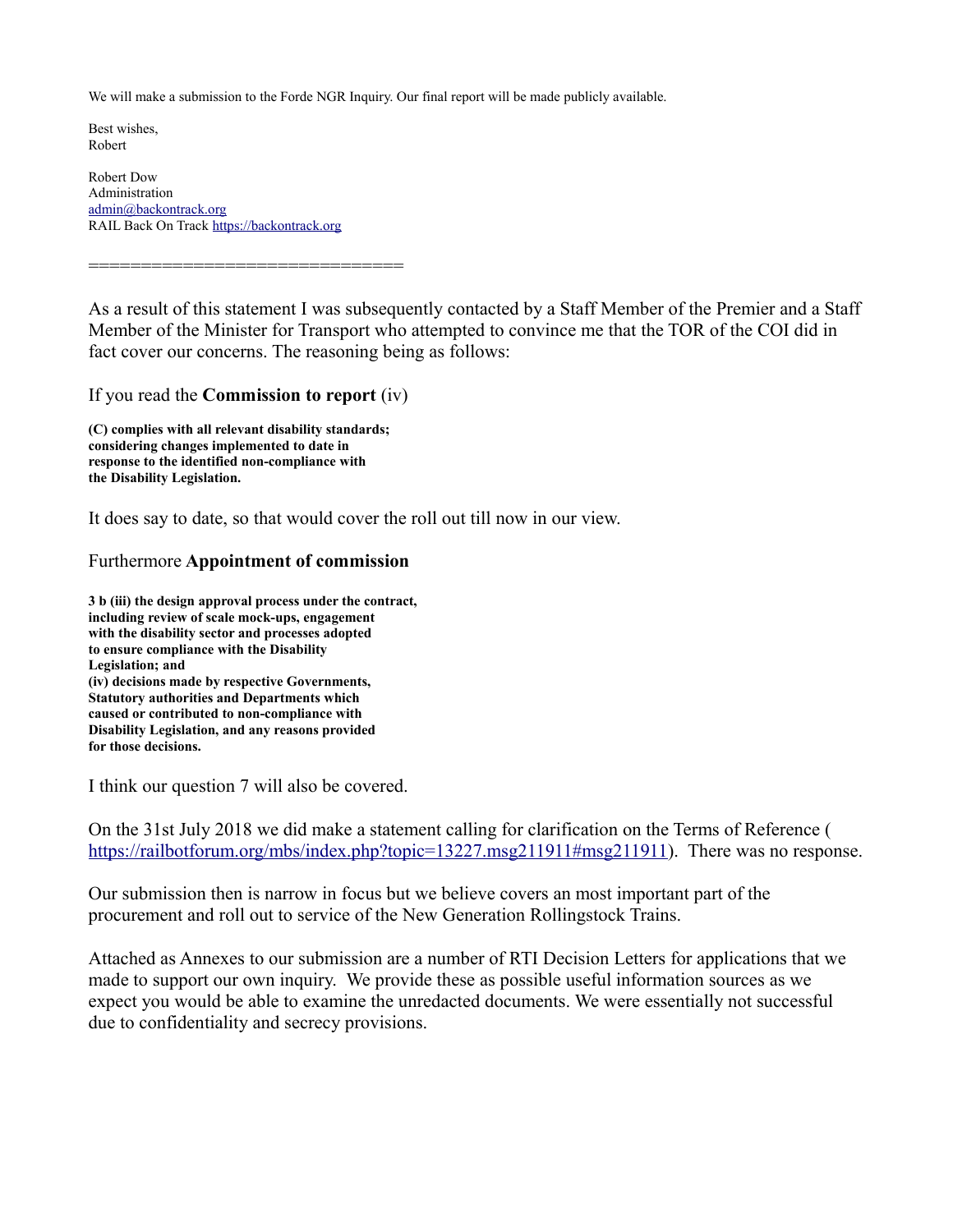We will make a submission to the Forde NGR Inquiry. Our final report will be made publicly available.

Best wishes, Robert

Robert Dow Administration [admin@backontrack.org](mailto:admin@backontrack.org) RAIL Back On Track [https://backontrack.org](https://backontrack.org/)

As a result of this statement I was subsequently contacted by a Staff Member of the Premier and a Staff Member of the Minister for Transport who attempted to convince me that the TOR of the COI did in fact cover our concerns. The reasoning being as follows:

#### If you read the **Commission to report** (iv)

==============================

**(C) complies with all relevant disability standards; considering changes implemented to date in response to the identified non-compliance with the Disability Legislation.**

It does say to date, so that would cover the roll out till now in our view.

## Furthermore **Appointment of commission**

**3 b (iii) the design approval process under the contract, including review of scale mock-ups, engagement with the disability sector and processes adopted to ensure compliance with the Disability Legislation; and (iv) decisions made by respective Governments, Statutory authorities and Departments which caused or contributed to non-compliance with Disability Legislation, and any reasons provided for those decisions.**

I think our question 7 will also be covered.

On the 31st July 2018 we did make a statement calling for clarification on the Terms of Reference ( [https://railbotforum.org/mbs/index.php?topic=13227.msg211911#msg211911\)](https://railbotforum.org/mbs/index.php?topic=13227.msg211911#msg211911). There was no response.

Our submission then is narrow in focus but we believe covers an most important part of the procurement and roll out to service of the New Generation Rollingstock Trains.

Attached as Annexes to our submission are a number of RTI Decision Letters for applications that we made to support our own inquiry. We provide these as possible useful information sources as we expect you would be able to examine the unredacted documents. We were essentially not successful due to confidentiality and secrecy provisions.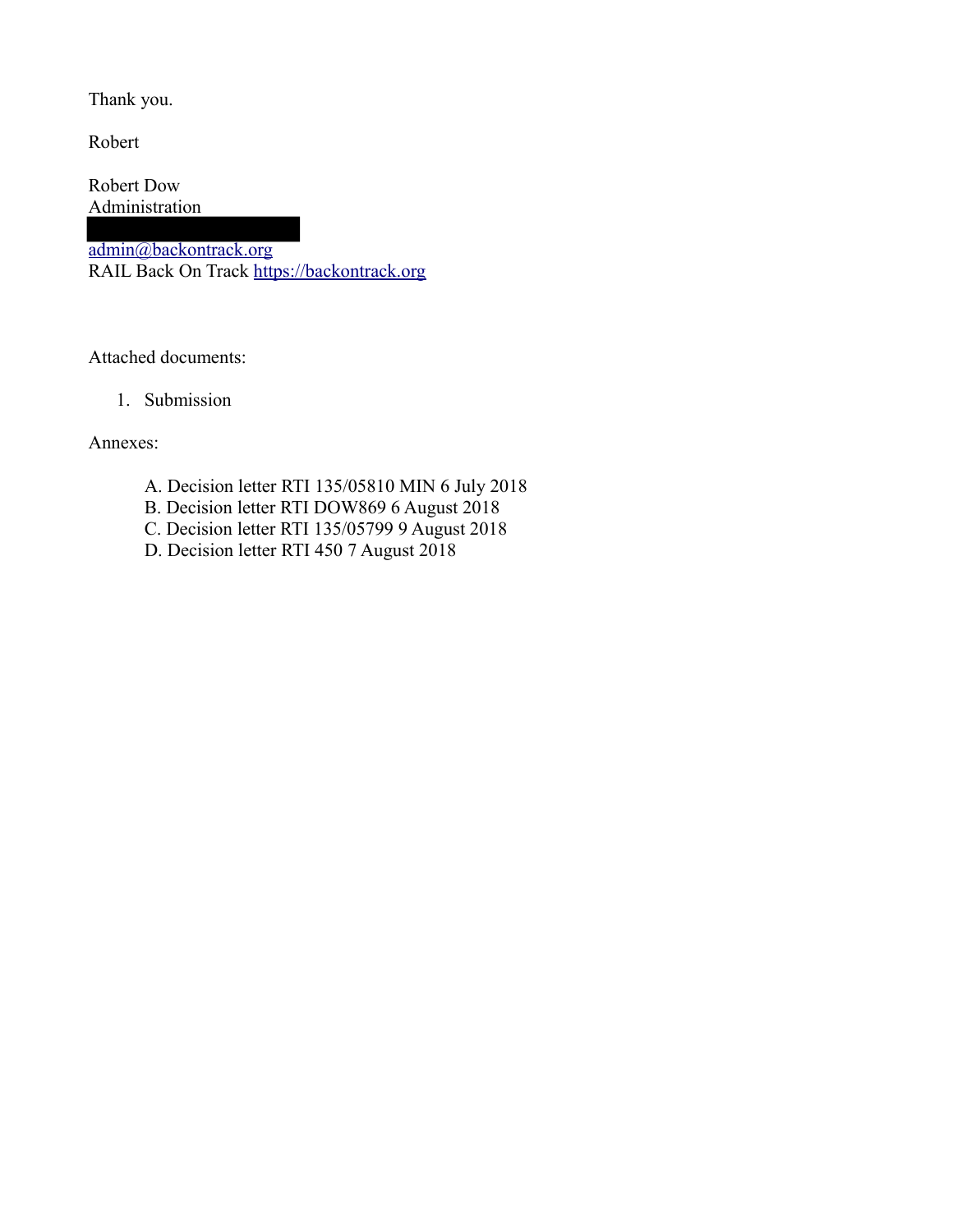Thank you.

Robert

Robert Dow Administration

admin@backontrack.org RAIL Back On Track [https://backontrack.org](https://backontrack.org/)

Attached documents:

1. Submission

Annexes:

- A. Decision letter RTI 135/05810 MIN 6 July 2018
- B. Decision letter RTI DOW869 6 August 2018
- C. Decision letter RTI 135/05799 9 August 2018
- D. Decision letter RTI 450 7 August 2018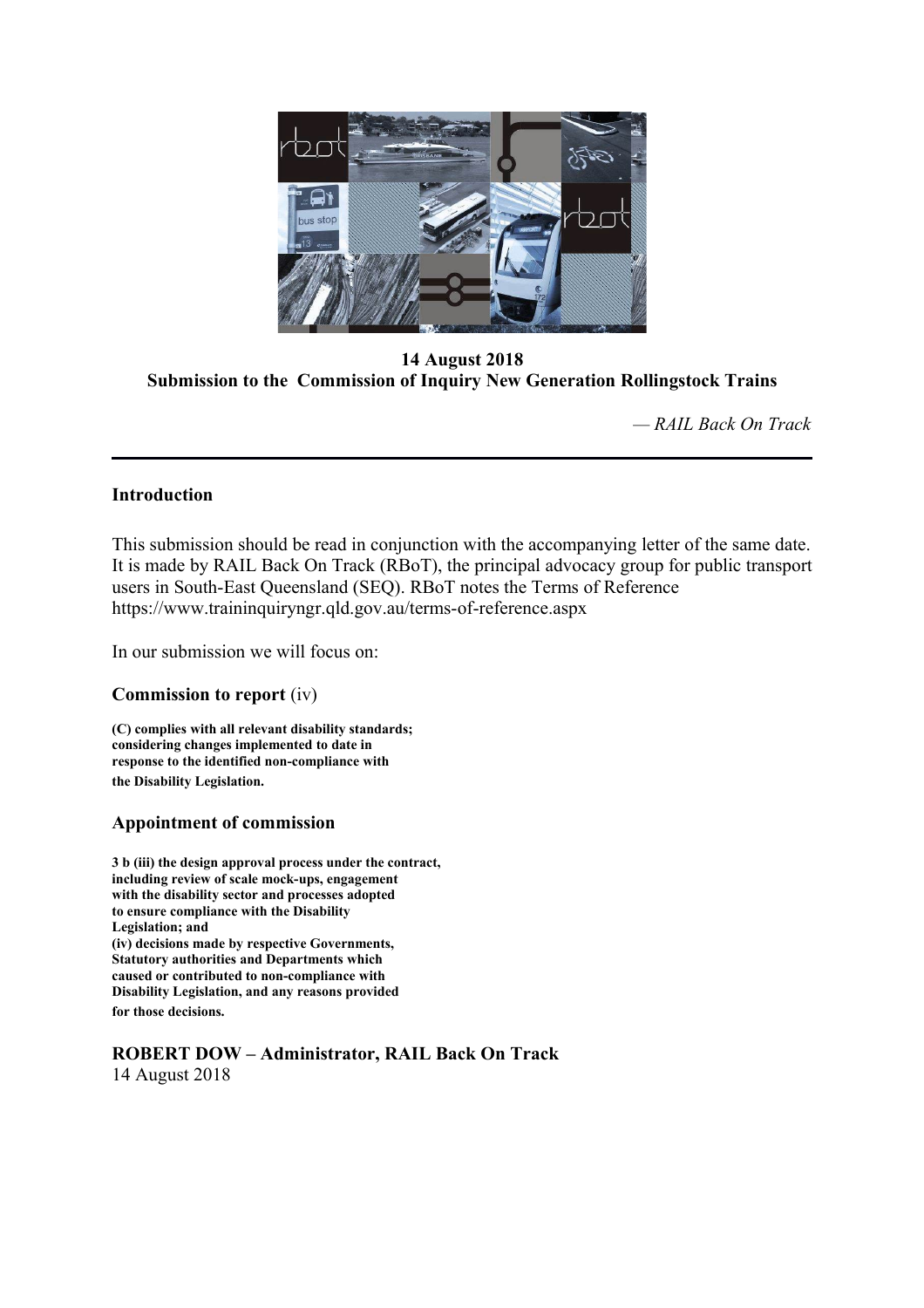

**14 August 2018 Submission to the Commission of Inquiry New Generation Rollingstock Trains**

*— RAIL Back On Track*

# **Introduction**

This submission should be read in conjunction with the accompanying letter of the same date. It is made by RAIL Back On Track (RBoT), the principal advocacy group for public transport users in South-East Queensland (SEQ). RBoT notes the Terms of Reference https://www.traininquiryngr.qld.gov.au/terms-of-reference.aspx

In our submission we will focus on:

## **Commission to report** (iv)

**(C) complies with all relevant disability standards; considering changes implemented to date in response to the identified non-compliance with the Disability Legislation.**

# **Appointment of commission**

**3 b (iii) the design approval process under the contract, including review of scale mock-ups, engagement with the disability sector and processes adopted to ensure compliance with the Disability Legislation; and (iv) decisions made by respective Governments, Statutory authorities and Departments which caused or contributed to non-compliance with Disability Legislation, and any reasons provided for those decisions.**

**ROBERT DOW – Administrator, RAIL Back On Track** 14 August 2018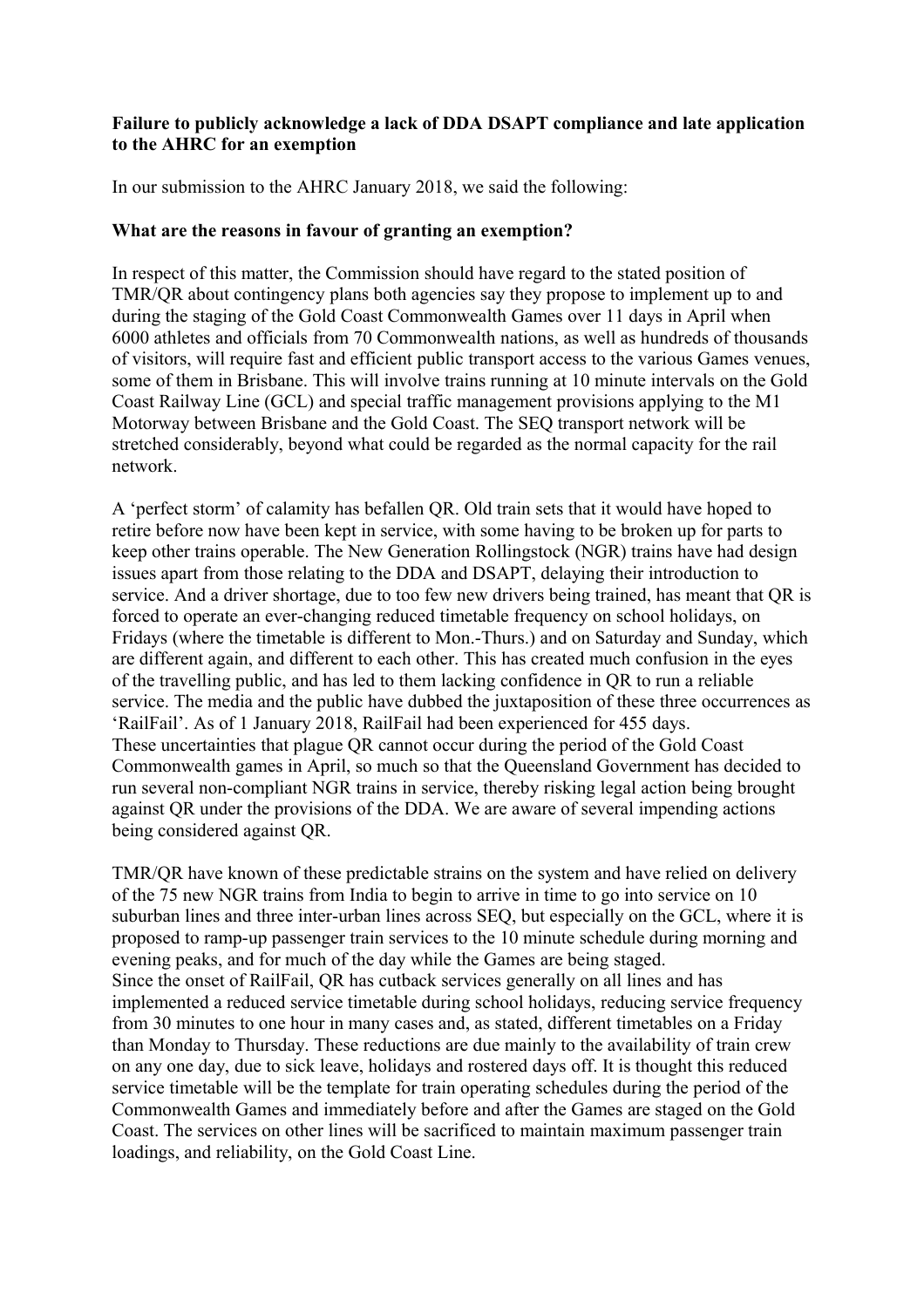# **Failure to publicly acknowledge a lack of DDA DSAPT compliance and late application to the AHRC for an exemption**

In our submission to the AHRC January 2018, we said the following:

## **What are the reasons in favour of granting an exemption?**

In respect of this matter, the Commission should have regard to the stated position of TMR/QR about contingency plans both agencies say they propose to implement up to and during the staging of the Gold Coast Commonwealth Games over 11 days in April when 6000 athletes and officials from 70 Commonwealth nations, as well as hundreds of thousands of visitors, will require fast and efficient public transport access to the various Games venues, some of them in Brisbane. This will involve trains running at 10 minute intervals on the Gold Coast Railway Line (GCL) and special traffic management provisions applying to the M1 Motorway between Brisbane and the Gold Coast. The SEQ transport network will be stretched considerably, beyond what could be regarded as the normal capacity for the rail network.

A 'perfect storm' of calamity has befallen QR. Old train sets that it would have hoped to retire before now have been kept in service, with some having to be broken up for parts to keep other trains operable. The New Generation Rollingstock (NGR) trains have had design issues apart from those relating to the DDA and DSAPT, delaying their introduction to service. And a driver shortage, due to too few new drivers being trained, has meant that QR is forced to operate an ever-changing reduced timetable frequency on school holidays, on Fridays (where the timetable is different to Mon.-Thurs.) and on Saturday and Sunday, which are different again, and different to each other. This has created much confusion in the eyes of the travelling public, and has led to them lacking confidence in QR to run a reliable service. The media and the public have dubbed the juxtaposition of these three occurrences as 'RailFail'. As of 1 January 2018, RailFail had been experienced for 455 days. These uncertainties that plague QR cannot occur during the period of the Gold Coast Commonwealth games in April, so much so that the Queensland Government has decided to run several non-compliant NGR trains in service, thereby risking legal action being brought against QR under the provisions of the DDA. We are aware of several impending actions being considered against QR.

TMR/QR have known of these predictable strains on the system and have relied on delivery of the 75 new NGR trains from India to begin to arrive in time to go into service on 10 suburban lines and three inter-urban lines across SEQ, but especially on the GCL, where it is proposed to ramp-up passenger train services to the 10 minute schedule during morning and evening peaks, and for much of the day while the Games are being staged. Since the onset of RailFail, QR has cutback services generally on all lines and has implemented a reduced service timetable during school holidays, reducing service frequency from 30 minutes to one hour in many cases and, as stated, different timetables on a Friday than Monday to Thursday. These reductions are due mainly to the availability of train crew on any one day, due to sick leave, holidays and rostered days off. It is thought this reduced service timetable will be the template for train operating schedules during the period of the Commonwealth Games and immediately before and after the Games are staged on the Gold Coast. The services on other lines will be sacrificed to maintain maximum passenger train loadings, and reliability, on the Gold Coast Line.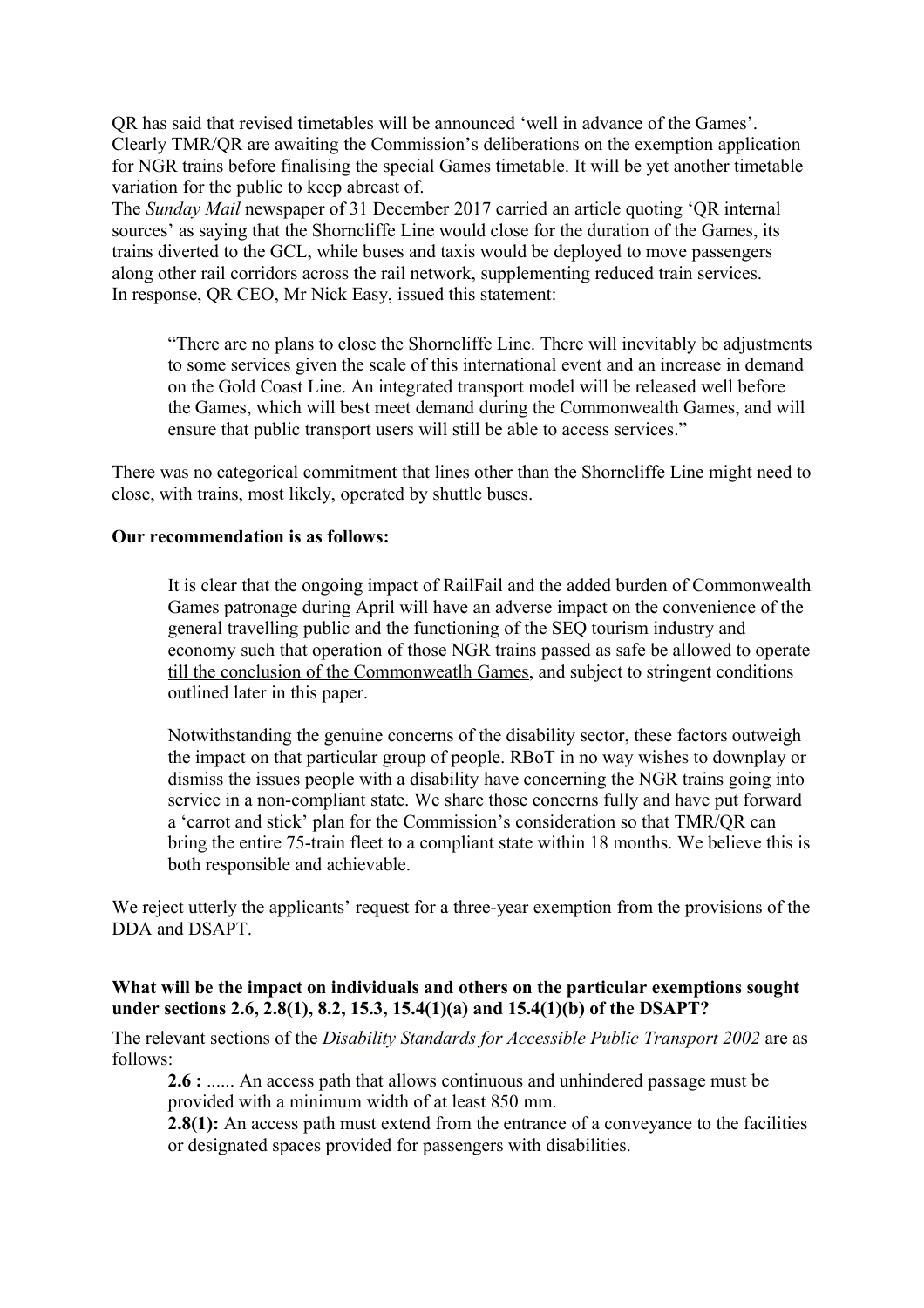QR has said that revised timetables will be announced 'well in advance of the Games'. Clearly TMR/QR are awaiting the Commission's deliberations on the exemption application for NGR trains before finalising the special Games timetable. It will be yet another timetable variation for the public to keep abreast of.

The *Sunday Mail* newspaper of 31 December 2017 carried an article quoting 'QR internal sources' as saying that the Shorncliffe Line would close for the duration of the Games, its trains diverted to the GCL, while buses and taxis would be deployed to move passengers along other rail corridors across the rail network, supplementing reduced train services. In response, QR CEO, Mr Nick Easy, issued this statement:

"There are no plans to close the Shorncliffe Line. There will inevitably be adjustments to some services given the scale of this international event and an increase in demand on the Gold Coast Line. An integrated transport model will be released well before the Games, which will best meet demand during the Commonwealth Games, and will ensure that public transport users will still be able to access services."

There was no categorical commitment that lines other than the Shorncliffe Line might need to close, with trains, most likely, operated by shuttle buses.

#### **Our recommendation is as follows:**

It is clear that the ongoing impact of RailFail and the added burden of Commonwealth Games patronage during April will have an adverse impact on the convenience of the general travelling public and the functioning of the SEQ tourism industry and economy such that operation of those NGR trains passed as safe be allowed to operate till the conclusion of the Commonweatlh Games, and subject to stringent conditions outlined later in this paper.

Notwithstanding the genuine concerns of the disability sector, these factors outweigh the impact on that particular group of people. RBoT in no way wishes to downplay or dismiss the issues people with a disability have concerning the NGR trains going into service in a non-compliant state. We share those concerns fully and have put forward a 'carrot and stick' plan for the Commission's consideration so that TMR/QR can bring the entire 75-train fleet to a compliant state within 18 months. We believe this is both responsible and achievable.

We reject utterly the applicants' request for a three-year exemption from the provisions of the DDA and DSAPT.

## **What will be the impact on individuals and others on the particular exemptions sought under sections 2.6, 2.8(1), 8.2, 15.3, 15.4(1)(a) and 15.4(1)(b) of the DSAPT?**

The relevant sections of the *[Disability Standards for Accessible Public Transport 2002](https://www.legislation.gov.au/Details/F2011C00213)* are as follows:

**2.6 :** ...... An access path that allows continuous and unhindered passage must be provided with a minimum width of at least 850 mm.

**2.8(1):** An access path must extend from the entrance of a conveyance to the facilities or designated spaces provided for passengers with disabilities.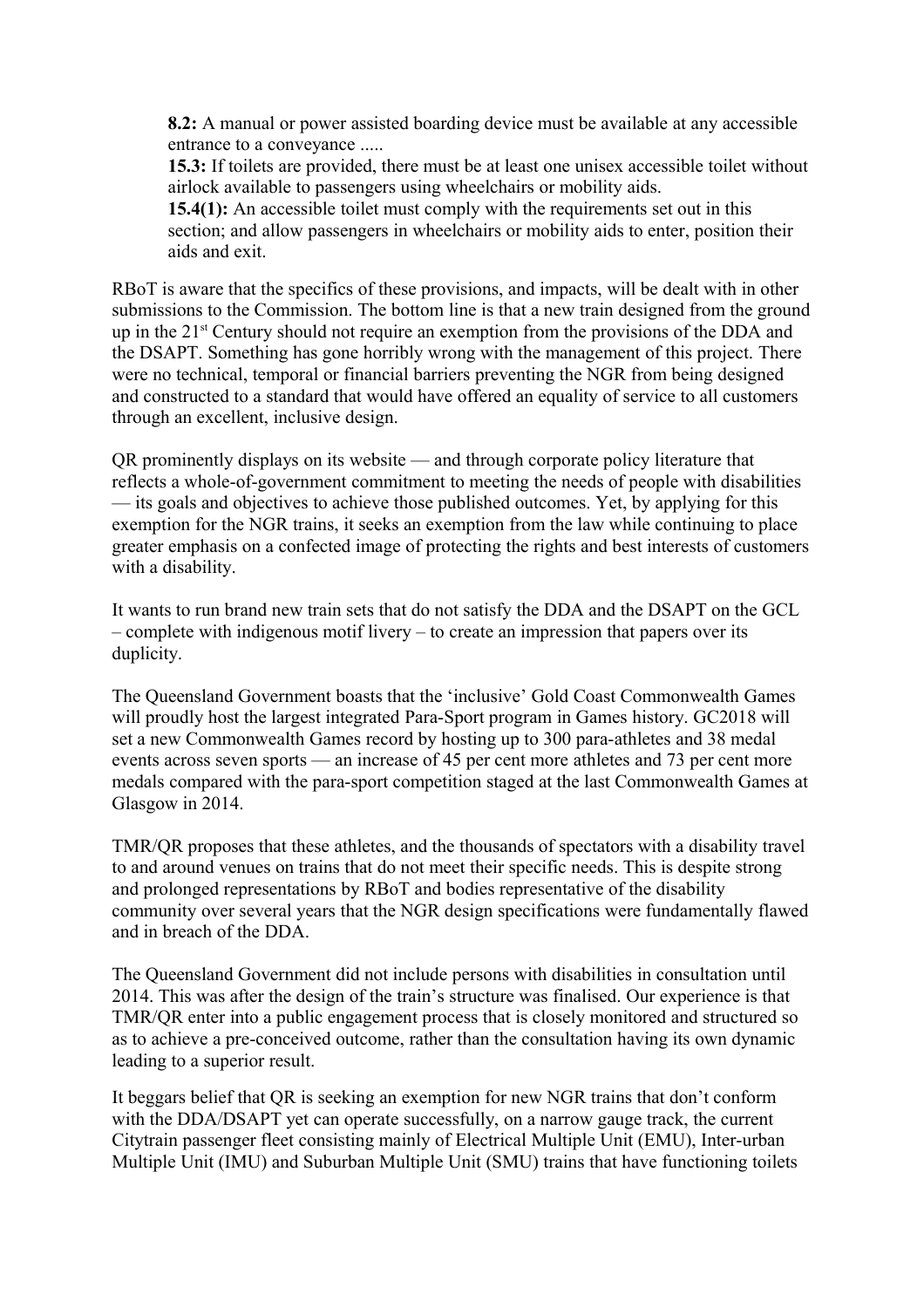**8.2:** A manual or power assisted boarding device must be available at any accessible entrance to a conveyance .....

**15.3:** If toilets are provided, there must be at least one unisex accessible toilet without airlock available to passengers using wheelchairs or mobility aids.

**15.4(1):** An accessible toilet must comply with the requirements set out in this section; and allow passengers in wheelchairs or mobility aids to enter, position their aids and exit.

RBoT is aware that the specifics of these provisions, and impacts, will be dealt with in other submissions to the Commission. The bottom line is that a new train designed from the ground up in the 21<sup>st</sup> Century should not require an exemption from the provisions of the DDA and the DSAPT. Something has gone horribly wrong with the management of this project. There were no technical, temporal or financial barriers preventing the NGR from being designed and constructed to a standard that would have offered an equality of service to all customers through an excellent, inclusive design.

QR prominently displays on its website — and through corporate policy literature that reflects a whole-of-government commitment to meeting the needs of people with disabilities — its goals and objectives to achieve those published outcomes. Yet, by applying for this exemption for the NGR trains, it seeks an exemption from the law while continuing to place greater emphasis on a confected image of protecting the rights and best interests of customers with a disability.

It wants to run brand new train sets that do not satisfy the DDA and the DSAPT on the GCL – complete with indigenous motif livery – to create an impression that papers over its duplicity.

The Queensland Government boasts that the 'inclusive' Gold Coast Commonwealth Games will proudly host the largest integrated Para-Sport program in Games history. GC2018 will set a new Commonwealth Games record by hosting up to 300 para-athletes and 38 medal events across seven sports — an increase of 45 per cent more athletes and 73 per cent more medals compared with the para-sport competition staged at the last Commonwealth Games at Glasgow in 2014.

TMR/QR proposes that these athletes, and the thousands of spectators with a disability travel to and around venues on trains that do not meet their specific needs. This is despite strong and prolonged representations by RBoT and bodies representative of the disability community over several years that the NGR design specifications were fundamentally flawed and in breach of the DDA.

The Queensland Government did not include persons with disabilities in consultation until 2014. This was after the design of the train's structure was finalised. Our experience is that TMR/QR enter into a public engagement process that is closely monitored and structured so as to achieve a pre-conceived outcome, rather than the consultation having its own dynamic leading to a superior result.

It beggars belief that QR is seeking an exemption for new NGR trains that don't conform with the DDA/DSAPT yet can operate successfully, on a narrow gauge track, the current Citytrain passenger fleet consisting mainly of Electrical Multiple Unit (EMU), Inter-urban Multiple Unit (IMU) and Suburban Multiple Unit (SMU) trains that have functioning toilets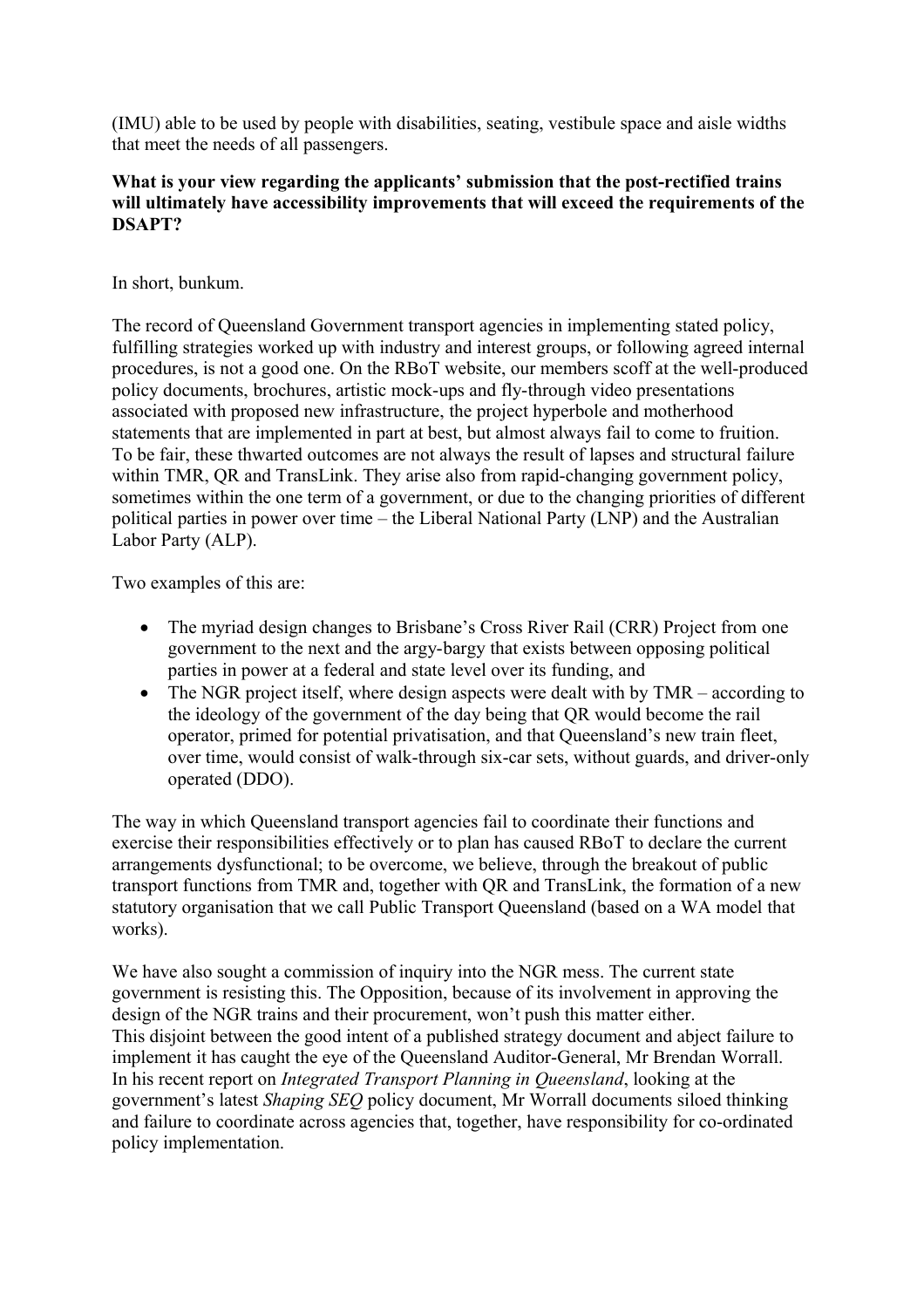(IMU) able to be used by people with disabilities, seating, vestibule space and aisle widths that meet the needs of all passengers.

# **What is your view regarding the applicants' submission that the post-rectified trains will ultimately have accessibility improvements that will exceed the requirements of the DSAPT?**

In short, bunkum.

The record of Queensland Government transport agencies in implementing stated policy, fulfilling strategies worked up with industry and interest groups, or following agreed internal procedures, is not a good one. On the RBoT website, our members scoff at the well-produced policy documents, brochures, artistic mock-ups and fly-through video presentations associated with proposed new infrastructure, the project hyperbole and motherhood statements that are implemented in part at best, but almost always fail to come to fruition. To be fair, these thwarted outcomes are not always the result of lapses and structural failure within TMR, QR and TransLink. They arise also from rapid-changing government policy, sometimes within the one term of a government, or due to the changing priorities of different political parties in power over time – the Liberal National Party (LNP) and the Australian Labor Party (ALP).

Two examples of this are:

- The myriad design changes to Brisbane's Cross River Rail (CRR) Project from one government to the next and the argy-bargy that exists between opposing political parties in power at a federal and state level over its funding, and
- $\bullet$  The NGR project itself, where design aspects were dealt with by TMR according to the ideology of the government of the day being that QR would become the rail operator, primed for potential privatisation, and that Queensland's new train fleet, over time, would consist of walk-through six-car sets, without guards, and driver-only operated (DDO).

The way in which Queensland transport agencies fail to coordinate their functions and exercise their responsibilities effectively or to plan has caused RBoT to declare the current arrangements dysfunctional; to be overcome, we believe, through the breakout of public transport functions from TMR and, together with QR and TransLink, the formation of a new statutory organisation that we call Public Transport Queensland (based on a WA model that works).

We have also sought a commission of inquiry into the NGR mess. The current state government is resisting this. The Opposition, because of its involvement in approving the design of the NGR trains and their procurement, won't push this matter either. This disjoint between the good intent of a published strategy document and abject failure to implement it has caught the eye of the Queensland Auditor-General, Mr Brendan Worrall. In his recent report on *Integrated Transport Planning in Queensland*, looking at the government's latest *Shaping SEQ* policy document, Mr Worrall documents siloed thinking and failure to coordinate across agencies that, together, have responsibility for co-ordinated policy implementation.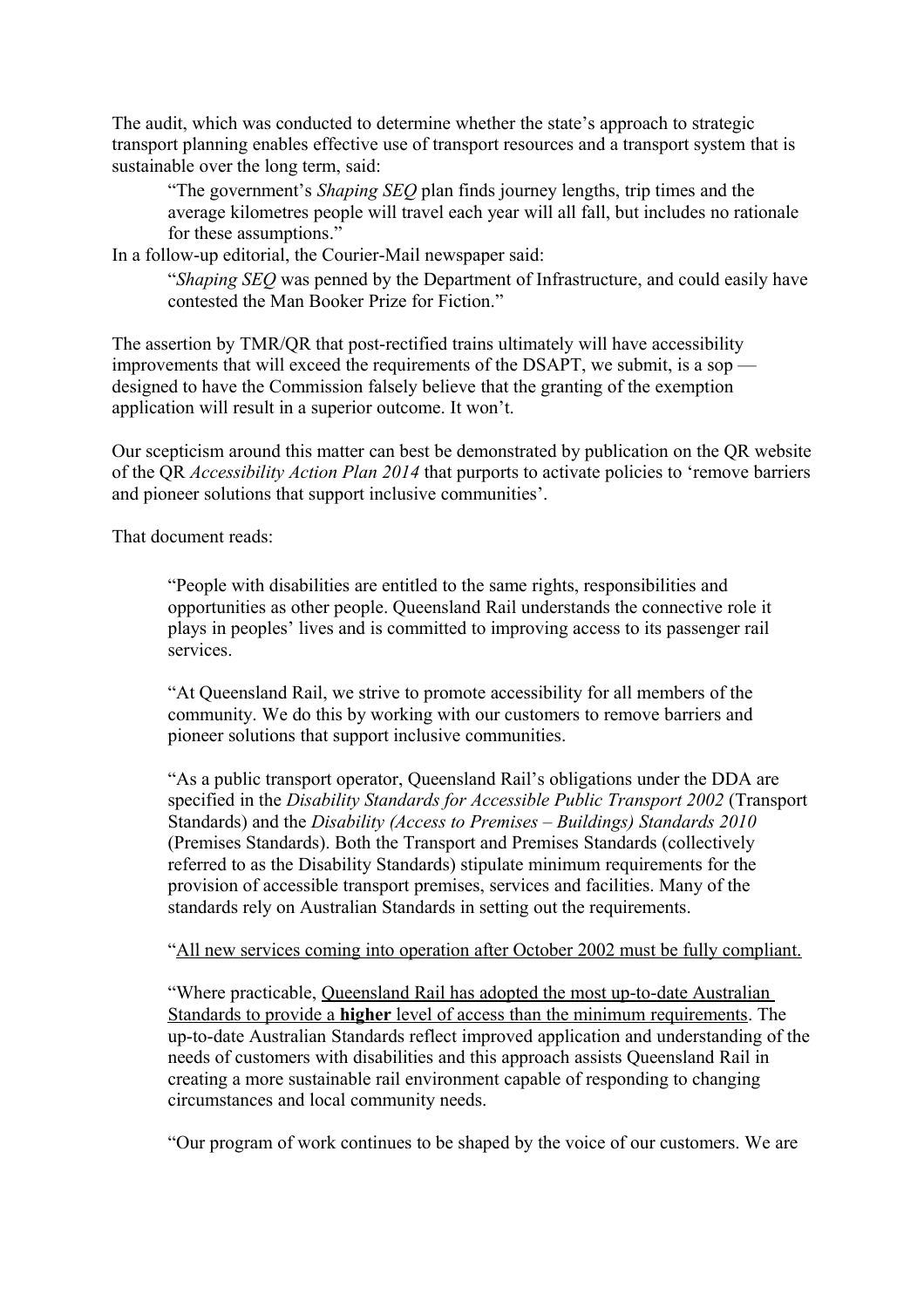The audit, which was conducted to determine whether the state's approach to strategic transport planning enables effective use of transport resources and a transport system that is sustainable over the long term, said:

"The government's *Shaping SEQ* plan finds journey lengths, trip times and the average kilometres people will travel each year will all fall, but includes no rationale for these assumptions."

In a follow-up editorial, the Courier-Mail newspaper said:

"*Shaping SEQ* was penned by the Department of Infrastructure, and could easily have contested the Man Booker Prize for Fiction."

The assertion by TMR/QR that post-rectified trains ultimately will have accessibility improvements that will exceed the requirements of the DSAPT, we submit, is a sop designed to have the Commission falsely believe that the granting of the exemption application will result in a superior outcome. It won't.

Our scepticism around this matter can best be demonstrated by publication on the QR website of the QR *Accessibility Action Plan 2014* that purports to activate policies to 'remove barriers and pioneer solutions that support inclusive communities'.

That document reads:

"People with disabilities are entitled to the same rights, responsibilities and opportunities as other people. Queensland Rail understands the connective role it plays in peoples' lives and is committed to improving access to its passenger rail services.

"At Queensland Rail, we strive to promote accessibility for all members of the community. We do this by working with our customers to remove barriers and pioneer solutions that support inclusive communities.

"As a public transport operator, Queensland Rail's obligations under the DDA are specified in the *Disability Standards for Accessible Public Transport 2002* (Transport Standards) and the *Disability (Access to Premises – Buildings) Standards 2010* (Premises Standards). Both the Transport and Premises Standards (collectively referred to as the Disability Standards) stipulate minimum requirements for the provision of accessible transport premises, services and facilities. Many of the standards rely on Australian Standards in setting out the requirements.

## "All new services coming into operation after October 2002 must be fully compliant.

"Where practicable, Queensland Rail has adopted the most up-to-date Australian Standards to provide a **higher** level of access than the minimum requirements. The up-to-date Australian Standards reflect improved application and understanding of the needs of customers with disabilities and this approach assists Queensland Rail in creating a more sustainable rail environment capable of responding to changing circumstances and local community needs.

"Our program of work continues to be shaped by the voice of our customers. We are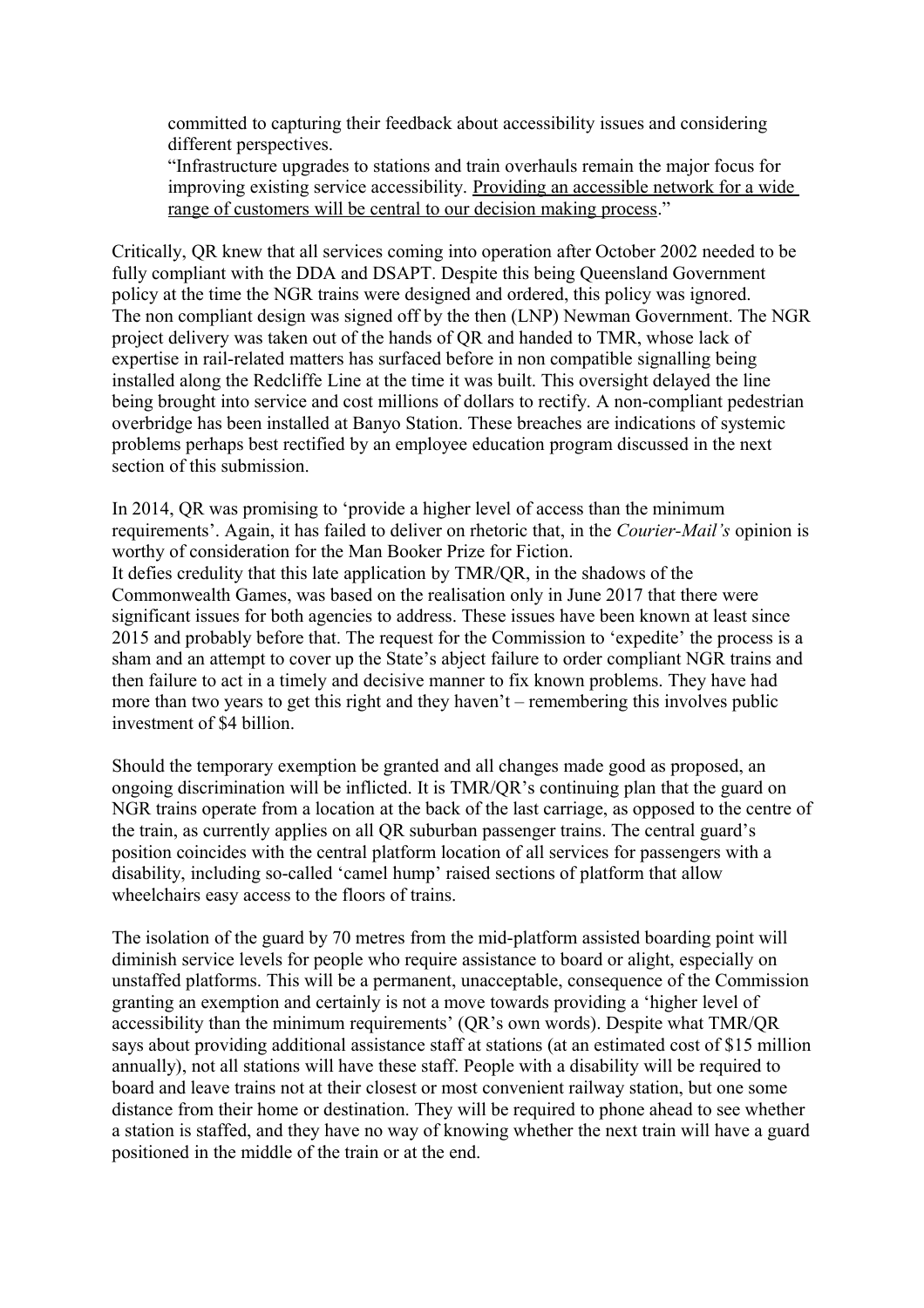committed to capturing their feedback about accessibility issues and considering different perspectives.

"Infrastructure upgrades to stations and train overhauls remain the major focus for improving existing service accessibility. Providing an accessible network for a wide range of customers will be central to our decision making process."

Critically, QR knew that all services coming into operation after October 2002 needed to be fully compliant with the DDA and DSAPT. Despite this being Queensland Government policy at the time the NGR trains were designed and ordered, this policy was ignored. The non compliant design was signed off by the then (LNP) Newman Government. The NGR project delivery was taken out of the hands of QR and handed to TMR, whose lack of expertise in rail-related matters has surfaced before in non compatible signalling being installed along the Redcliffe Line at the time it was built. This oversight delayed the line being brought into service and cost millions of dollars to rectify. A non-compliant pedestrian overbridge has been installed at Banyo Station. These breaches are indications of systemic problems perhaps best rectified by an employee education program discussed in the next section of this submission.

In 2014, QR was promising to 'provide a higher level of access than the minimum requirements'. Again, it has failed to deliver on rhetoric that, in the *Courier-Mail's* opinion is worthy of consideration for the Man Booker Prize for Fiction. It defies credulity that this late application by TMR/QR, in the shadows of the Commonwealth Games, was based on the realisation only in June 2017 that there were significant issues for both agencies to address. These issues have been known at least since 2015 and probably before that. The request for the Commission to 'expedite' the process is a sham and an attempt to cover up the State's abject failure to order compliant NGR trains and then failure to act in a timely and decisive manner to fix known problems. They have had more than two years to get this right and they haven't – remembering this involves public investment of \$4 billion.

Should the temporary exemption be granted and all changes made good as proposed, an ongoing discrimination will be inflicted. It is TMR/QR's continuing plan that the guard on NGR trains operate from a location at the back of the last carriage, as opposed to the centre of the train, as currently applies on all QR suburban passenger trains. The central guard's position coincides with the central platform location of all services for passengers with a disability, including so-called 'camel hump' raised sections of platform that allow wheelchairs easy access to the floors of trains.

The isolation of the guard by 70 metres from the mid-platform assisted boarding point will diminish service levels for people who require assistance to board or alight, especially on unstaffed platforms. This will be a permanent, unacceptable, consequence of the Commission granting an exemption and certainly is not a move towards providing a 'higher level of accessibility than the minimum requirements' (QR's own words). Despite what TMR/QR says about providing additional assistance staff at stations (at an estimated cost of \$15 million annually), not all stations will have these staff. People with a disability will be required to board and leave trains not at their closest or most convenient railway station, but one some distance from their home or destination. They will be required to phone ahead to see whether a station is staffed, and they have no way of knowing whether the next train will have a guard positioned in the middle of the train or at the end.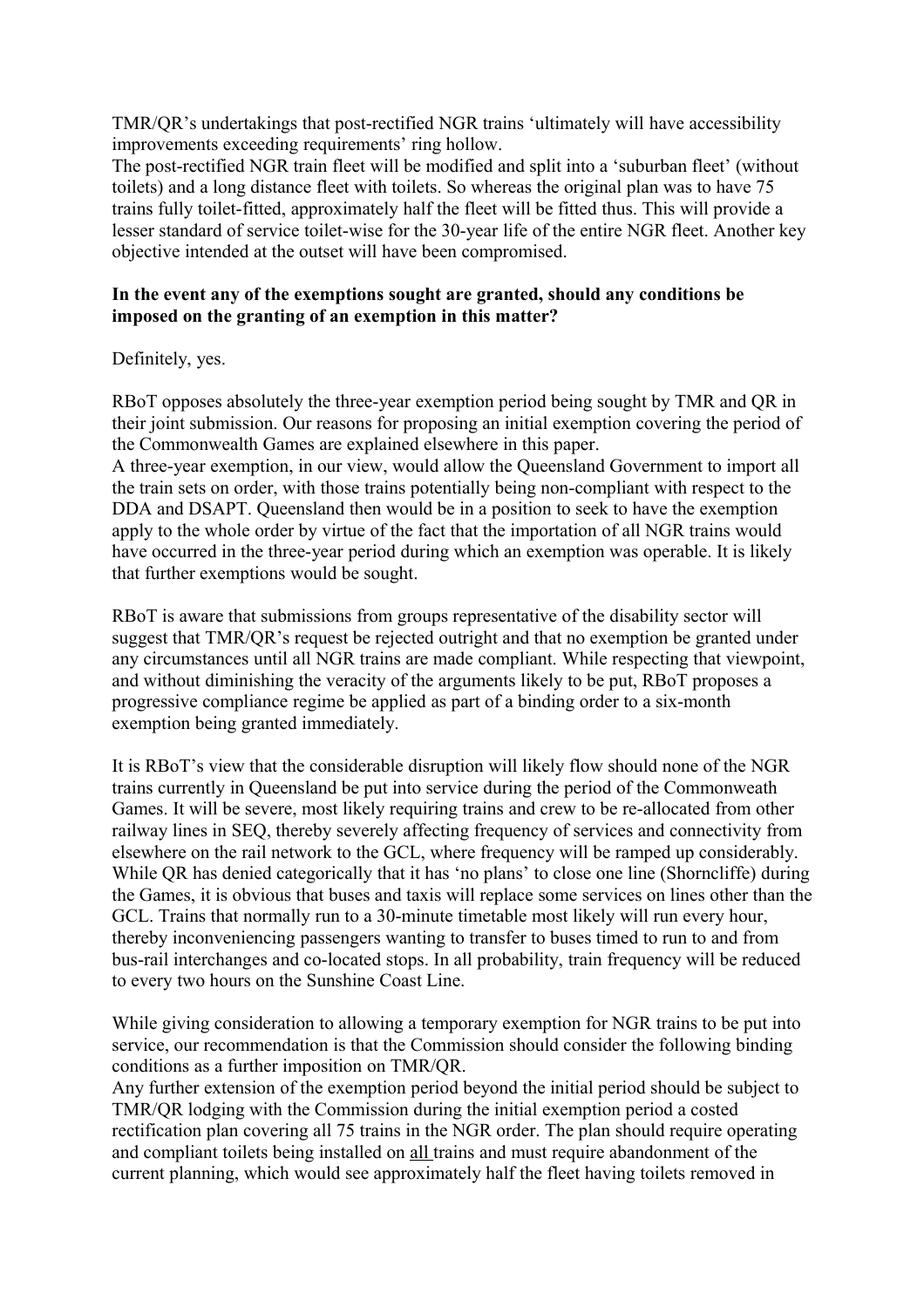TMR/QR's undertakings that post-rectified NGR trains 'ultimately will have accessibility improvements exceeding requirements' ring hollow.

The post-rectified NGR train fleet will be modified and split into a 'suburban fleet' (without toilets) and a long distance fleet with toilets. So whereas the original plan was to have 75 trains fully toilet-fitted, approximately half the fleet will be fitted thus. This will provide a lesser standard of service toilet-wise for the 30-year life of the entire NGR fleet. Another key objective intended at the outset will have been compromised.

# **In the event any of the exemptions sought are granted, should any conditions be imposed on the granting of an exemption in this matter?**

# Definitely, yes.

RBoT opposes absolutely the three-year exemption period being sought by TMR and QR in their joint submission. Our reasons for proposing an initial exemption covering the period of the Commonwealth Games are explained elsewhere in this paper. A three-year exemption, in our view, would allow the Queensland Government to import all

the train sets on order, with those trains potentially being non-compliant with respect to the DDA and DSAPT. Queensland then would be in a position to seek to have the exemption apply to the whole order by virtue of the fact that the importation of all NGR trains would have occurred in the three-year period during which an exemption was operable. It is likely that further exemptions would be sought.

RBoT is aware that submissions from groups representative of the disability sector will suggest that TMR/QR's request be rejected outright and that no exemption be granted under any circumstances until all NGR trains are made compliant. While respecting that viewpoint, and without diminishing the veracity of the arguments likely to be put, RBoT proposes a progressive compliance regime be applied as part of a binding order to a six-month exemption being granted immediately.

It is RBoT's view that the considerable disruption will likely flow should none of the NGR trains currently in Queensland be put into service during the period of the Commonweath Games. It will be severe, most likely requiring trains and crew to be re-allocated from other railway lines in SEQ, thereby severely affecting frequency of services and connectivity from elsewhere on the rail network to the GCL, where frequency will be ramped up considerably. While QR has denied categorically that it has 'no plans' to close one line (Shorncliffe) during the Games, it is obvious that buses and taxis will replace some services on lines other than the GCL. Trains that normally run to a 30-minute timetable most likely will run every hour, thereby inconveniencing passengers wanting to transfer to buses timed to run to and from bus-rail interchanges and co-located stops. In all probability, train frequency will be reduced to every two hours on the Sunshine Coast Line.

While giving consideration to allowing a temporary exemption for NGR trains to be put into service, our recommendation is that the Commission should consider the following binding conditions as a further imposition on TMR/QR.

Any further extension of the exemption period beyond the initial period should be subject to TMR/QR lodging with the Commission during the initial exemption period a costed rectification plan covering all 75 trains in the NGR order. The plan should require operating and compliant toilets being installed on all trains and must require abandonment of the current planning, which would see approximately half the fleet having toilets removed in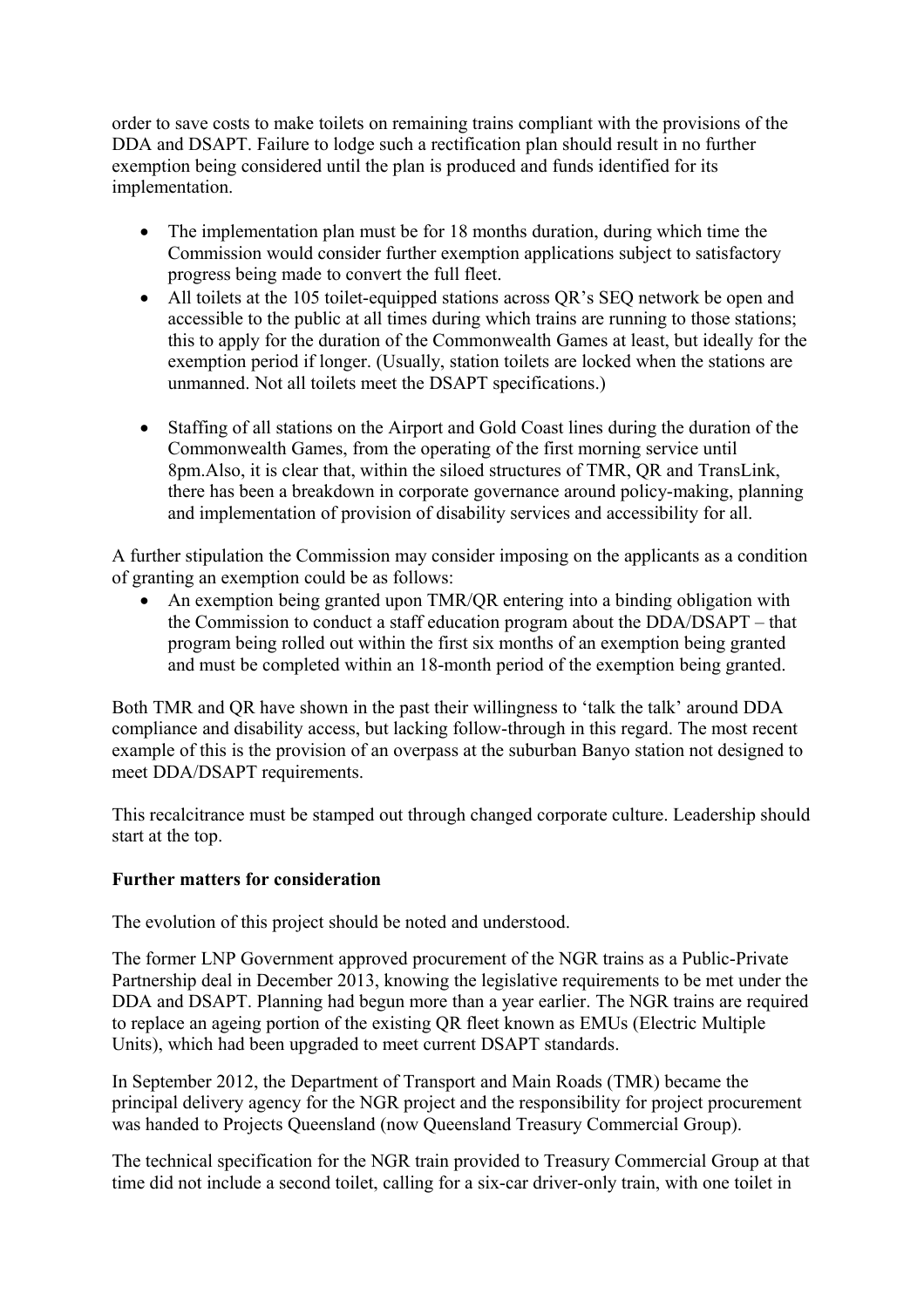order to save costs to make toilets on remaining trains compliant with the provisions of the DDA and DSAPT. Failure to lodge such a rectification plan should result in no further exemption being considered until the plan is produced and funds identified for its implementation.

- The implementation plan must be for 18 months duration, during which time the Commission would consider further exemption applications subject to satisfactory progress being made to convert the full fleet.
- All toilets at the 105 toilet-equipped stations across QR's SEQ network be open and accessible to the public at all times during which trains are running to those stations; this to apply for the duration of the Commonwealth Games at least, but ideally for the exemption period if longer. (Usually, station toilets are locked when the stations are unmanned. Not all toilets meet the DSAPT specifications.)
- Staffing of all stations on the Airport and Gold Coast lines during the duration of the Commonwealth Games, from the operating of the first morning service until 8pm.Also, it is clear that, within the siloed structures of TMR, QR and TransLink, there has been a breakdown in corporate governance around policy-making, planning and implementation of provision of disability services and accessibility for all.

A further stipulation the Commission may consider imposing on the applicants as a condition of granting an exemption could be as follows:

 An exemption being granted upon TMR/QR entering into a binding obligation with the Commission to conduct a staff education program about the DDA/DSAPT – that program being rolled out within the first six months of an exemption being granted and must be completed within an 18-month period of the exemption being granted.

Both TMR and QR have shown in the past their willingness to 'talk the talk' around DDA compliance and disability access, but lacking follow-through in this regard. The most recent example of this is the provision of an overpass at the suburban Banyo station not designed to meet DDA/DSAPT requirements.

This recalcitrance must be stamped out through changed corporate culture. Leadership should start at the top.

# **Further matters for consideration**

The evolution of this project should be noted and understood.

The former LNP Government approved procurement of the NGR trains as a Public-Private Partnership deal in December 2013, knowing the legislative requirements to be met under the DDA and DSAPT. Planning had begun more than a year earlier. The NGR trains are required to replace an ageing portion of the existing QR fleet known as EMUs (Electric Multiple Units), which had been upgraded to meet current DSAPT standards.

In September 2012, the Department of Transport and Main Roads (TMR) became the principal delivery agency for the NGR project and the responsibility for project procurement was handed to Projects Queensland (now Queensland Treasury Commercial Group).

The technical specification for the NGR train provided to Treasury Commercial Group at that time did not include a second toilet, calling for a six-car driver-only train, with one toilet in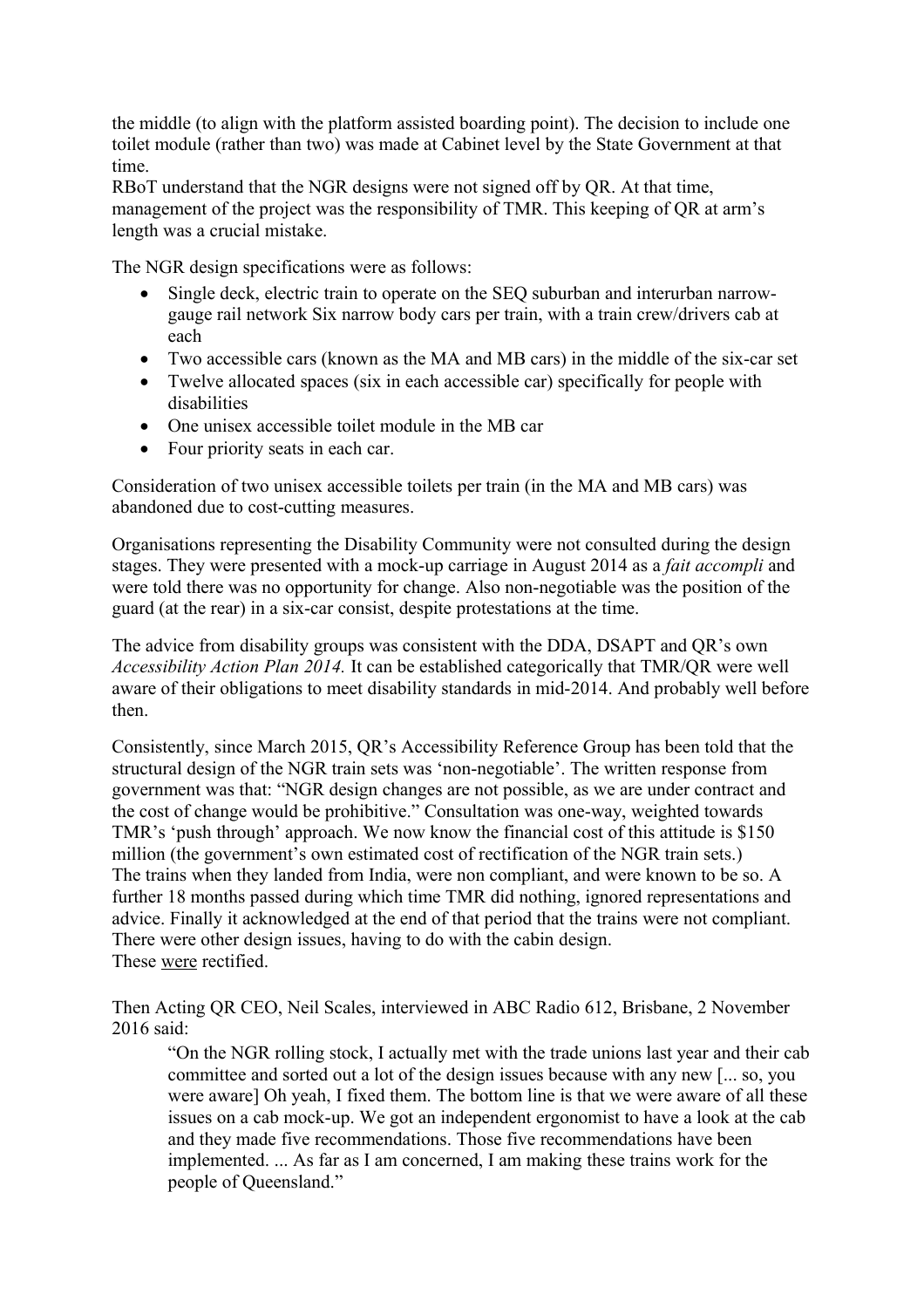the middle (to align with the platform assisted boarding point). The decision to include one toilet module (rather than two) was made at Cabinet level by the State Government at that time.

RBoT understand that the NGR designs were not signed off by QR. At that time, management of the project was the responsibility of TMR. This keeping of QR at arm's length was a crucial mistake.

The NGR design specifications were as follows:

- Single deck, electric train to operate on the SEQ suburban and interurban narrowgauge rail network Six narrow body cars per train, with a train crew/drivers cab at each
- Two accessible cars (known as the MA and MB cars) in the middle of the six-car set
- Twelve allocated spaces (six in each accessible car) specifically for people with disabilities
- One unisex accessible toilet module in the MB car
- Four priority seats in each car.

Consideration of two unisex accessible toilets per train (in the MA and MB cars) was abandoned due to cost-cutting measures.

Organisations representing the Disability Community were not consulted during the design stages. They were presented with a mock-up carriage in August 2014 as a *fait accompli* and were told there was no opportunity for change. Also non-negotiable was the position of the guard (at the rear) in a six-car consist, despite protestations at the time.

The advice from disability groups was consistent with the DDA, DSAPT and QR's own *Accessibility Action Plan 2014.* It can be established categorically that TMR/QR were well aware of their obligations to meet disability standards in mid-2014. And probably well before then.

Consistently, since March 2015, QR's Accessibility Reference Group has been told that the structural design of the NGR train sets was 'non-negotiable'. The written response from government was that: "NGR design changes are not possible, as we are under contract and the cost of change would be prohibitive." Consultation was one-way, weighted towards TMR's 'push through' approach. We now know the financial cost of this attitude is \$150 million (the government's own estimated cost of rectification of the NGR train sets.) The trains when they landed from India, were non compliant, and were known to be so. A further 18 months passed during which time TMR did nothing, ignored representations and advice. Finally it acknowledged at the end of that period that the trains were not compliant. There were other design issues, having to do with the cabin design. These were rectified.

Then Acting QR CEO, Neil Scales, interviewed in ABC Radio 612, Brisbane, 2 November 2016 said:

"On the NGR rolling stock, I actually met with the trade unions last year and their cab committee and sorted out a lot of the design issues because with any new [... so, you were aware] Oh yeah, I fixed them. The bottom line is that we were aware of all these issues on a cab mock-up. We got an independent ergonomist to have a look at the cab and they made five recommendations. Those five recommendations have been implemented. ... As far as I am concerned, I am making these trains work for the people of Queensland."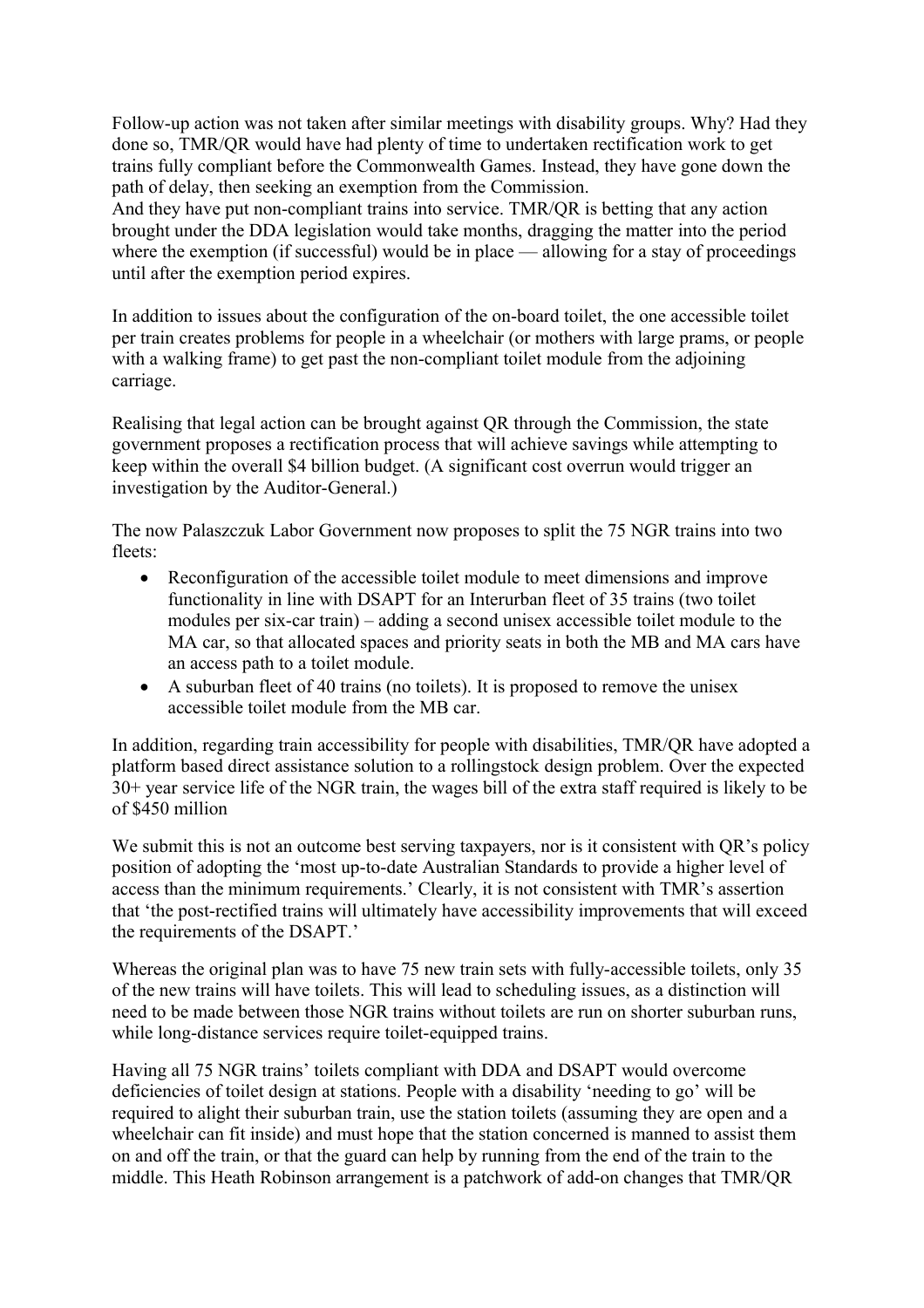Follow-up action was not taken after similar meetings with disability groups. Why? Had they done so, TMR/QR would have had plenty of time to undertaken rectification work to get trains fully compliant before the Commonwealth Games. Instead, they have gone down the path of delay, then seeking an exemption from the Commission.

And they have put non-compliant trains into service. TMR/QR is betting that any action brought under the DDA legislation would take months, dragging the matter into the period where the exemption (if successful) would be in place — allowing for a stay of proceedings until after the exemption period expires.

In addition to issues about the configuration of the on-board toilet, the one accessible toilet per train creates problems for people in a wheelchair (or mothers with large prams, or people with a walking frame) to get past the non-compliant toilet module from the adjoining carriage.

Realising that legal action can be brought against QR through the Commission, the state government proposes a rectification process that will achieve savings while attempting to keep within the overall \$4 billion budget. (A significant cost overrun would trigger an investigation by the Auditor-General.)

The now Palaszczuk Labor Government now proposes to split the 75 NGR trains into two fleets:

- Reconfiguration of the accessible toilet module to meet dimensions and improve functionality in line with DSAPT for an Interurban fleet of 35 trains (two toilet modules per six-car train) – adding a second unisex accessible toilet module to the MA car, so that allocated spaces and priority seats in both the MB and MA cars have an access path to a toilet module.
- A suburban fleet of 40 trains (no toilets). It is proposed to remove the unisex accessible toilet module from the MB car.

In addition, regarding train accessibility for people with disabilities, TMR/QR have adopted a platform based direct assistance solution to a rollingstock design problem. Over the expected 30+ year service life of the NGR train, the wages bill of the extra staff required is likely to be of \$450 million

We submit this is not an outcome best serving taxpayers, nor is it consistent with QR's policy position of adopting the 'most up-to-date Australian Standards to provide a higher level of access than the minimum requirements.' Clearly, it is not consistent with TMR's assertion that 'the post-rectified trains will ultimately have accessibility improvements that will exceed the requirements of the DSAPT.'

Whereas the original plan was to have 75 new train sets with fully-accessible toilets, only 35 of the new trains will have toilets. This will lead to scheduling issues, as a distinction will need to be made between those NGR trains without toilets are run on shorter suburban runs, while long-distance services require toilet-equipped trains.

Having all 75 NGR trains' toilets compliant with DDA and DSAPT would overcome deficiencies of toilet design at stations. People with a disability 'needing to go' will be required to alight their suburban train, use the station toilets (assuming they are open and a wheelchair can fit inside) and must hope that the station concerned is manned to assist them on and off the train, or that the guard can help by running from the end of the train to the middle. This Heath Robinson arrangement is a patchwork of add-on changes that TMR/QR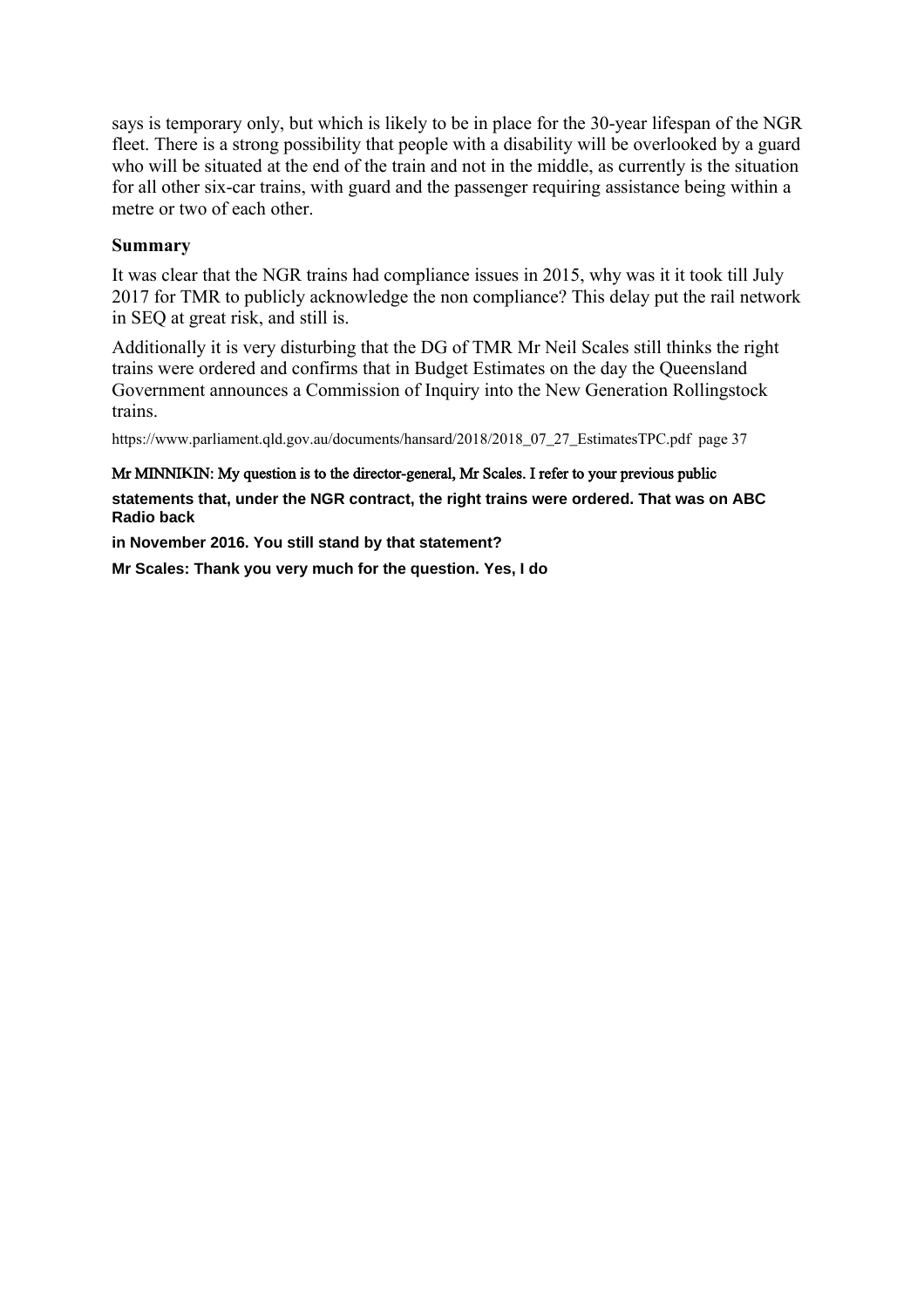says is temporary only, but which is likely to be in place for the 30-year lifespan of the NGR fleet. There is a strong possibility that people with a disability will be overlooked by a guard who will be situated at the end of the train and not in the middle, as currently is the situation for all other six-car trains, with guard and the passenger requiring assistance being within a metre or two of each other.

# **Summary**

It was clear that the NGR trains had compliance issues in 2015, why was it it took till July 2017 for TMR to publicly acknowledge the non compliance? This delay put the rail network in SEQ at great risk, and still is.

Additionally it is very disturbing that the DG of TMR Mr Neil Scales still thinks the right trains were ordered and confirms that in Budget Estimates on the day the Queensland Government announces a Commission of Inquiry into the New Generation Rollingstock trains.

https://www.parliament.qld.gov.au/documents/hansard/2018/2018\_07\_27\_EstimatesTPC.pdf page 37

## Mr MINNI**K**IN: My question is to the director-general, Mr Scales. I refer to your previous public

**statements that, under the NGR contract, the right trains were ordered. That was on ABC Radio back**

**in November 2016. You still stand by that statement?**

**Mr Scales: Thank you very much for the question. Yes, I do**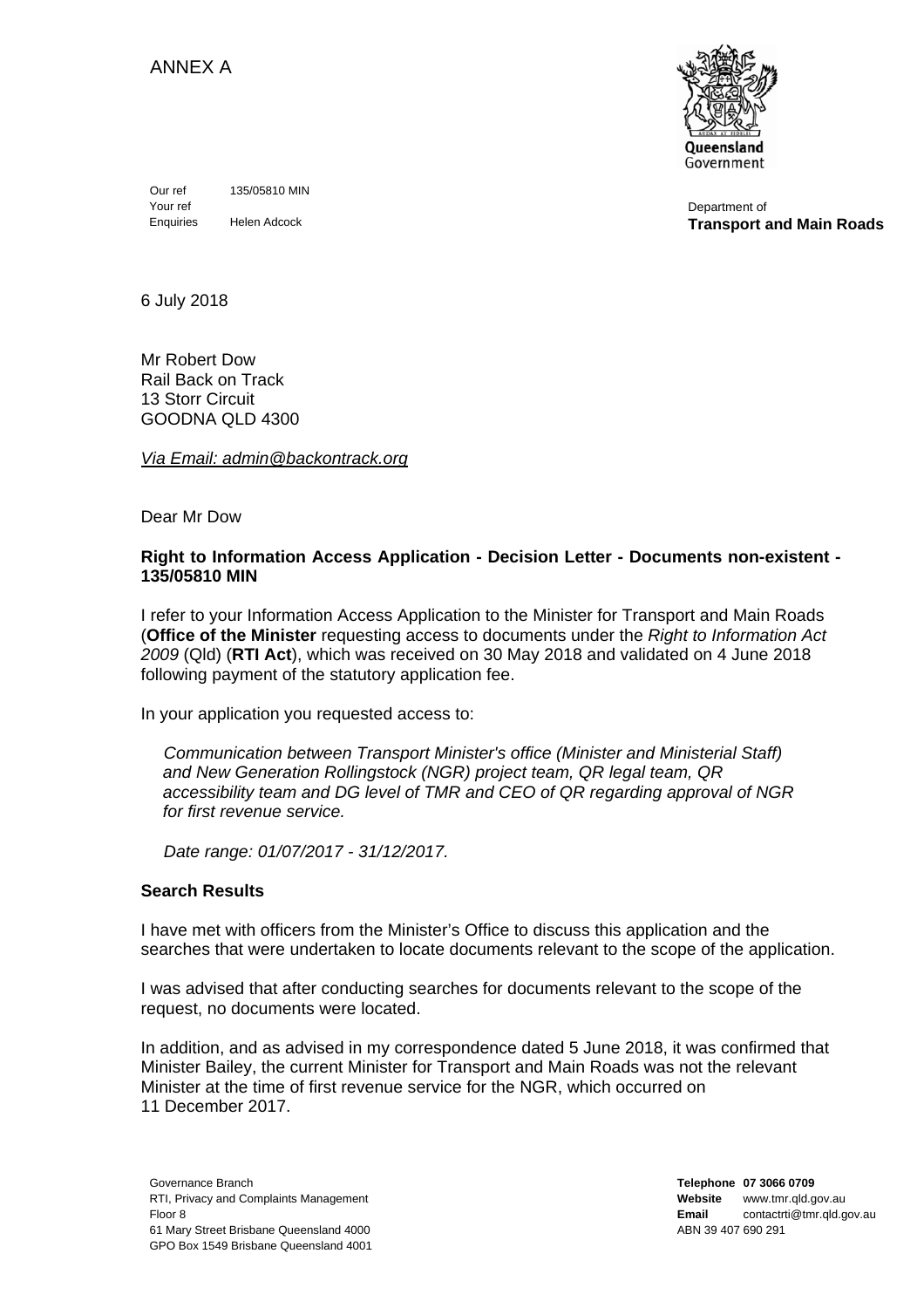ANNEX A



Department of **Transport and Main Roads**

Our ref 135/05810 MIN Your ref Enquiries Helen Adcock

6 July 2018

Mr Robert Dow Rail Back on Track 13 Storr Circuit GOODNA QLD 4300

*Via Email: admin@backontrack.org* 

Dear Mr Dow

### **Right to Information Access Application - Decision Letter - Documents non-existent - 135/05810 MIN**

I refer to your Information Access Application to the Minister for Transport and Main Roads (**Office of the Minister** requesting access to documents under the *Right to Information Act 2009* (Qld) (**RTI Act**), which was received on 30 May 2018 and validated on 4 June 2018 following payment of the statutory application fee.

In your application you requested access to:

*Communication between Transport Minister's office (Minister and Ministerial Staff) and New Generation Rollingstock (NGR) project team, QR legal team, QR accessibility team and DG level of TMR and CEO of QR regarding approval of NGR for first revenue service.* 

*Date range: 01/07/2017 - 31/12/2017.* 

## **Search Results**

I have met with officers from the Minister's Office to discuss this application and the searches that were undertaken to locate documents relevant to the scope of the application.

I was advised that after conducting searches for documents relevant to the scope of the request, no documents were located.

In addition, and as advised in my correspondence dated 5 June 2018, it was confirmed that Minister Bailey, the current Minister for Transport and Main Roads was not the relevant Minister at the time of first revenue service for the NGR, which occurred on 11 December 2017.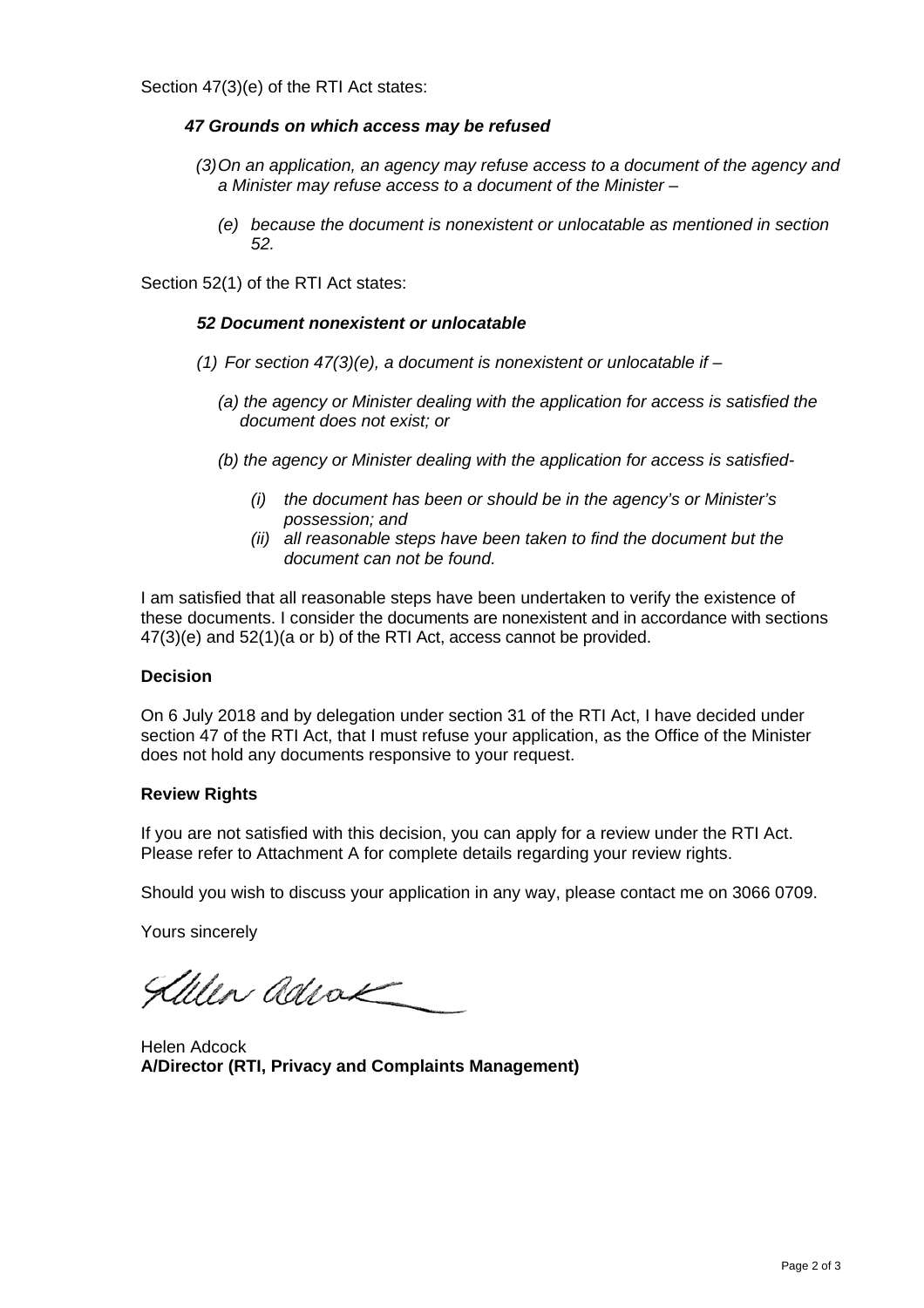Section 47(3)(e) of the RTI Act states:

## *47 Grounds on which access may be refused*

- *(3) On an application, an agency may refuse access to a document of the agency and a Minister may refuse access to a document of the Minister –* 
	- *(e) because the document is nonexistent or unlocatable as mentioned in section 52.*

Section 52(1) of the RTI Act states:

### *52 Document nonexistent or unlocatable*

- *(1) For section 47(3)(e), a document is nonexistent or unlocatable if* 
	- *(a) the agency or Minister dealing with the application for access is satisfied the document does not exist; or*
	- *(b) the agency or Minister dealing with the application for access is satisfied-* 
		- *(i) the document has been or should be in the agency's or Minister's possession; and*
		- *(ii) all reasonable steps have been taken to find the document but the document can not be found.*

I am satisfied that all reasonable steps have been undertaken to verify the existence of these documents. I consider the documents are nonexistent and in accordance with sections 47(3)(e) and 52(1)(a or b) of the RTI Act, access cannot be provided.

#### **Decision**

On 6 July 2018 and by delegation under section 31 of the RTI Act, I have decided under section 47 of the RTI Act, that I must refuse your application, as the Office of the Minister does not hold any documents responsive to your request.

#### **Review Rights**

If you are not satisfied with this decision, you can apply for a review under the RTI Act. Please refer to Attachment A for complete details regarding your review rights.

Should you wish to discuss your application in any way, please contact me on 3066 0709.

Yours sincerely

Allen adrak

Helen Adcock **A/Director (RTI, Privacy and Complaints Management)**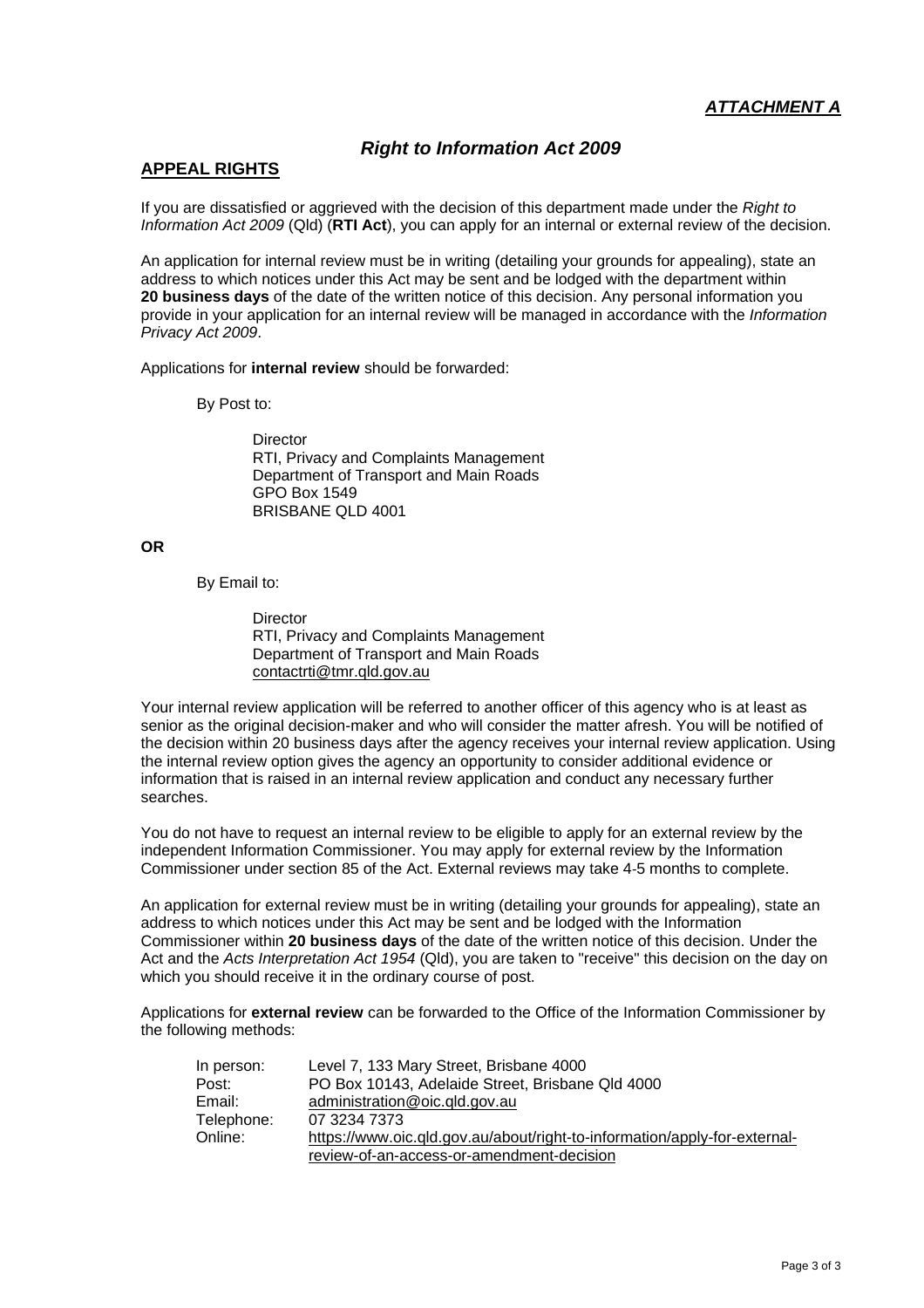# *Right to Information Act 2009*

## **APPEAL RIGHTS**

If you are dissatisfied or aggrieved with the decision of this department made under the *Right to Information Act 2009* (Qld) (**RTI Act**), you can apply for an internal or external review of the decision.

An application for internal review must be in writing (detailing your grounds for appealing), state an address to which notices under this Act may be sent and be lodged with the department within **20 business days** of the date of the written notice of this decision. Any personal information you provide in your application for an internal review will be managed in accordance with the *Information Privacy Act 2009*.

Applications for **internal review** should be forwarded:

By Post to:

**Director**  RTI, Privacy and Complaints Management Department of Transport and Main Roads GPO Box 1549 BRISBANE QLD 4001

**OR** 

By Email to:

**Director**  RTI, Privacy and Complaints Management Department of Transport and Main Roads contactrti@tmr.qld.gov.au

Your internal review application will be referred to another officer of this agency who is at least as senior as the original decision-maker and who will consider the matter afresh. You will be notified of the decision within 20 business days after the agency receives your internal review application. Using the internal review option gives the agency an opportunity to consider additional evidence or information that is raised in an internal review application and conduct any necessary further searches.

You do not have to request an internal review to be eligible to apply for an external review by the independent Information Commissioner. You may apply for external review by the Information Commissioner under section 85 of the Act. External reviews may take 4‐5 months to complete.

An application for external review must be in writing (detailing your grounds for appealing), state an address to which notices under this Act may be sent and be lodged with the Information Commissioner within **20 business days** of the date of the written notice of this decision. Under the Act and the *Acts Interpretation Act 1954* (Qld), you are taken to "receive" this decision on the day on which you should receive it in the ordinary course of post.

Applications for **external review** can be forwarded to the Office of the Information Commissioner by the following methods:

| In person: | Level 7, 133 Mary Street, Brisbane 4000                                   |
|------------|---------------------------------------------------------------------------|
| Post:      | PO Box 10143, Adelaide Street, Brisbane Qld 4000                          |
| Email:     | administration@oic.gld.gov.au                                             |
| Telephone: | 07 3234 7373                                                              |
| Online:    | https://www.oic.qld.gov.au/about/right-to-information/apply-for-external- |
|            | review-of-an-access-or-amendment-decision                                 |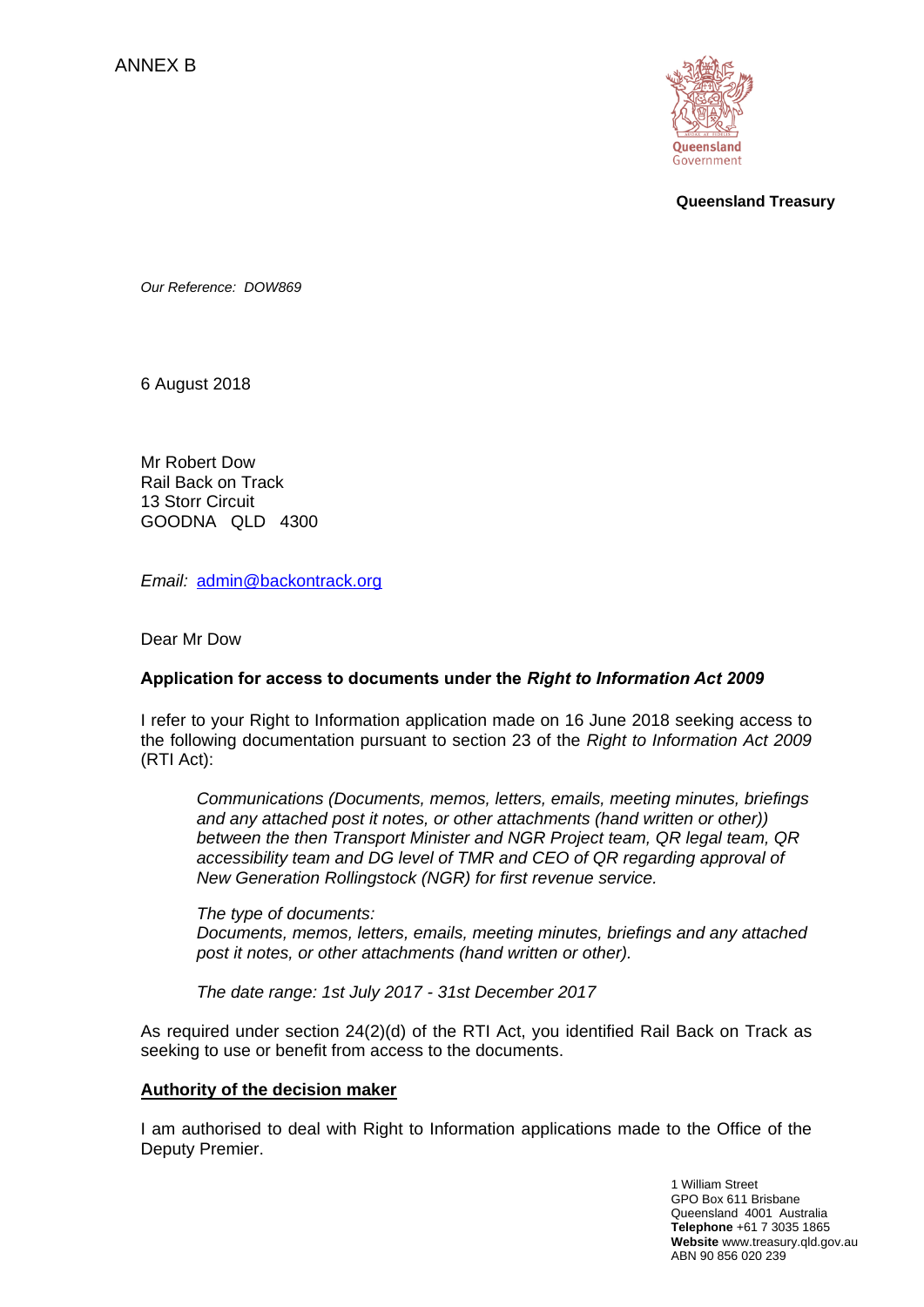

**Queensland Treasury**

*Our Reference: DOW869*

6 August 2018

Mr Robert Dow Rail Back on Track 13 Storr Circuit GOODNA QLD 4300

*Email:* [admin@backontrack.org](mailto:admin@backontrack.org)

Dear Mr Dow

## **Application for access to documents under the** *Right to Information Act 2009*

I refer to your Right to Information application made on 16 June 2018 seeking access to the following documentation pursuant to section 23 of the *Right to Information Act 2009* (RTI Act):

*Communications (Documents, memos, letters, emails, meeting minutes, briefings and any attached post it notes, or other attachments (hand written or other)) between the then Transport Minister and NGR Project team, QR legal team, QR accessibility team and DG level of TMR and CEO of QR regarding approval of New Generation Rollingstock (NGR) for first revenue service.*

*The type of documents: Documents, memos, letters, emails, meeting minutes, briefings and any attached post it notes, or other attachments (hand written or other).*

*The date range: 1st July 2017 - 31st December 2017*

As required under section 24(2)(d) of the RTI Act, you identified Rail Back on Track as seeking to use or benefit from access to the documents.

#### **Authority of the decision maker**

I am authorised to deal with Right to Information applications made to the Office of the Deputy Premier.

> 1 William Street GPO Box 611 Brisbane Queensland 4001 Australia  **Telephone** +61 7 3035 1865  **Website** www.treasury.qld.gov.au ABN 90 856 020 239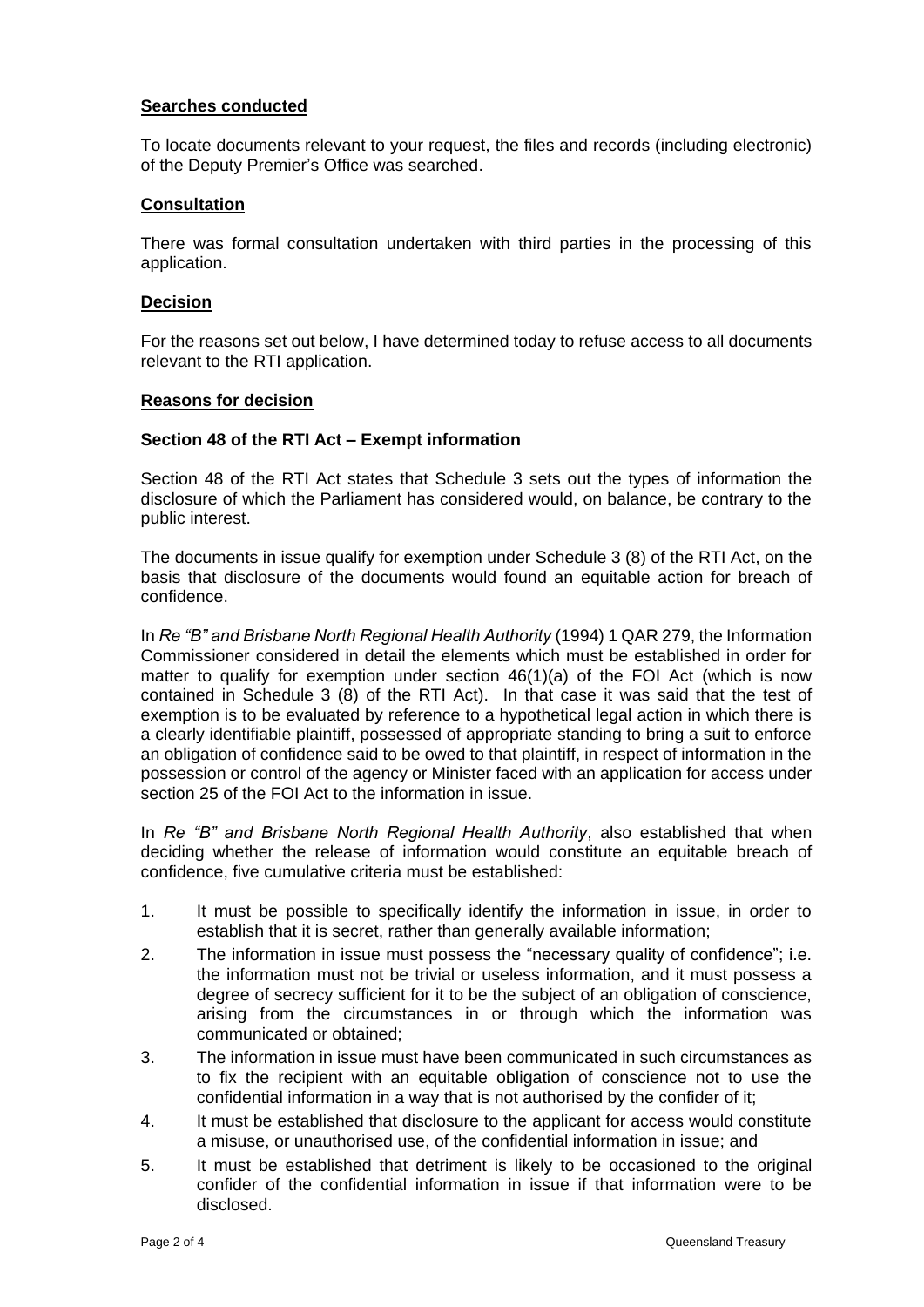## **Searches conducted**

To locate documents relevant to your request, the files and records (including electronic) of the Deputy Premier's Office was searched.

### **Consultation**

There was formal consultation undertaken with third parties in the processing of this application.

#### **Decision**

For the reasons set out below, I have determined today to refuse access to all documents relevant to the RTI application.

#### **Reasons for decision**

#### **Section 48 of the RTI Act – Exempt information**

Section 48 of the RTI Act states that Schedule 3 sets out the types of information the disclosure of which the Parliament has considered would, on balance, be contrary to the public interest.

The documents in issue qualify for exemption under Schedule 3 (8) of the RTI Act, on the basis that disclosure of the documents would found an equitable action for breach of confidence.

In *Re "B" and Brisbane North Regional Health Authority* (1994) 1 QAR 279, the Information Commissioner considered in detail the elements which must be established in order for matter to qualify for exemption under section 46(1)(a) of the FOI Act (which is now contained in Schedule 3 (8) of the RTI Act). In that case it was said that the test of exemption is to be evaluated by reference to a hypothetical legal action in which there is a clearly identifiable plaintiff, possessed of appropriate standing to bring a suit to enforce an obligation of confidence said to be owed to that plaintiff, in respect of information in the possession or control of the agency or Minister faced with an application for access under section 25 of the FOI Act to the information in issue.

In *Re "B" and Brisbane North Regional Health Authority*, also established that when deciding whether the release of information would constitute an equitable breach of confidence, five cumulative criteria must be established:

- 1. It must be possible to specifically identify the information in issue, in order to establish that it is secret, rather than generally available information;
- 2. The information in issue must possess the "necessary quality of confidence"; i.e. the information must not be trivial or useless information, and it must possess a degree of secrecy sufficient for it to be the subject of an obligation of conscience, arising from the circumstances in or through which the information was communicated or obtained;
- 3. The information in issue must have been communicated in such circumstances as to fix the recipient with an equitable obligation of conscience not to use the confidential information in a way that is not authorised by the confider of it;
- 4. It must be established that disclosure to the applicant for access would constitute a misuse, or unauthorised use, of the confidential information in issue; and
- 5. It must be established that detriment is likely to be occasioned to the original confider of the confidential information in issue if that information were to be disclosed.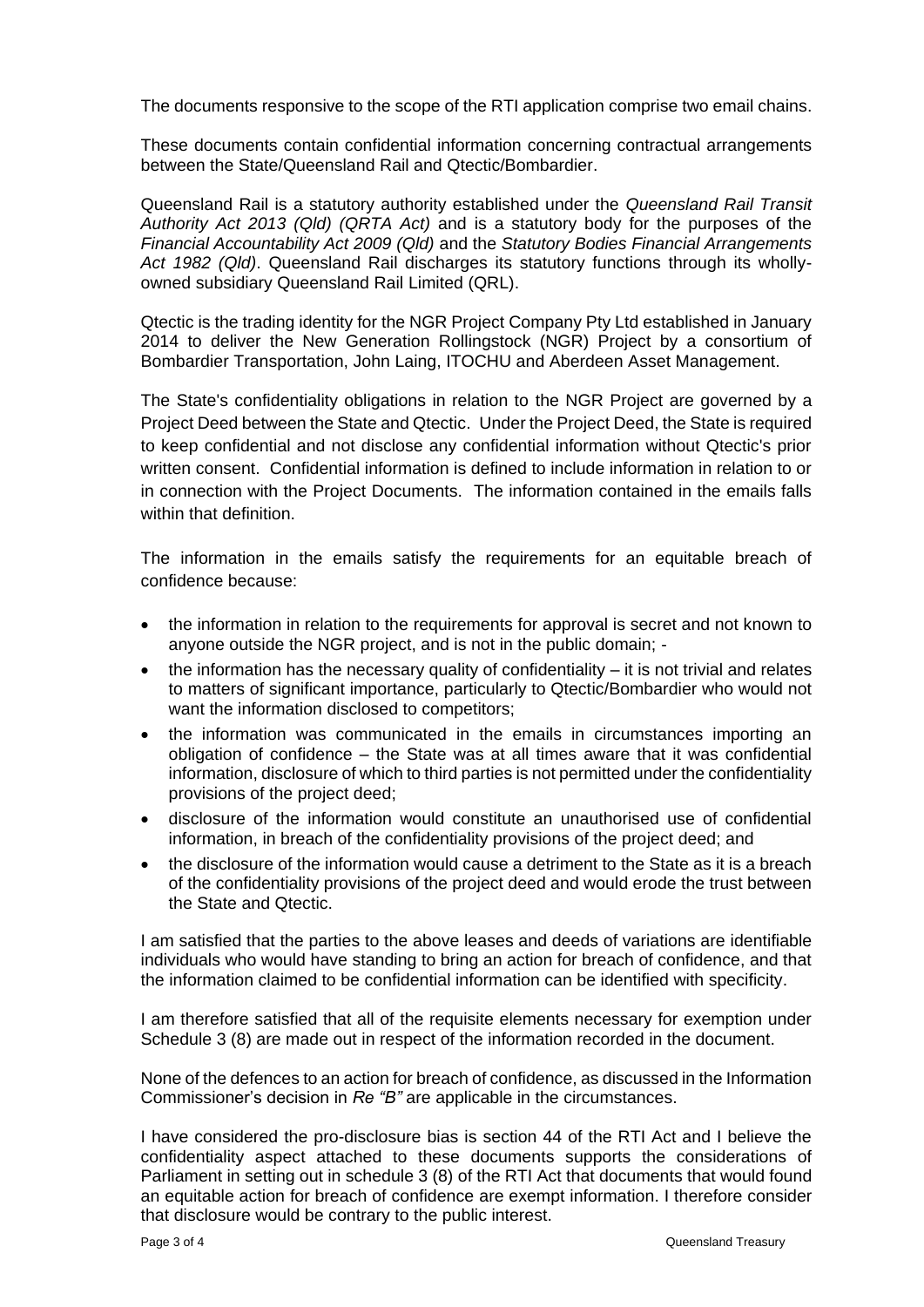The documents responsive to the scope of the RTI application comprise two email chains.

These documents contain confidential information concerning contractual arrangements between the State/Queensland Rail and Qtectic/Bombardier.

Queensland Rail is a statutory authority established under the *Queensland Rail Transit Authority Act 2013 (Qld) (QRTA Act)* and is a statutory body for the purposes of the *Financial Accountability Act 2009 (Qld)* and the *Statutory Bodies Financial Arrangements Act 1982 (Qld)*. Queensland Rail discharges its statutory functions through its whollyowned subsidiary Queensland Rail Limited (QRL).

Qtectic is the trading identity for the NGR Project Company Pty Ltd established in January 2014 to deliver the New Generation Rollingstock (NGR) Project by a consortium of Bombardier Transportation, John Laing, ITOCHU and Aberdeen Asset Management.

The State's confidentiality obligations in relation to the NGR Project are governed by a Project Deed between the State and Qtectic. Under the Project Deed, the State is required to keep confidential and not disclose any confidential information without Qtectic's prior written consent. Confidential information is defined to include information in relation to or in connection with the Project Documents. The information contained in the emails falls within that definition.

The information in the emails satisfy the requirements for an equitable breach of confidence because:

- the information in relation to the requirements for approval is secret and not known to anyone outside the NGR project, and is not in the public domain; -
- $\bullet$  the information has the necessary quality of confidentiality it is not trivial and relates to matters of significant importance, particularly to Qtectic/Bombardier who would not want the information disclosed to competitors;
- the information was communicated in the emails in circumstances importing an obligation of confidence – the State was at all times aware that it was confidential information, disclosure of which to third parties is not permitted under the confidentiality provisions of the project deed;
- disclosure of the information would constitute an unauthorised use of confidential information, in breach of the confidentiality provisions of the project deed; and
- the disclosure of the information would cause a detriment to the State as it is a breach of the confidentiality provisions of the project deed and would erode the trust between the State and Qtectic.

I am satisfied that the parties to the above leases and deeds of variations are identifiable individuals who would have standing to bring an action for breach of confidence, and that the information claimed to be confidential information can be identified with specificity.

I am therefore satisfied that all of the requisite elements necessary for exemption under Schedule 3 (8) are made out in respect of the information recorded in the document.

None of the defences to an action for breach of confidence, as discussed in the Information Commissioner's decision in *Re "B"* are applicable in the circumstances.

I have considered the pro-disclosure bias is section 44 of the RTI Act and I believe the confidentiality aspect attached to these documents supports the considerations of Parliament in setting out in schedule 3 (8) of the RTI Act that documents that would found an equitable action for breach of confidence are exempt information. I therefore consider that disclosure would be contrary to the public interest.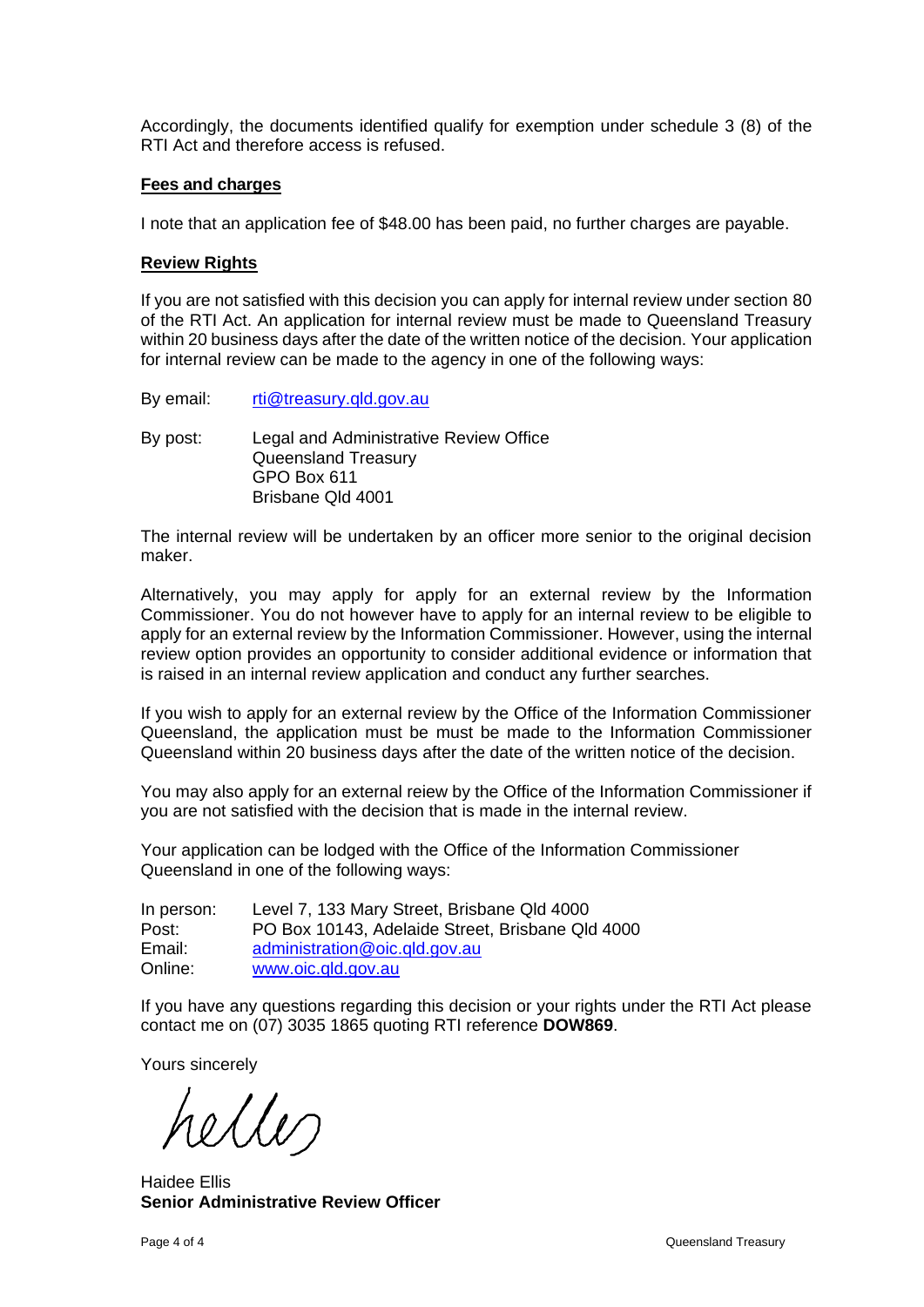Accordingly, the documents identified qualify for exemption under schedule 3 (8) of the RTI Act and therefore access is refused.

#### **Fees and charges**

I note that an application fee of \$48.00 has been paid, no further charges are payable.

### **Review Rights**

If you are not satisfied with this decision you can apply for internal review under section 80 of the RTI Act. An application for internal review must be made to Queensland Treasury within 20 business days after the date of the written notice of the decision. Your application for internal review can be made to the agency in one of the following ways:

- By email: [rti@treasury.qld.gov.au](mailto:rti@treasury.qld.gov.au)
- By post: Legal and Administrative Review Office Queensland Treasury GPO Box 611 Brisbane Qld 4001

The internal review will be undertaken by an officer more senior to the original decision maker.

Alternatively, you may apply for apply for an external review by the Information Commissioner. You do not however have to apply for an internal review to be eligible to apply for an external review by the Information Commissioner. However, using the internal review option provides an opportunity to consider additional evidence or information that is raised in an internal review application and conduct any further searches.

If you wish to apply for an external review by the Office of the Information Commissioner Queensland, the application must be must be made to the Information Commissioner Queensland within 20 business days after the date of the written notice of the decision.

You may also apply for an external reiew by the Office of the Information Commissioner if you are not satisfied with the decision that is made in the internal review.

Your application can be lodged with the Office of the Information Commissioner Queensland in one of the following ways:

In person: Level 7, 133 Mary Street, Brisbane Qld 4000 Post: PO Box 10143, Adelaide Street, Brisbane Qld 4000<br>Fmail: administration@oic.gld.gov.au administration@oic.gld.gov.au Online: [www.oic.qld.gov.au](http://www.oic.qld.gov.au/)

If you have any questions regarding this decision or your rights under the RTI Act please contact me on (07) 3035 1865 quoting RTI reference **DOW869**.

Yours sincerely

helles

Haidee Ellis **Senior Administrative Review Officer**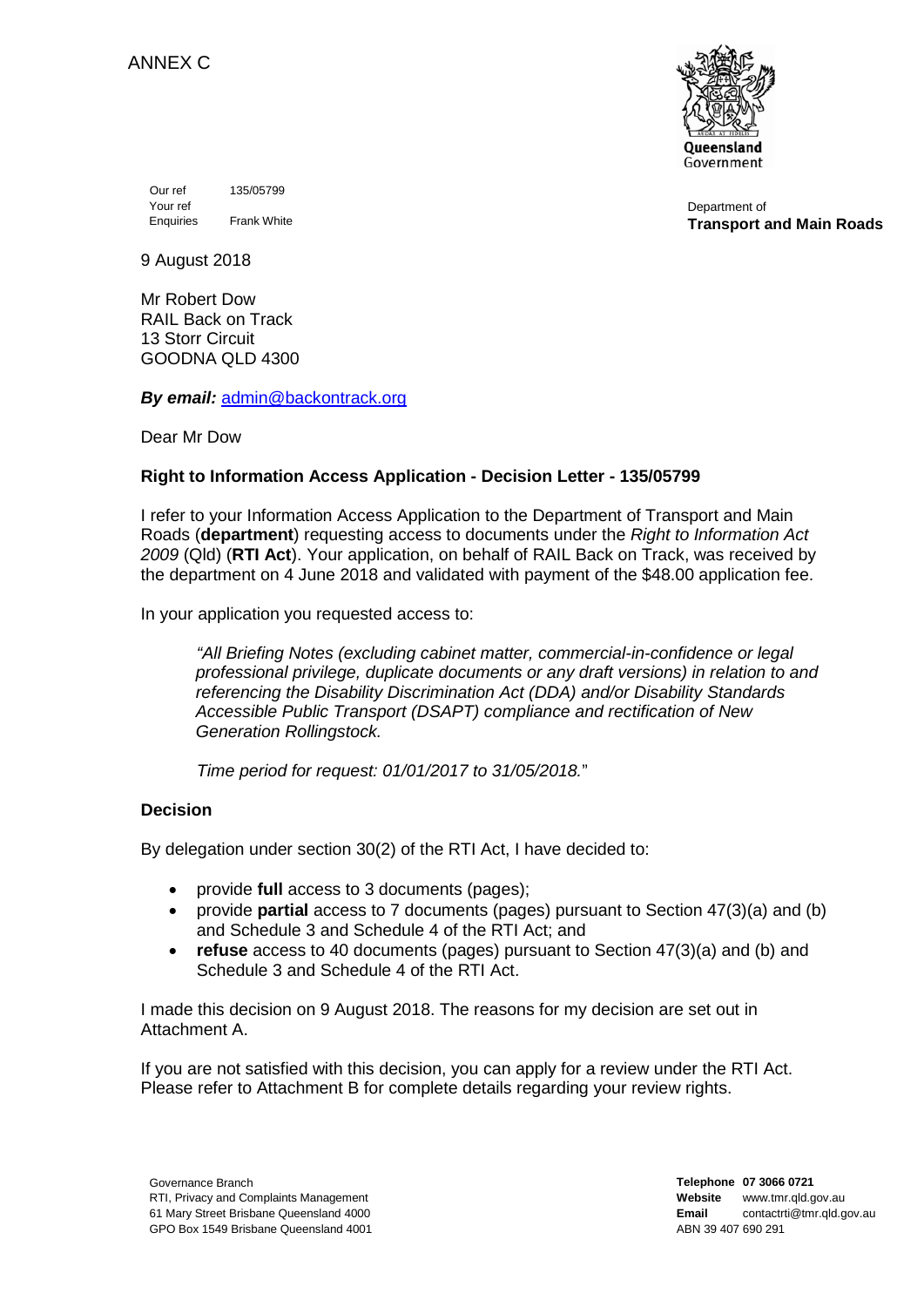

Our ref 135/05799 Your ref Enquiries Frank White

Department of **Transport and Main Roads**

9 August 2018

Mr Robert Dow RAIL Back on Track 13 Storr Circuit GOODNA QLD 4300

*By email:* [admin@backontrack.org](mailto:admin@backontrack.org)

Dear Mr Dow

## **Right to Information Access Application - Decision Letter - 135/05799**

I refer to your Information Access Application to the Department of Transport and Main Roads (**department**) requesting access to documents under the *Right to Information Act 2009* (Qld) (**RTI Act**). Your application, on behalf of RAIL Back on Track, was received by the department on 4 June 2018 and validated with payment of the \$48.00 application fee.

In your application you requested access to:

*"All Briefing Notes (excluding cabinet matter, commercial-in-confidence or legal professional privilege, duplicate documents or any draft versions) in relation to and referencing the Disability Discrimination Act (DDA) and/or Disability Standards Accessible Public Transport (DSAPT) compliance and rectification of New Generation Rollingstock.*

*Time period for request: 01/01/2017 to 31/05/2018.*"

# **Decision**

By delegation under section 30(2) of the RTI Act, I have decided to:

- provide **full** access to 3 documents (pages);
- provide **partial** access to 7 documents (pages) pursuant to Section 47(3)(a) and (b) and Schedule 3 and Schedule 4 of the RTI Act; and
- **refuse** access to 40 documents (pages) pursuant to Section 47(3)(a) and (b) and Schedule 3 and Schedule 4 of the RTI Act.

I made this decision on 9 August 2018. The reasons for my decision are set out in Attachment A.

If you are not satisfied with this decision, you can apply for a review under the RTI Act. Please refer to Attachment B for complete details regarding your review rights.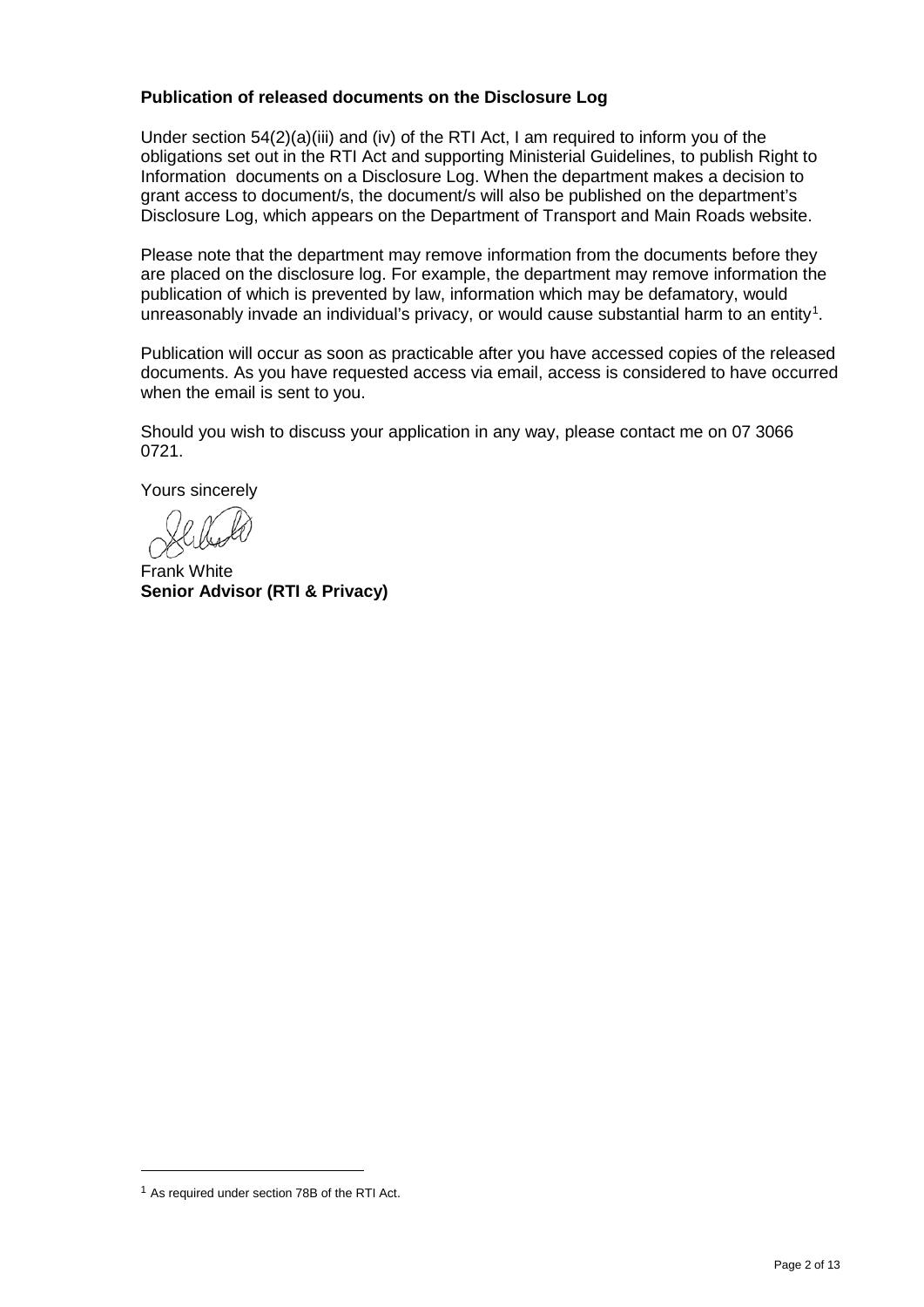## **Publication of released documents on the Disclosure Log**

Under section 54(2)(a)(iii) and (iv) of the RTI Act, I am required to inform you of the obligations set out in the RTI Act and supporting Ministerial Guidelines, to publish Right to Information documents on a Disclosure Log. When the department makes a decision to grant access to document/s, the document/s will also be published on the department's Disclosure Log, which appears on the Department of Transport and Main Roads website.

Please note that the department may remove information from the documents before they are placed on the disclosure log. For example, the department may remove information the publication of which is prevented by law, information which may be defamatory, would unreasonably invade an individual's privacy, or would cause substantial harm to an entity<sup>[1](#page-24-0)</sup>.

Publication will occur as soon as practicable after you have accessed copies of the released documents. As you have requested access via email, access is considered to have occurred when the email is sent to you.

Should you wish to discuss your application in any way, please contact me on 07 3066 0721.

Yours sincerely

Frank White **Senior Advisor (RTI & Privacy)**

1

<span id="page-24-0"></span><sup>1</sup> As required under section 78B of the RTI Act.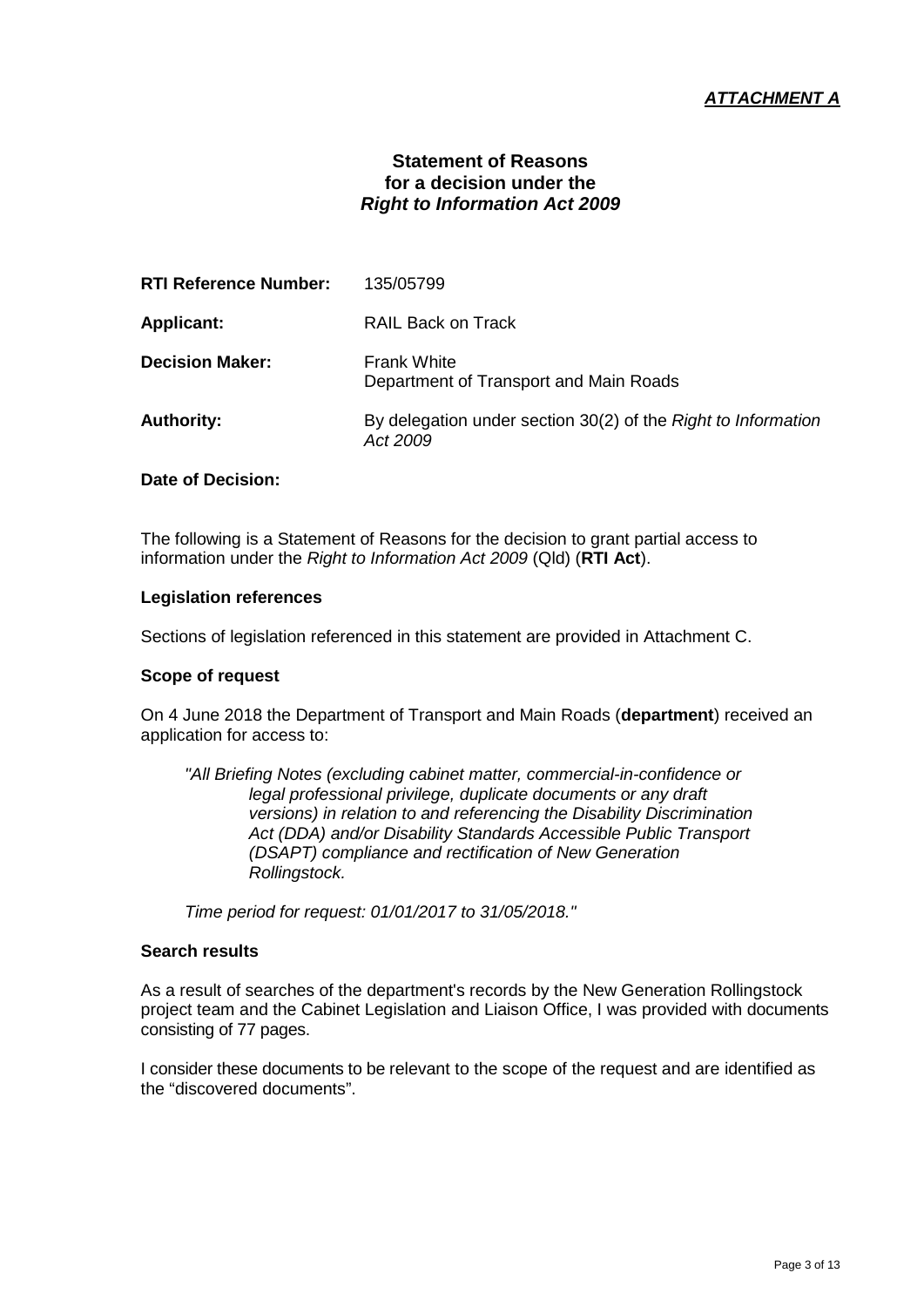# *ATTACHMENT A*

# **Statement of Reasons for a decision under the** *Right to Information Act 2009*

| 135/05799                                                                 |
|---------------------------------------------------------------------------|
| RAIL Back on Track                                                        |
| <b>Frank White</b><br>Department of Transport and Main Roads              |
| By delegation under section 30(2) of the Right to Information<br>Act 2009 |
|                                                                           |

#### **Date of Decision:**

The following is a Statement of Reasons for the decision to grant partial access to information under the *Right to Information Act 2009* (Qld) (**RTI Act**).

#### **Legislation references**

Sections of legislation referenced in this statement are provided in Attachment C.

#### **Scope of request**

On 4 June 2018 the Department of Transport and Main Roads (**department**) received an application for access to:

*"All Briefing Notes (excluding cabinet matter, commercial-in-confidence or legal professional privilege, duplicate documents or any draft versions) in relation to and referencing the Disability Discrimination Act (DDA) and/or Disability Standards Accessible Public Transport (DSAPT) compliance and rectification of New Generation Rollingstock.*

*Time period for request: 01/01/2017 to 31/05/2018."*

## **Search results**

As a result of searches of the department's records by the New Generation Rollingstock project team and the Cabinet Legislation and Liaison Office, I was provided with documents consisting of 77 pages.

I consider these documents to be relevant to the scope of the request and are identified as the "discovered documents".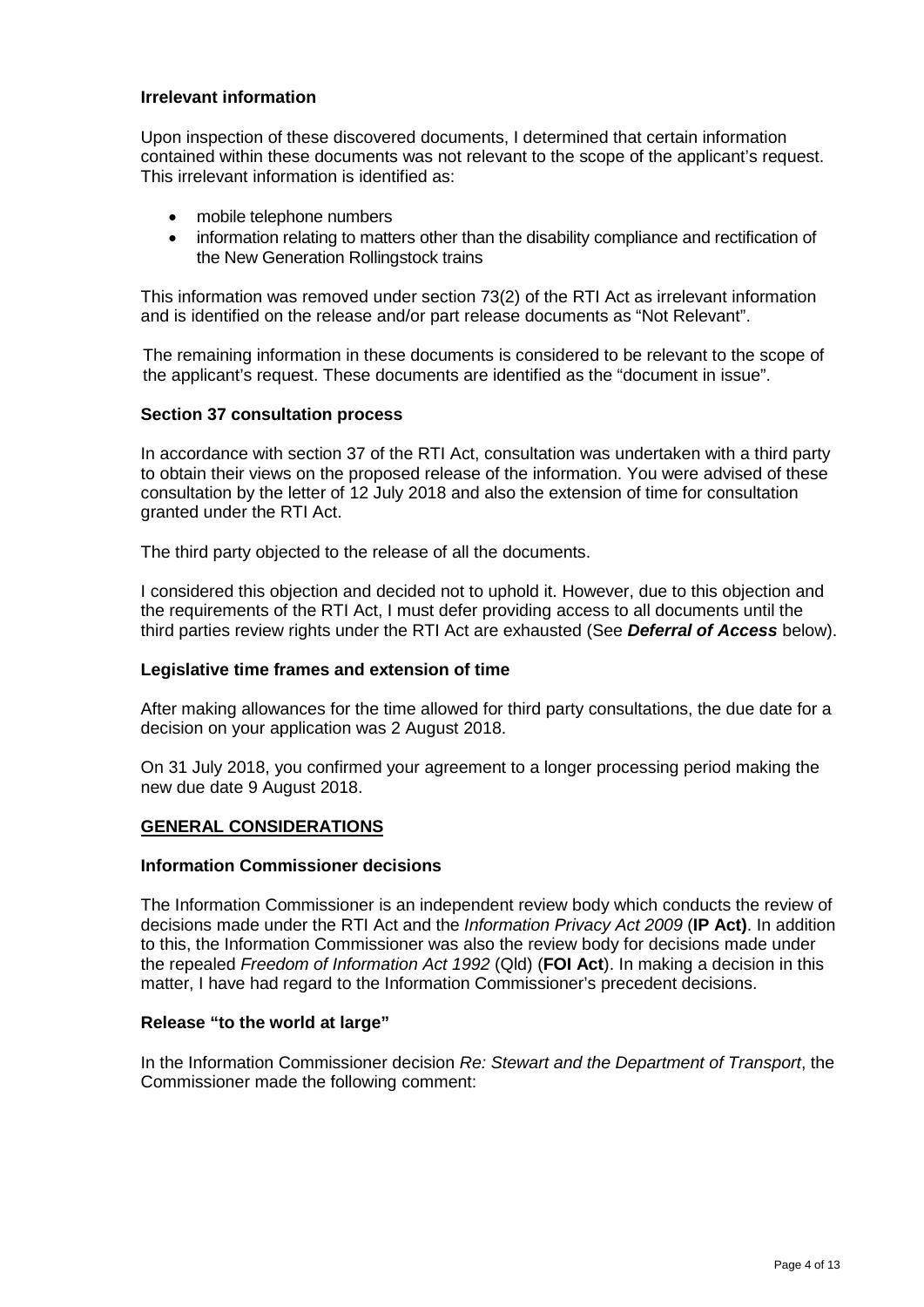## **Irrelevant information**

Upon inspection of these discovered documents, I determined that certain information contained within these documents was not relevant to the scope of the applicant's request. This irrelevant information is identified as:

- mobile telephone numbers
- information relating to matters other than the disability compliance and rectification of the New Generation Rollingstock trains

This information was removed under section 73(2) of the RTI Act as irrelevant information and is identified on the release and/or part release documents as "Not Relevant".

The remaining information in these documents is considered to be relevant to the scope of the applicant's request. These documents are identified as the "document in issue".

### **Section 37 consultation process**

In accordance with section 37 of the RTI Act, consultation was undertaken with a third party to obtain their views on the proposed release of the information. You were advised of these consultation by the letter of 12 July 2018 and also the extension of time for consultation granted under the RTI Act.

The third party objected to the release of all the documents.

I considered this objection and decided not to uphold it. However, due to this objection and the requirements of the RTI Act, I must defer providing access to all documents until the third parties review rights under the RTI Act are exhausted (See *Deferral of Access* below).

#### **Legislative time frames and extension of time**

After making allowances for the time allowed for third party consultations, the due date for a decision on your application was 2 August 2018.

On 31 July 2018, you confirmed your agreement to a longer processing period making the new due date 9 August 2018.

### **GENERAL CONSIDERATIONS**

#### **Information Commissioner decisions**

The Information Commissioner is an independent review body which conducts the review of decisions made under the RTI Act and the *Information Privacy Act 2009* (**IP Act)**. In addition to this, the Information Commissioner was also the review body for decisions made under the repealed *Freedom of Information Act 1992* (Qld) (**FOI Act**). In making a decision in this matter, I have had regard to the Information Commissioner's precedent decisions.

#### **Release "to the world at large"**

In the Information Commissioner decision *Re: Stewart and the Department of Transport*, the Commissioner made the following comment: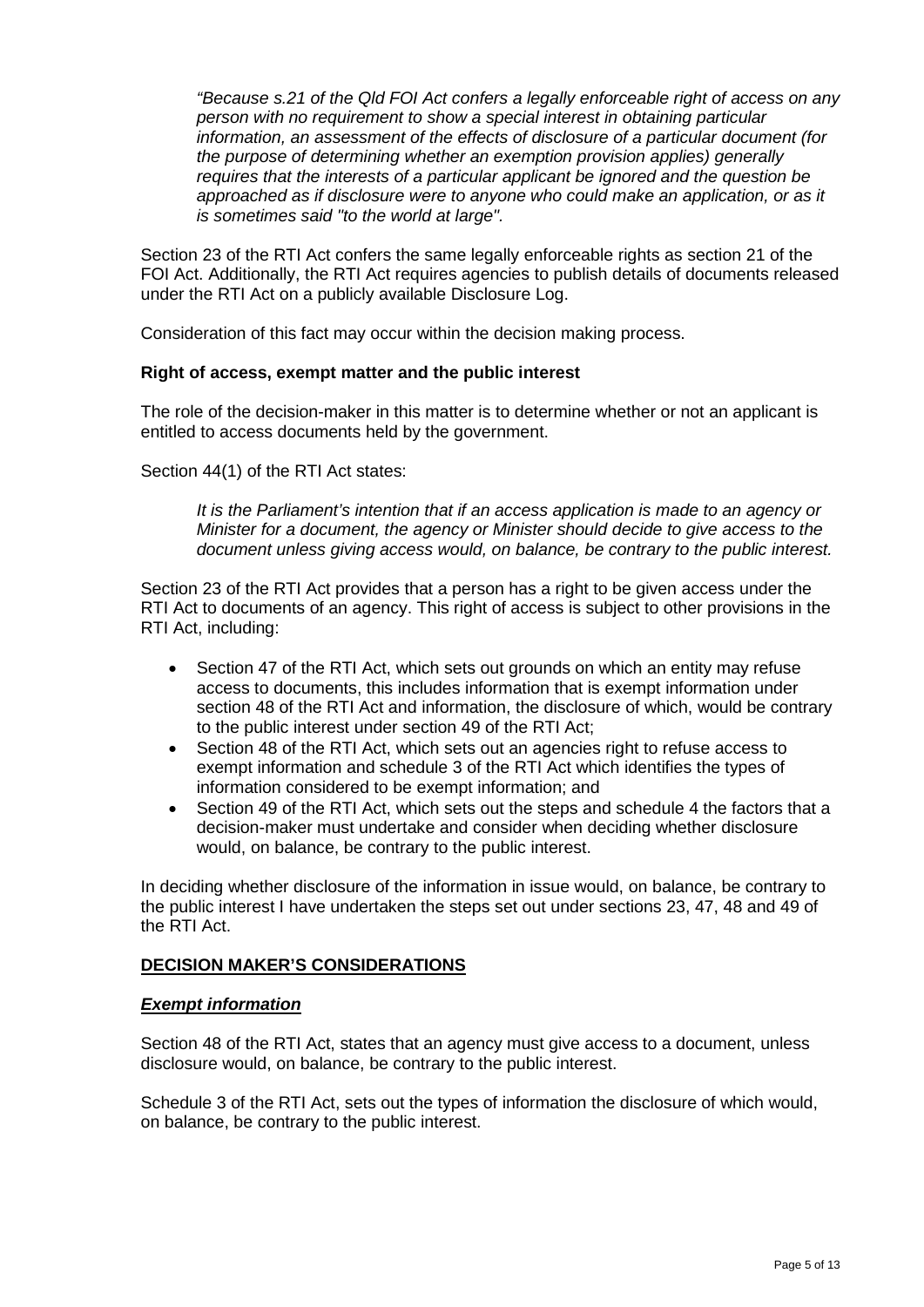*"Because s.21 of the Qld FOI Act confers a legally enforceable right of access on any person with no requirement to show a special interest in obtaining particular information, an assessment of the effects of disclosure of a particular document (for the purpose of determining whether an exemption provision applies) generally requires that the interests of a particular applicant be ignored and the question be approached as if disclosure were to anyone who could make an application, or as it is sometimes said "to the world at large".* 

Section 23 of the RTI Act confers the same legally enforceable rights as section 21 of the FOI Act. Additionally, the RTI Act requires agencies to publish details of documents released under the RTI Act on a publicly available Disclosure Log.

Consideration of this fact may occur within the decision making process.

### **Right of access, exempt matter and the public interest**

The role of the decision-maker in this matter is to determine whether or not an applicant is entitled to access documents held by the government.

Section 44(1) of the RTI Act states:

*It is the Parliament's intention that if an access application is made to an agency or Minister for a document, the agency or Minister should decide to give access to the document unless giving access would, on balance, be contrary to the public interest.*

Section 23 of the RTI Act provides that a person has a right to be given access under the RTI Act to documents of an agency. This right of access is subject to other provisions in the RTI Act, including:

- Section 47 of the RTI Act, which sets out grounds on which an entity may refuse access to documents, this includes information that is exempt information under section 48 of the RTI Act and information, the disclosure of which, would be contrary to the public interest under section 49 of the RTI Act;
- Section 48 of the RTI Act, which sets out an agencies right to refuse access to exempt information and schedule 3 of the RTI Act which identifies the types of information considered to be exempt information; and
- Section 49 of the RTI Act, which sets out the steps and schedule 4 the factors that a decision-maker must undertake and consider when deciding whether disclosure would, on balance, be contrary to the public interest.

In deciding whether disclosure of the information in issue would, on balance, be contrary to the public interest I have undertaken the steps set out under sections 23, 47, 48 and 49 of the RTI Act.

## **DECISION MAKER'S CONSIDERATIONS**

#### *Exempt information*

Section 48 of the RTI Act, states that an agency must give access to a document, unless disclosure would, on balance, be contrary to the public interest.

Schedule 3 of the RTI Act, sets out the types of information the disclosure of which would, on balance, be contrary to the public interest.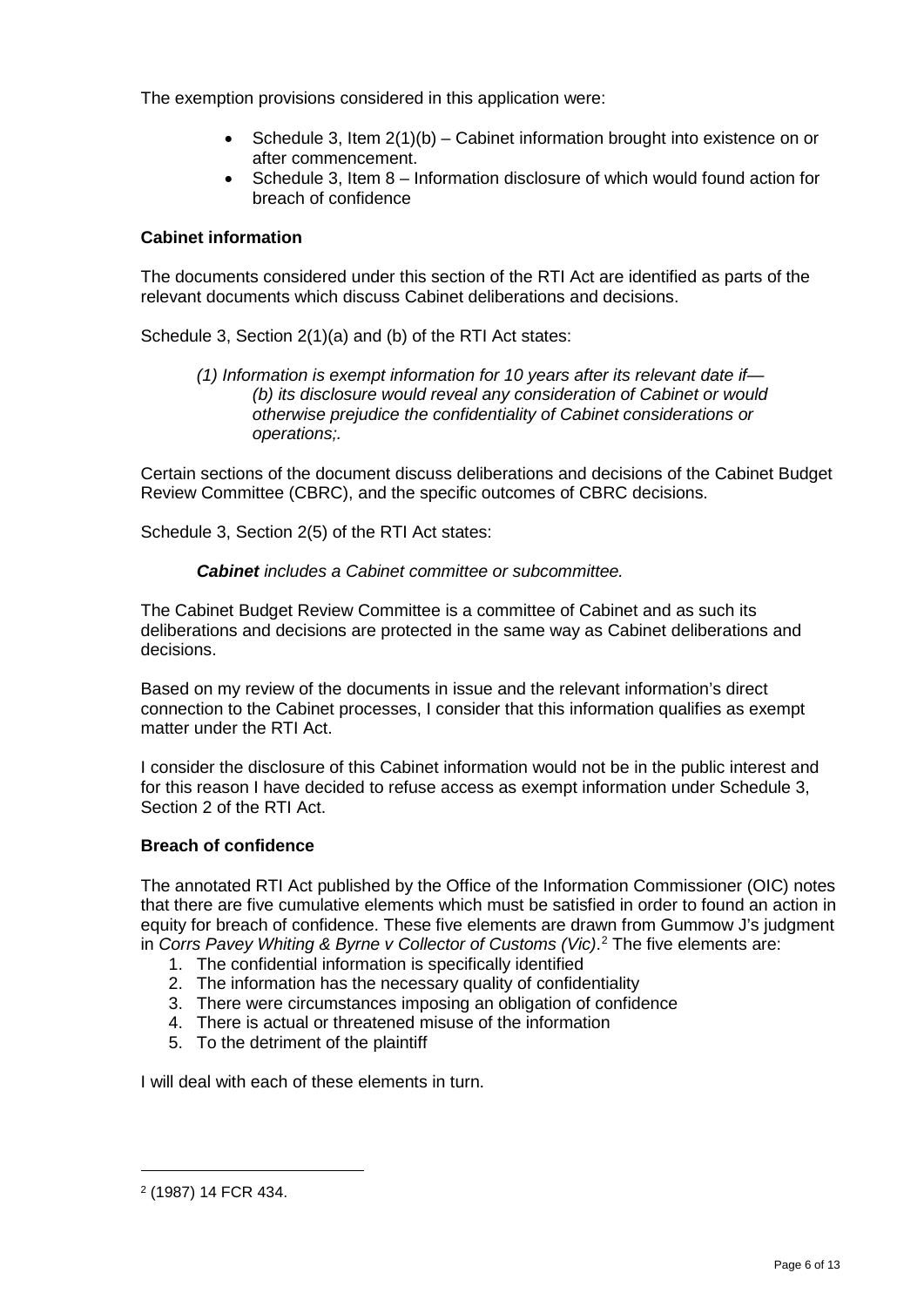The exemption provisions considered in this application were:

- Schedule 3, Item 2(1)(b) Cabinet information brought into existence on or after commencement.
- Schedule 3, Item 8 Information disclosure of which would found action for breach of confidence

## **Cabinet information**

The documents considered under this section of the RTI Act are identified as parts of the relevant documents which discuss Cabinet deliberations and decisions.

Schedule 3, Section 2(1)(a) and (b) of the RTI Act states:

*(1) Information is exempt information for 10 years after its relevant date if— (b) its disclosure would reveal any consideration of Cabinet or would otherwise prejudice the confidentiality of Cabinet considerations or operations;.*

Certain sections of the document discuss deliberations and decisions of the Cabinet Budget Review Committee (CBRC), and the specific outcomes of CBRC decisions.

Schedule 3, Section 2(5) of the RTI Act states:

## *Cabinet includes a Cabinet committee or subcommittee.*

The Cabinet Budget Review Committee is a committee of Cabinet and as such its deliberations and decisions are protected in the same way as Cabinet deliberations and decisions.

Based on my review of the documents in issue and the relevant information's direct connection to the Cabinet processes, I consider that this information qualifies as exempt matter under the RTI Act.

I consider the disclosure of this Cabinet information would not be in the public interest and for this reason I have decided to refuse access as exempt information under Schedule 3, Section 2 of the RTI Act.

## **Breach of confidence**

The annotated RTI Act published by the Office of the Information Commissioner (OIC) notes that there are five cumulative elements which must be satisfied in order to found an action in equity for breach of confidence. These five elements are drawn from Gummow J's judgment in *Corrs Pavey Whiting & Byrne v Collector of Customs (Vic)*. [2](#page-28-0) The five elements are:

- 1. The confidential information is specifically identified
- 2. The information has the necessary quality of confidentiality
- 3. There were circumstances imposing an obligation of confidence
- 4. There is actual or threatened misuse of the information
- 5. To the detriment of the plaintiff

I will deal with each of these elements in turn.

1

<span id="page-28-0"></span><sup>2</sup> (1987) 14 FCR 434.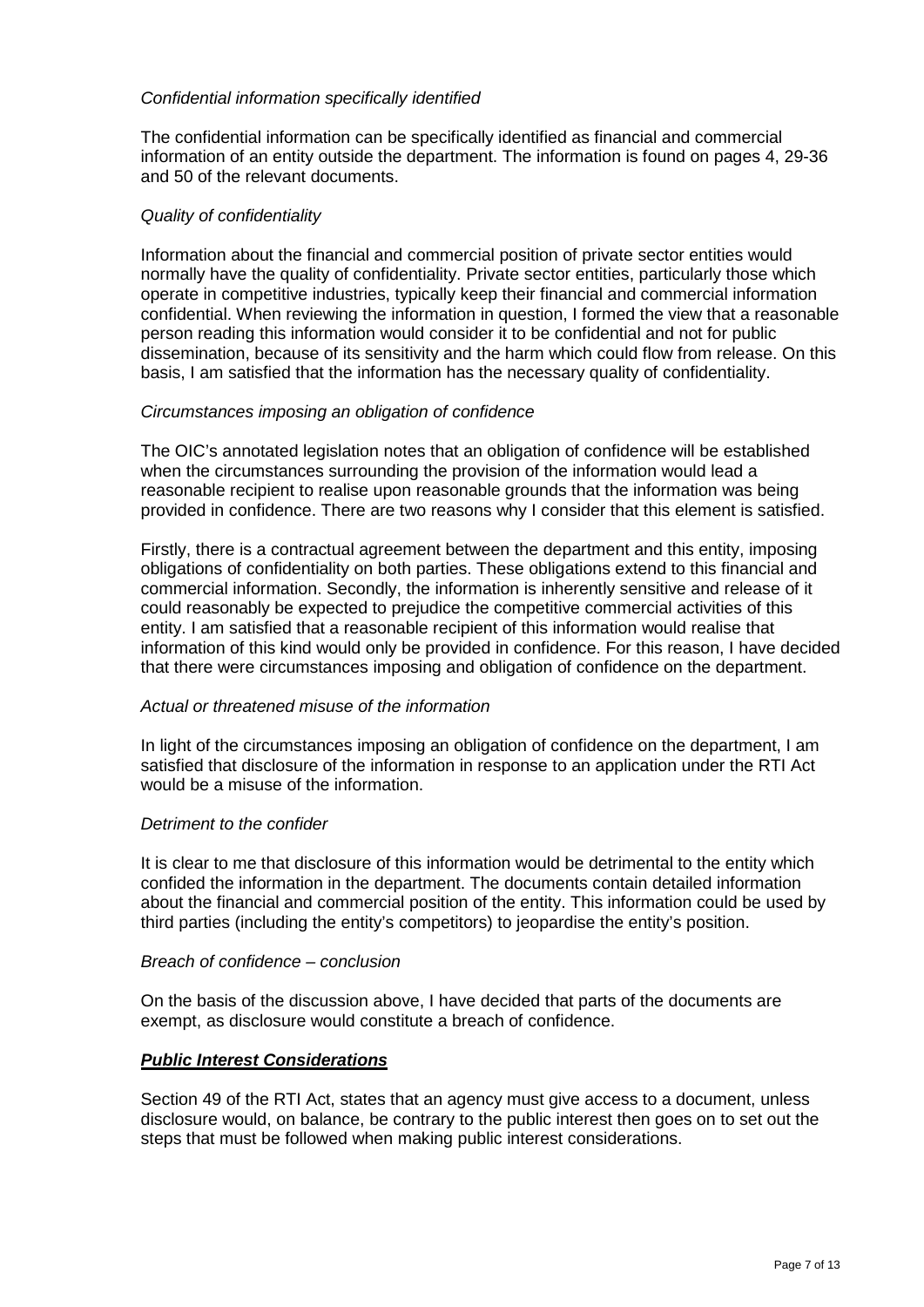## *Confidential information specifically identified*

The confidential information can be specifically identified as financial and commercial information of an entity outside the department. The information is found on pages 4, 29-36 and 50 of the relevant documents.

### *Quality of confidentiality*

Information about the financial and commercial position of private sector entities would normally have the quality of confidentiality. Private sector entities, particularly those which operate in competitive industries, typically keep their financial and commercial information confidential. When reviewing the information in question, I formed the view that a reasonable person reading this information would consider it to be confidential and not for public dissemination, because of its sensitivity and the harm which could flow from release. On this basis, I am satisfied that the information has the necessary quality of confidentiality.

### *Circumstances imposing an obligation of confidence*

The OIC's annotated legislation notes that an obligation of confidence will be established when the circumstances surrounding the provision of the information would lead a reasonable recipient to realise upon reasonable grounds that the information was being provided in confidence. There are two reasons why I consider that this element is satisfied.

Firstly, there is a contractual agreement between the department and this entity, imposing obligations of confidentiality on both parties. These obligations extend to this financial and commercial information. Secondly, the information is inherently sensitive and release of it could reasonably be expected to prejudice the competitive commercial activities of this entity. I am satisfied that a reasonable recipient of this information would realise that information of this kind would only be provided in confidence. For this reason, I have decided that there were circumstances imposing and obligation of confidence on the department.

#### *Actual or threatened misuse of the information*

In light of the circumstances imposing an obligation of confidence on the department, I am satisfied that disclosure of the information in response to an application under the RTI Act would be a misuse of the information.

#### *Detriment to the confider*

It is clear to me that disclosure of this information would be detrimental to the entity which confided the information in the department. The documents contain detailed information about the financial and commercial position of the entity. This information could be used by third parties (including the entity's competitors) to jeopardise the entity's position.

#### *Breach of confidence – conclusion*

On the basis of the discussion above, I have decided that parts of the documents are exempt, as disclosure would constitute a breach of confidence.

#### *Public Interest Considerations*

Section 49 of the RTI Act, states that an agency must give access to a document, unless disclosure would, on balance, be contrary to the public interest then goes on to set out the steps that must be followed when making public interest considerations.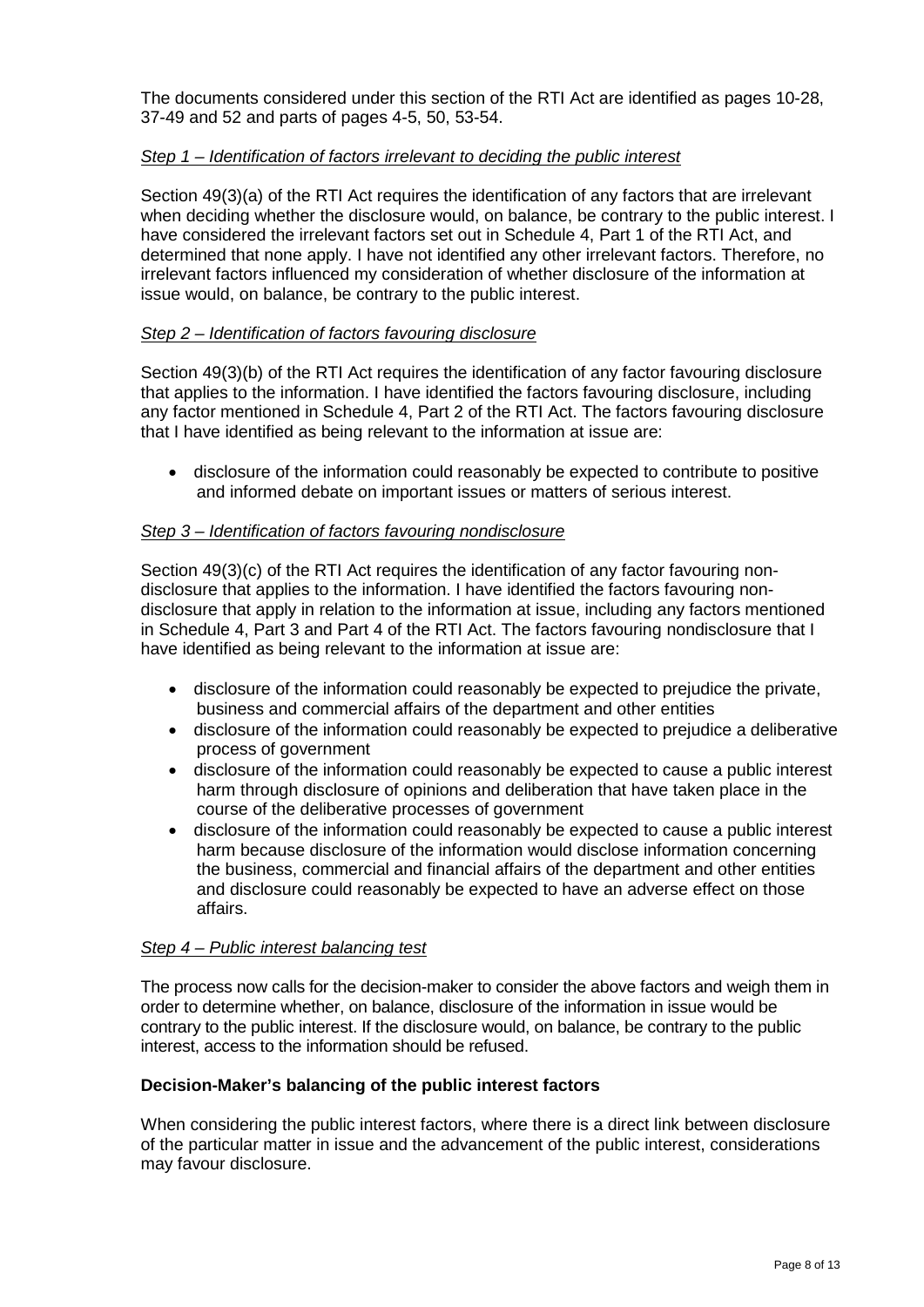The documents considered under this section of the RTI Act are identified as pages 10-28, 37-49 and 52 and parts of pages 4-5, 50, 53-54.

## *Step 1 – Identification of factors irrelevant to deciding the public interest*

Section 49(3)(a) of the RTI Act requires the identification of any factors that are irrelevant when deciding whether the disclosure would, on balance, be contrary to the public interest. I have considered the irrelevant factors set out in Schedule 4, Part 1 of the RTI Act, and determined that none apply. I have not identified any other irrelevant factors. Therefore, no irrelevant factors influenced my consideration of whether disclosure of the information at issue would, on balance, be contrary to the public interest.

## *Step 2 – Identification of factors favouring disclosure*

Section 49(3)(b) of the RTI Act requires the identification of any factor favouring disclosure that applies to the information. I have identified the factors favouring disclosure, including any factor mentioned in Schedule 4, Part 2 of the RTI Act. The factors favouring disclosure that I have identified as being relevant to the information at issue are:

• disclosure of the information could reasonably be expected to contribute to positive and informed debate on important issues or matters of serious interest.

## *Step 3 – Identification of factors favouring nondisclosure*

Section 49(3)(c) of the RTI Act requires the identification of any factor favouring nondisclosure that applies to the information. I have identified the factors favouring nondisclosure that apply in relation to the information at issue, including any factors mentioned in Schedule 4, Part 3 and Part 4 of the RTI Act. The factors favouring nondisclosure that I have identified as being relevant to the information at issue are:

- disclosure of the information could reasonably be expected to prejudice the private. business and commercial affairs of the department and other entities
- disclosure of the information could reasonably be expected to prejudice a deliberative process of government
- disclosure of the information could reasonably be expected to cause a public interest harm through disclosure of opinions and deliberation that have taken place in the course of the deliberative processes of government
- disclosure of the information could reasonably be expected to cause a public interest harm because disclosure of the information would disclose information concerning the business, commercial and financial affairs of the department and other entities and disclosure could reasonably be expected to have an adverse effect on those affairs.

## *Step 4 – Public interest balancing test*

The process now calls for the decision-maker to consider the above factors and weigh them in order to determine whether, on balance, disclosure of the information in issue would be contrary to the public interest. If the disclosure would, on balance, be contrary to the public interest, access to the information should be refused.

## **Decision-Maker's balancing of the public interest factors**

When considering the public interest factors, where there is a direct link between disclosure of the particular matter in issue and the advancement of the public interest, considerations may favour disclosure.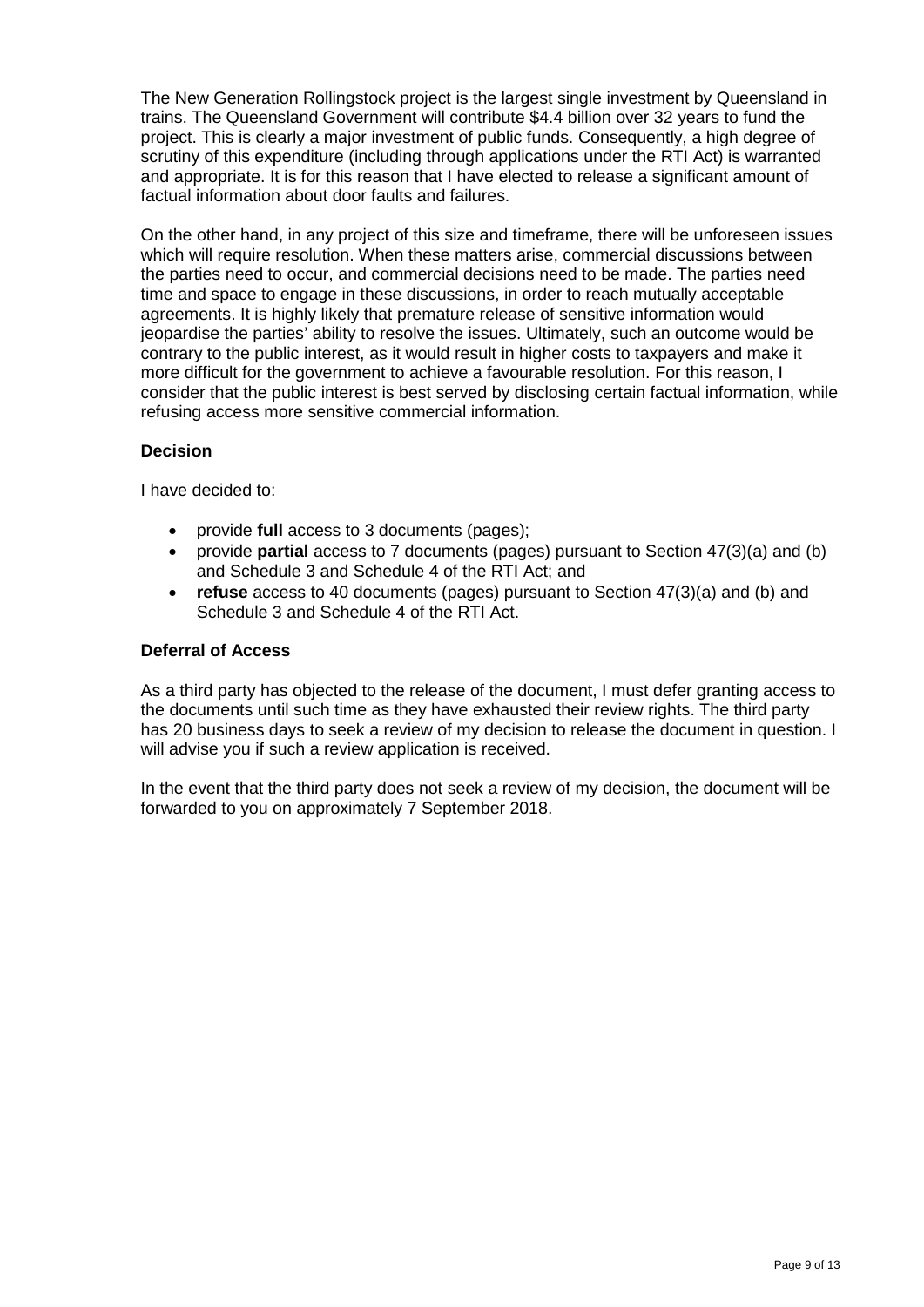The New Generation Rollingstock project is the largest single investment by Queensland in trains. The Queensland Government will contribute \$4.4 billion over 32 years to fund the project. This is clearly a major investment of public funds. Consequently, a high degree of scrutiny of this expenditure (including through applications under the RTI Act) is warranted and appropriate. It is for this reason that I have elected to release a significant amount of factual information about door faults and failures.

On the other hand, in any project of this size and timeframe, there will be unforeseen issues which will require resolution. When these matters arise, commercial discussions between the parties need to occur, and commercial decisions need to be made. The parties need time and space to engage in these discussions, in order to reach mutually acceptable agreements. It is highly likely that premature release of sensitive information would jeopardise the parties' ability to resolve the issues. Ultimately, such an outcome would be contrary to the public interest, as it would result in higher costs to taxpayers and make it more difficult for the government to achieve a favourable resolution. For this reason, I consider that the public interest is best served by disclosing certain factual information, while refusing access more sensitive commercial information.

# **Decision**

I have decided to:

- provide **full** access to 3 documents (pages);
- provide **partial** access to 7 documents (pages) pursuant to Section 47(3)(a) and (b) and Schedule 3 and Schedule 4 of the RTI Act; and
- **refuse** access to 40 documents (pages) pursuant to Section 47(3)(a) and (b) and Schedule 3 and Schedule 4 of the RTI Act.

# **Deferral of Access**

As a third party has objected to the release of the document, I must defer granting access to the documents until such time as they have exhausted their review rights. The third party has 20 business days to seek a review of my decision to release the document in question. I will advise you if such a review application is received.

In the event that the third party does not seek a review of my decision, the document will be forwarded to you on approximately 7 September 2018.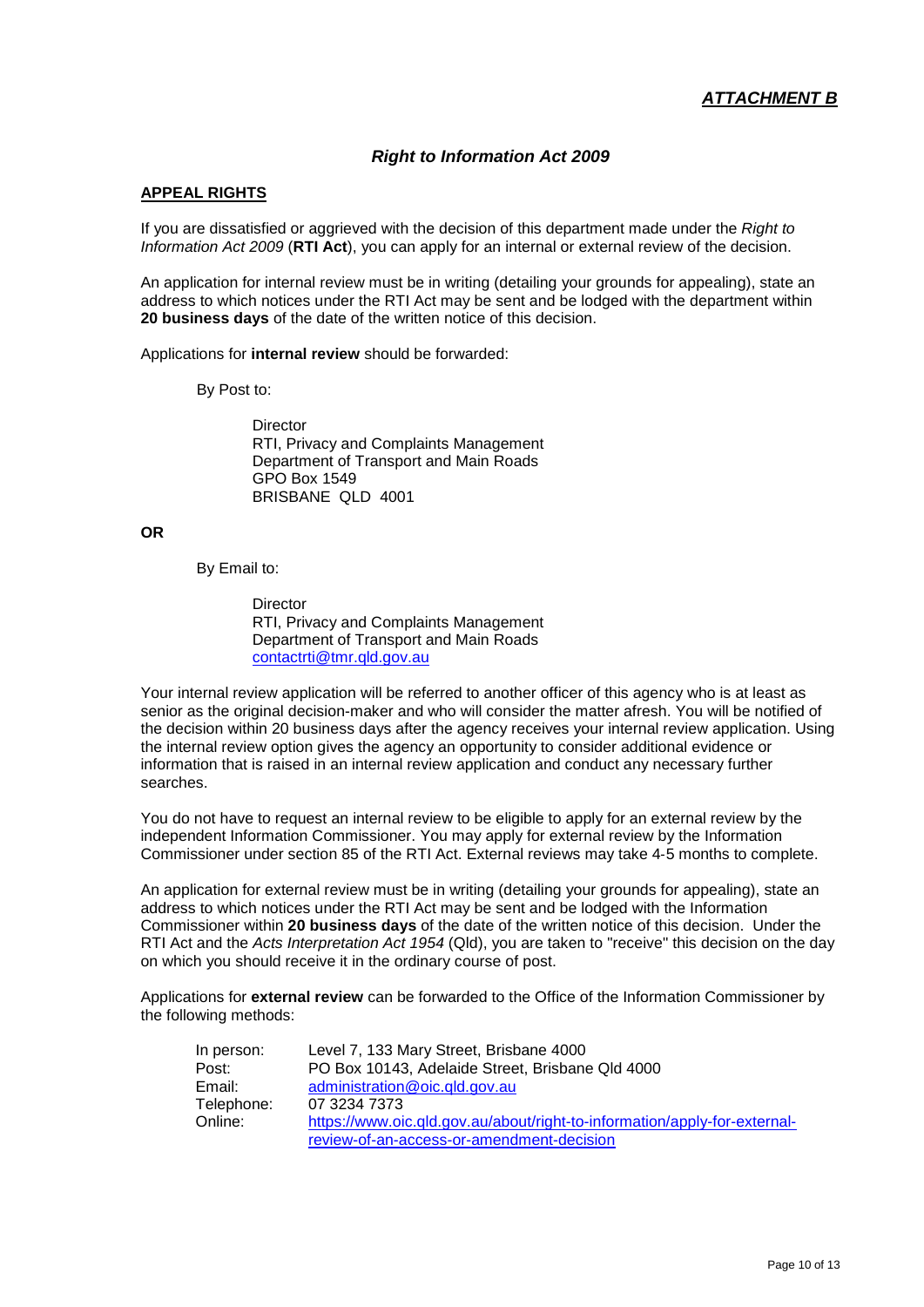## *Right to Information Act 2009*

#### **APPEAL RIGHTS**

If you are dissatisfied or aggrieved with the decision of this department made under the *Right to Information Act 2009* (**RTI Act**), you can apply for an internal or external review of the decision.

An application for internal review must be in writing (detailing your grounds for appealing), state an address to which notices under the RTI Act may be sent and be lodged with the department within **20 business days** of the date of the written notice of this decision.

Applications for **internal review** should be forwarded:

By Post to:

**Director** RTI, Privacy and Complaints Management Department of Transport and Main Roads GPO Box 1549 BRISBANE QLD 4001

#### **OR**

By Email to:

**Director** RTI, Privacy and Complaints Management Department of Transport and Main Roads [contactrti@tmr.qld.gov.au](mailto:contactrti@tmr.qld.gov.au)

Your internal review application will be referred to another officer of this agency who is at least as senior as the original decision-maker and who will consider the matter afresh. You will be notified of the decision within 20 business days after the agency receives your internal review application. Using the internal review option gives the agency an opportunity to consider additional evidence or information that is raised in an internal review application and conduct any necessary further searches.

You do not have to request an internal review to be eligible to apply for an external review by the independent Information Commissioner. You may apply for external review by the Information Commissioner under section 85 of the RTI Act. External reviews may take 4‐5 months to complete.

An application for external review must be in writing (detailing your grounds for appealing), state an address to which notices under the RTI Act may be sent and be lodged with the Information Commissioner within **20 business days** of the date of the written notice of this decision. Under the RTI Act and the *Acts Interpretation Act 1954* (Qld), you are taken to "receive" this decision on the day on which you should receive it in the ordinary course of post.

Applications for **external review** can be forwarded to the Office of the Information Commissioner by the following methods:

| In person: | Level 7, 133 Mary Street, Brisbane 4000                                   |
|------------|---------------------------------------------------------------------------|
| Post:      | PO Box 10143, Adelaide Street, Brisbane Qld 4000                          |
| Email:     | administration@oic.gld.gov.au                                             |
| Telephone: | 07 3234 7373                                                              |
| Online:    | https://www.oic.gld.gov.au/about/right-to-information/apply-for-external- |
|            | review-of-an-access-or-amendment-decision                                 |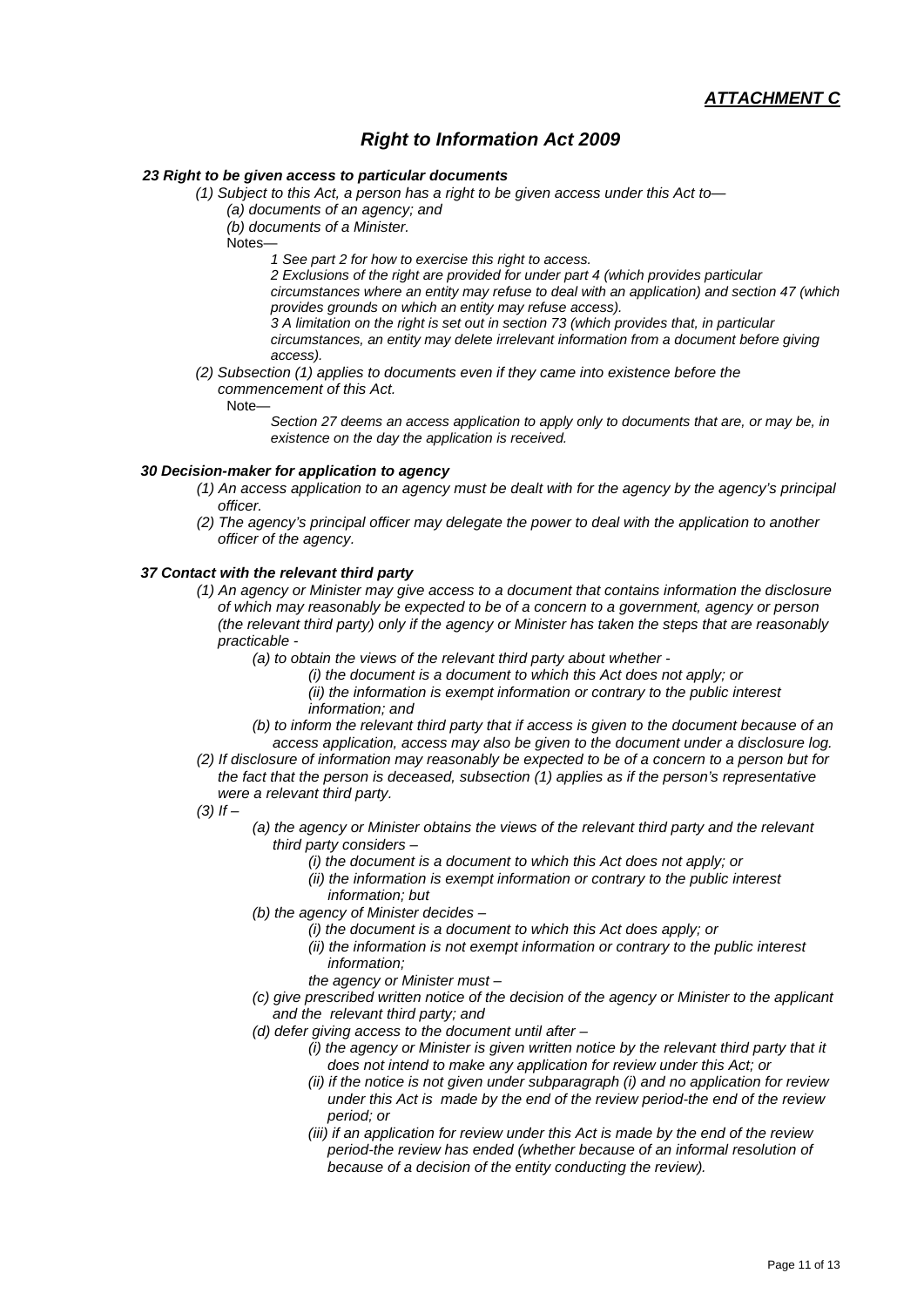# *Right to Information Act 2009*

#### *23 Right to be given access to particular documents*

*(1) Subject to this Act, a person has a right to be given access under this Act to—*

*(a) documents of an agency; and*

*(b) documents of a Minister.*

Notes—

*1 See part 2 for how to exercise this right to access.*

*2 Exclusions of the right are provided for under part 4 (which provides particular circumstances where an entity may refuse to deal with an application) and section 47 (which provides grounds on which an entity may refuse access).*

*3 A limitation on the right is set out in section 73 (which provides that, in particular circumstances, an entity may delete irrelevant information from a document before giving* 

*access).*

- *(2) Subsection (1) applies to documents even if they came into existence before the commencement of this Act.*
	- Note—

*Section 27 deems an access application to apply only to documents that are, or may be, in existence on the day the application is received.*

### *30 Decision-maker for application to agency*

- *(1) An access application to an agency must be dealt with for the agency by the agency's principal officer.*
- *(2) The agency's principal officer may delegate the power to deal with the application to another officer of the agency.*

#### *37 Contact with the relevant third party*

- *(1) An agency or Minister may give access to a document that contains information the disclosure of which may reasonably be expected to be of a concern to a government, agency or person (the relevant third party) only if the agency or Minister has taken the steps that are reasonably practicable -* 
	- *(a) to obtain the views of the relevant third party about whether* 
		- *(i) the document is a document to which this Act does not apply; or*
		- *(ii) the information is exempt information or contrary to the public interest information; and*
	- *(b) to inform the relevant third party that if access is given to the document because of an*
- *access application, access may also be given to the document under a disclosure log. (2) If disclosure of information may reasonably be expected to be of a concern to a person but for the fact that the person is deceased, subsection (1) applies as if the person's representative were a relevant third party.*
- *(3) If –*
	- *(a) the agency or Minister obtains the views of the relevant third party and the relevant third party considers –*
		- *(i) the document is a document to which this Act does not apply; or*
		- *(ii) the information is exempt information or contrary to the public interest information; but*
	- *(b) the agency of Minister decides –*
		- *(i) the document is a document to which this Act does apply; or*
		- *(ii) the information is not exempt information or contrary to the public interest information;*
		- *the agency or Minister must –*
	- *(c) give prescribed written notice of the decision of the agency or Minister to the applicant and the relevant third party; and*
	- *(d) defer giving access to the document until after –*
		- *(i) the agency or Minister is given written notice by the relevant third party that it does not intend to make any application for review under this Act; or*
		- *(ii) if the notice is not given under subparagraph (i) and no application for review under this Act is made by the end of the review period-the end of the review period; or*
		- *(iii) if an application for review under this Act is made by the end of the review period-the review has ended (whether because of an informal resolution of because of a decision of the entity conducting the review).*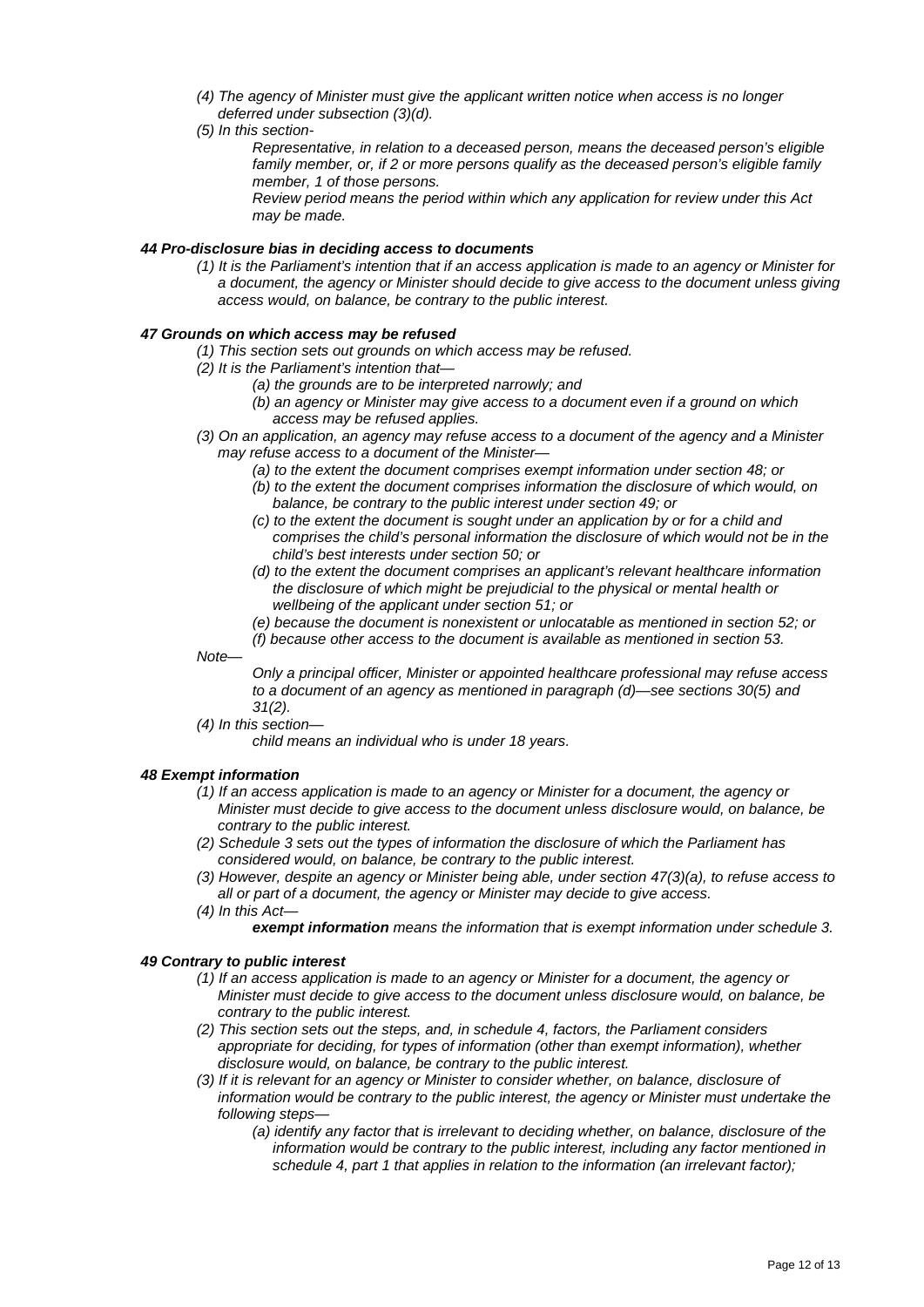- *(4) The agency of Minister must give the applicant written notice when access is no longer deferred under subsection (3)(d).*
- *(5) In this section-*

*Representative, in relation to a deceased person, means the deceased person's eligible*  family member, or, if 2 or more persons qualify as the deceased person's eligible family *member, 1 of those persons.*

*Review period means the period within which any application for review under this Act may be made.*

#### *44 Pro-disclosure bias in deciding access to documents*

*(1) It is the Parliament's intention that if an access application is made to an agency or Minister for a document, the agency or Minister should decide to give access to the document unless giving access would, on balance, be contrary to the public interest.*

#### *47 Grounds on which access may be refused*

- *(1) This section sets out grounds on which access may be refused.*
- *(2) It is the Parliament's intention that—*
	- *(a) the grounds are to be interpreted narrowly; and*
	- *(b) an agency or Minister may give access to a document even if a ground on which access may be refused applies.*
- *(3) On an application, an agency may refuse access to a document of the agency and a Minister may refuse access to a document of the Minister—*
	- *(a) to the extent the document comprises exempt information under section 48; or*
	- *(b) to the extent the document comprises information the disclosure of which would, on balance, be contrary to the public interest under section 49; or*
	- *(c) to the extent the document is sought under an application by or for a child and comprises the child's personal information the disclosure of which would not be in the child's best interests under section 50; or*
	- *(d) to the extent the document comprises an applicant's relevant healthcare information the disclosure of which might be prejudicial to the physical or mental health or wellbeing of the applicant under section 51; or*
	- *(e) because the document is nonexistent or unlocatable as mentioned in section 52; or*
	- *(f) because other access to the document is available as mentioned in section 53.*
- *Note—*

*Only a principal officer, Minister or appointed healthcare professional may refuse access to a document of an agency as mentioned in paragraph (d)—see sections 30(5) and 31(2).*

*(4) In this section—*

*child means an individual who is under 18 years.*

#### *48 Exempt information*

- *(1) If an access application is made to an agency or Minister for a document, the agency or Minister must decide to give access to the document unless disclosure would, on balance, be contrary to the public interest.*
- *(2) Schedule 3 sets out the types of information the disclosure of which the Parliament has considered would, on balance, be contrary to the public interest.*
- *(3) However, despite an agency or Minister being able, under section 47(3)(a), to refuse access to all or part of a document, the agency or Minister may decide to give access.*
- *(4) In this Act*
	- *exempt information means the information that is exempt information under schedule 3.*

#### *49 Contrary to public interest*

- *(1) If an access application is made to an agency or Minister for a document, the agency or Minister must decide to give access to the document unless disclosure would, on balance, be contrary to the public interest.*
- *(2) This section sets out the steps, and, in schedule 4, factors, the Parliament considers appropriate for deciding, for types of information (other than exempt information), whether disclosure would, on balance, be contrary to the public interest.*
- *(3) If it is relevant for an agency or Minister to consider whether, on balance, disclosure of information would be contrary to the public interest, the agency or Minister must undertake the following steps—*
	- *(a) identify any factor that is irrelevant to deciding whether, on balance, disclosure of the information would be contrary to the public interest, including any factor mentioned in schedule 4, part 1 that applies in relation to the information (an irrelevant factor);*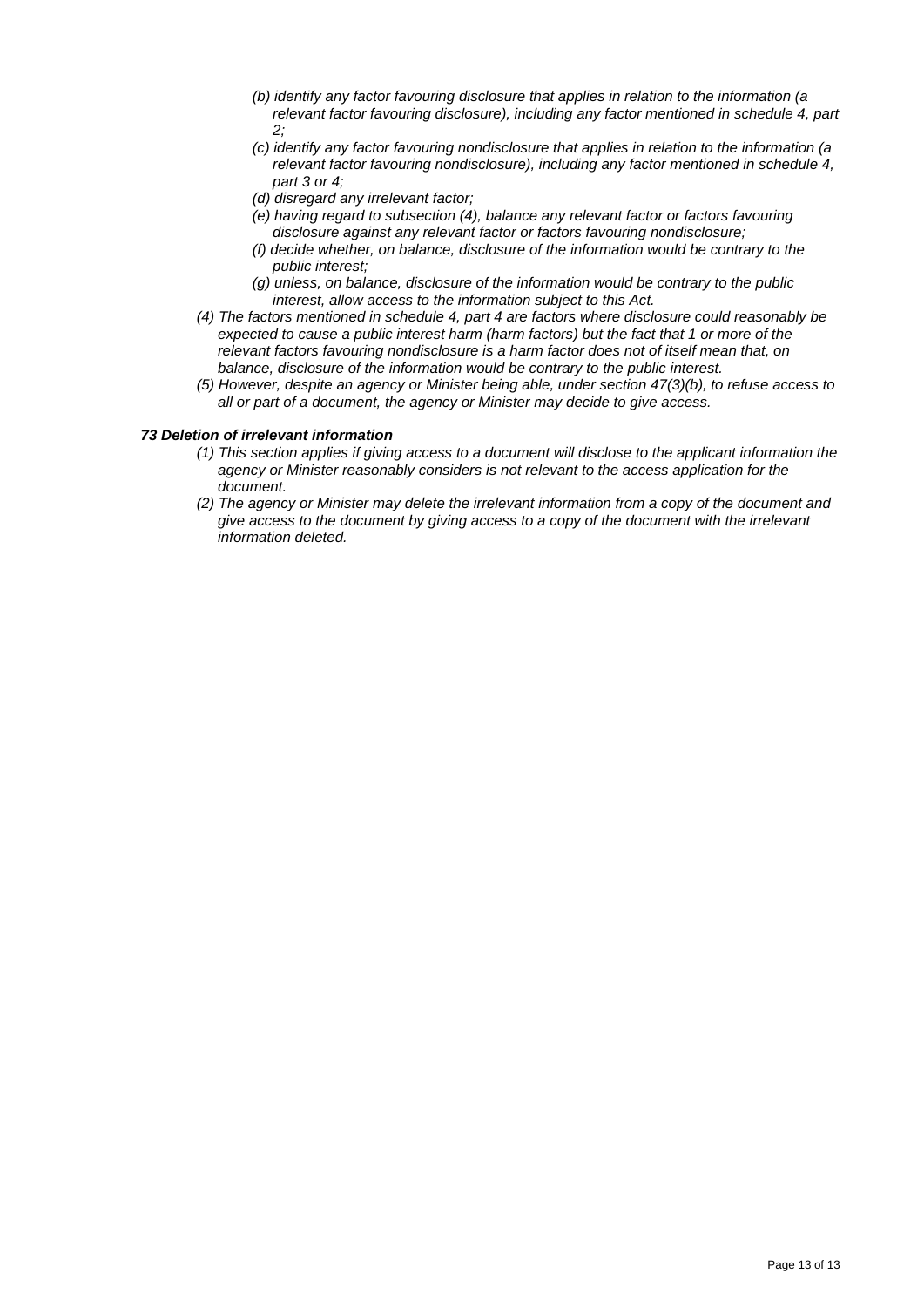- *(b) identify any factor favouring disclosure that applies in relation to the information (a relevant factor favouring disclosure), including any factor mentioned in schedule 4, part 2;*
- *(c) identify any factor favouring nondisclosure that applies in relation to the information (a relevant factor favouring nondisclosure), including any factor mentioned in schedule 4, part 3 or 4;*
- *(d) disregard any irrelevant factor;*
- *(e) having regard to subsection (4), balance any relevant factor or factors favouring disclosure against any relevant factor or factors favouring nondisclosure;*
- *(f) decide whether, on balance, disclosure of the information would be contrary to the public interest;*
- *(g) unless, on balance, disclosure of the information would be contrary to the public interest, allow access to the information subject to this Act.*
- *(4) The factors mentioned in schedule 4, part 4 are factors where disclosure could reasonably be expected to cause a public interest harm (harm factors) but the fact that 1 or more of the relevant factors favouring nondisclosure is a harm factor does not of itself mean that, on balance, disclosure of the information would be contrary to the public interest.*
- *(5) However, despite an agency or Minister being able, under section 47(3)(b), to refuse access to all or part of a document, the agency or Minister may decide to give access.*

#### *73 Deletion of irrelevant information*

- *(1) This section applies if giving access to a document will disclose to the applicant information the agency or Minister reasonably considers is not relevant to the access application for the document.*
- *(2) The agency or Minister may delete the irrelevant information from a copy of the document and give access to the document by giving access to a copy of the document with the irrelevant information deleted.*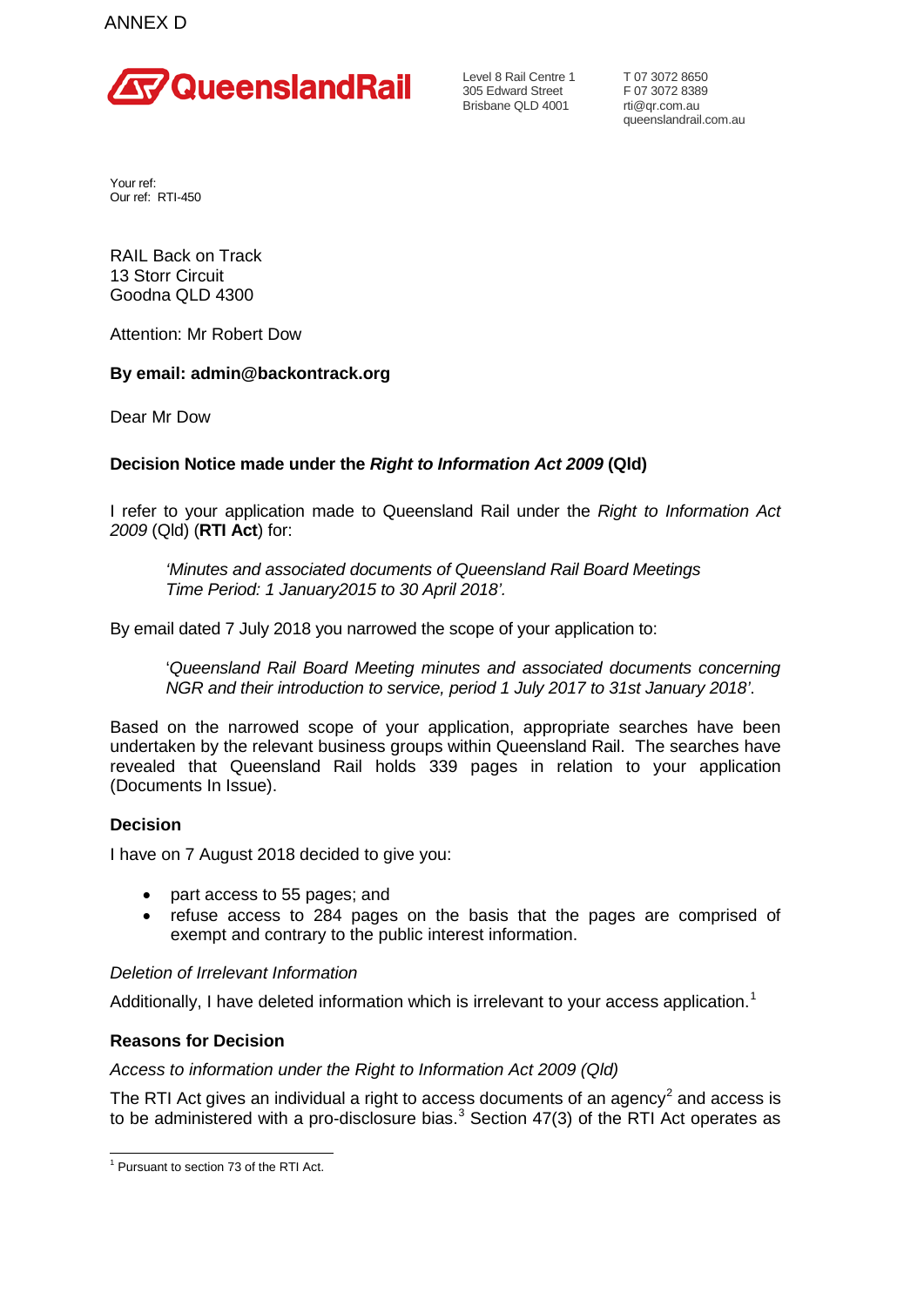

Level 8 Rail Centre 1 305 Edward Street Brisbane QLD 4001

T 07 3072 8650 F 07 3072 8389 rti@qr.com.au queenslandrail.com.au

Your ref: Our ref: RTI-450

RAIL Back on Track 13 Storr Circuit Goodna QLD 4300

Attention: Mr Robert Dow

# **By email: admin@backontrack.org**

Dear Mr Dow

# **Decision Notice made under the** *Right to Information Act 2009* **(Qld)**

I refer to your application made to Queensland Rail under the *Right to Information Act 2009* (Qld) (**RTI Act**) for:

*'Minutes and associated documents of Queensland Rail Board Meetings Time Period: 1 January2015 to 30 April 2018'.*

By email dated 7 July 2018 you narrowed the scope of your application to:

'*Queensland Rail Board Meeting minutes and associated documents concerning NGR and their introduction to service, period 1 July 2017 to 31st January 2018'*.

Based on the narrowed scope of your application, appropriate searches have been undertaken by the relevant business groups within Queensland Rail. The searches have revealed that Queensland Rail holds 339 pages in relation to your application (Documents In Issue).

## **Decision**

I have on 7 August 2018 decided to give you:

- part access to 55 pages; and
- refuse access to 284 pages on the basis that the pages are comprised of exempt and contrary to the public interest information.

## *Deletion of Irrelevant Information*

Additionally, I have deleted information which is irrelevant to your access application.<sup>[1](#page-36-0)</sup>

## **Reasons for Decision**

## *Access to information under the Right to Information Act 2009 (Qld)*

<span id="page-36-1"></span>The RTI Act gives an individual a right to access documents of an agency $^2$  $^2$  and access is to be administered with a pro-disclosure bias.<sup>[3](#page-36-2)</sup> Section 47(3) of the RTI Act operates as

<span id="page-36-2"></span><span id="page-36-0"></span> <sup>1</sup> Pursuant to section 73 of the RTI Act.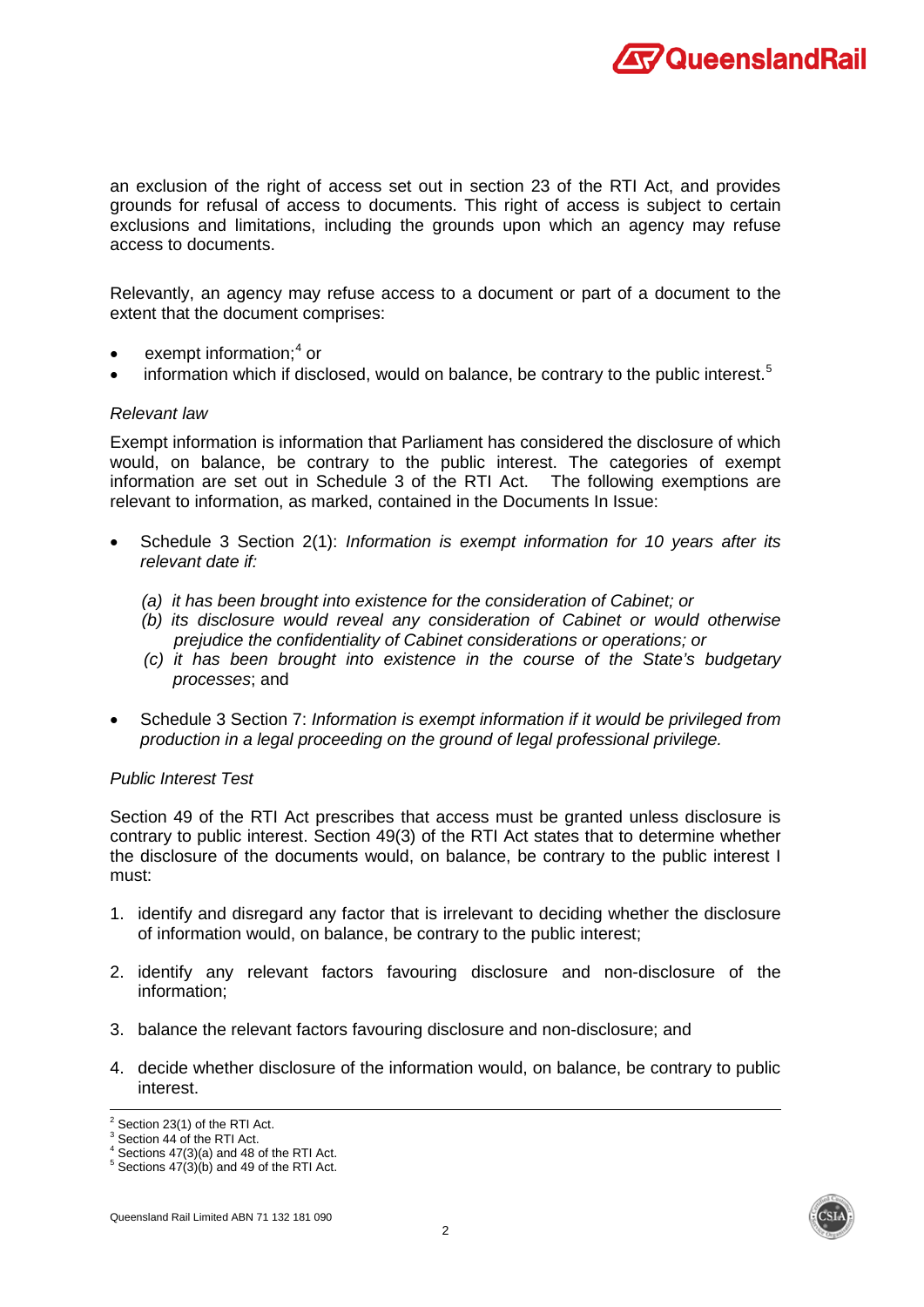

an exclusion of the right of access set out in section 23 of the RTI Act, and provides grounds for refusal of access to documents. This right of access is subject to certain exclusions and limitations, including the grounds upon which an agency may refuse access to documents.

Relevantly, an agency may refuse access to a document or part of a document to the extent that the document comprises:

- exempt information;<sup>[4](#page-37-0)</sup> or
- information which if disclosed, would on balance, be contrary to the public interest.<sup>[5](#page-37-1)</sup>

#### *Relevant law*

Exempt information is information that Parliament has considered the disclosure of which would, on balance, be contrary to the public interest. The categories of exempt information are set out in Schedule 3 of the RTI Act. The following exemptions are relevant to information, as marked, contained in the Documents In Issue:

- Schedule 3 Section 2(1): *Information is exempt information for 10 years after its relevant date if:*
	- *(a) it has been brought into existence for the consideration of Cabinet; or*
	- *(b) its disclosure would reveal any consideration of Cabinet or would otherwise prejudice the confidentiality of Cabinet considerations or operations; or*
	- *(c) it has been brought into existence in the course of the State's budgetary processes*; and
- Schedule 3 Section 7: *Information is exempt information if it would be privileged from production in a legal proceeding on the ground of legal professional privilege.*

## *Public Interest Test*

Section 49 of the RTI Act prescribes that access must be granted unless disclosure is contrary to public interest. Section 49(3) of the RTI Act states that to determine whether the disclosure of the documents would, on balance, be contrary to the public interest I must:

- 1. identify and disregard any factor that is irrelevant to deciding whether the disclosure of information would, on balance, be contrary to the public interest;
- 2. identify any relevant factors favouring disclosure and non-disclosure of the information;
- 3. balance the relevant factors favouring disclosure and non-disclosure; and
- 4. decide whether disclosure of the information would, on balance, be contrary to public interest.

 $2$  Section 23(1) of the RTI Act.

<sup>&</sup>lt;sup>3</sup> Section 44 of the RTI Act.

<span id="page-37-0"></span> $4$  Sections 47(3)(a) and 48 of the RTI Act.

<span id="page-37-1"></span> $5$  Sections  $47(3)(b)$  and 49 of the RTI Act.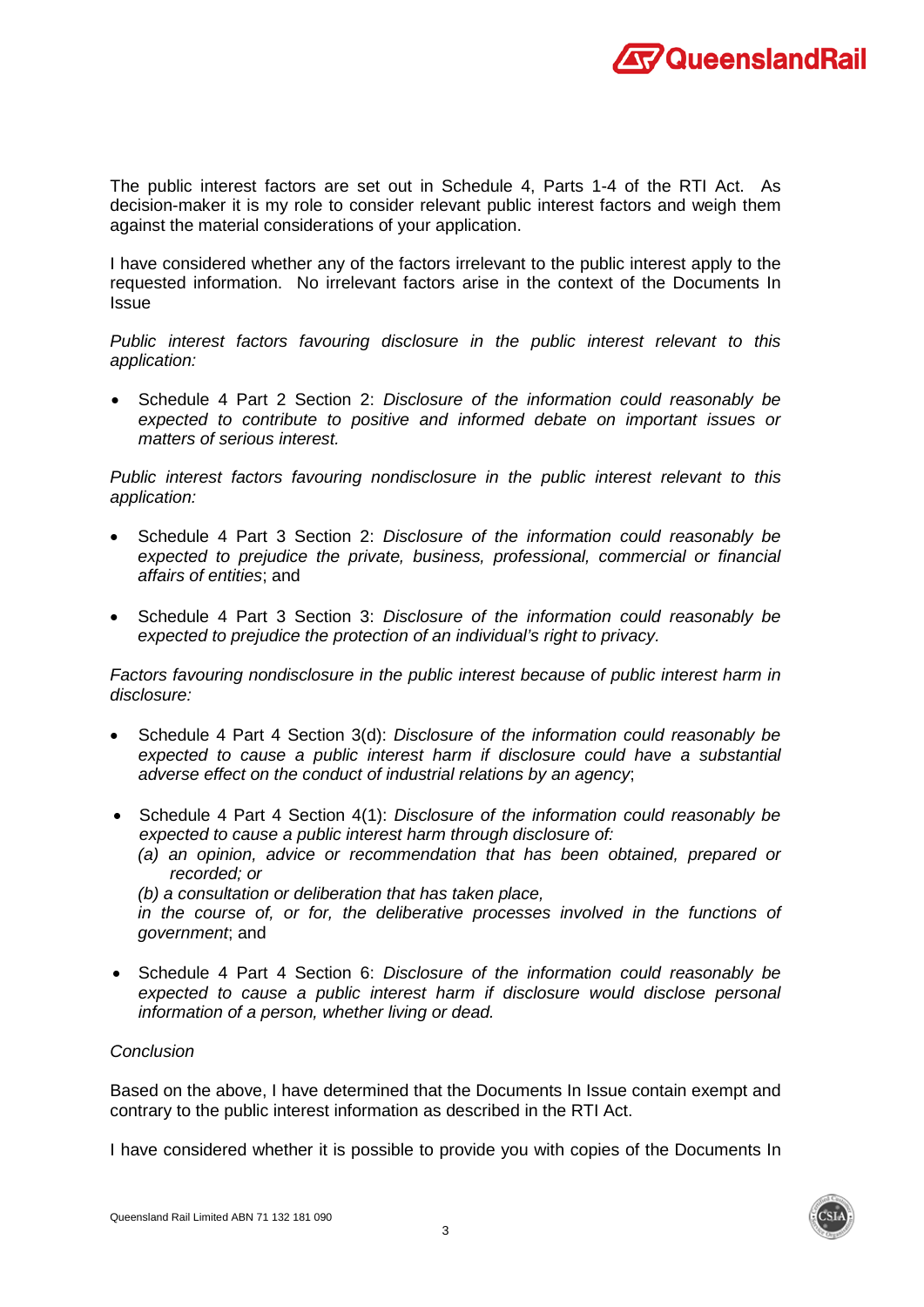

The public interest factors are set out in Schedule 4, Parts 1-4 of the RTI Act. As decision-maker it is my role to consider relevant public interest factors and weigh them against the material considerations of your application.

I have considered whether any of the factors irrelevant to the public interest apply to the requested information. No irrelevant factors arise in the context of the Documents In Issue

*Public interest factors favouring disclosure in the public interest relevant to this application:*

• Schedule 4 Part 2 Section 2: *Disclosure of the information could reasonably be expected to contribute to positive and informed debate on important issues or matters of serious interest.*

*Public interest factors favouring nondisclosure in the public interest relevant to this application:*

- Schedule 4 Part 3 Section 2: *Disclosure of the information could reasonably be expected to prejudice the private, business, professional, commercial or financial affairs of entities*; and
- Schedule 4 Part 3 Section 3: *Disclosure of the information could reasonably be expected to prejudice the protection of an individual's right to privacy.*

*Factors favouring nondisclosure in the public interest because of public interest harm in disclosure:*

- Schedule 4 Part 4 Section 3(d): *Disclosure of the information could reasonably be expected to cause a public interest harm if disclosure could have a substantial adverse effect on the conduct of industrial relations by an agency*;
- Schedule 4 Part 4 Section 4(1): *Disclosure of the information could reasonably be expected to cause a public interest harm through disclosure of:*
	- *(a) an opinion, advice or recommendation that has been obtained, prepared or recorded; or*

*(b) a consultation or deliberation that has taken place,* 

*in the course of, or for, the deliberative processes involved in the functions of government*; and

• Schedule 4 Part 4 Section 6: *Disclosure of the information could reasonably be expected to cause a public interest harm if disclosure would disclose personal information of a person, whether living or dead.*

## *Conclusion*

Based on the above, I have determined that the Documents In Issue contain exempt and contrary to the public interest information as described in the RTI Act.

I have considered whether it is possible to provide you with copies of the Documents In

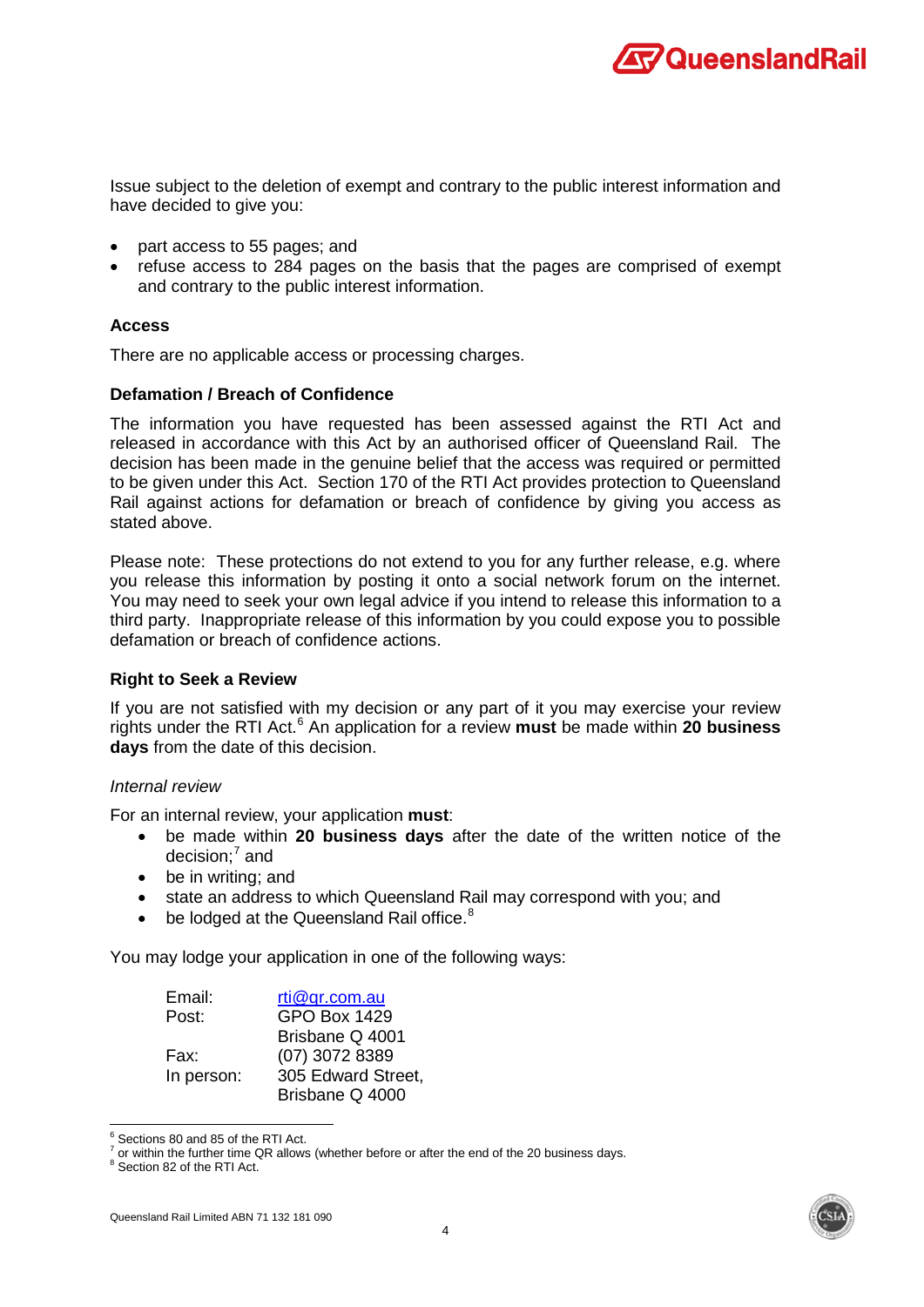

Issue subject to the deletion of exempt and contrary to the public interest information and have decided to give you:

- part access to 55 pages; and
- refuse access to 284 pages on the basis that the pages are comprised of exempt and contrary to the public interest information.

#### **Access**

There are no applicable access or processing charges.

#### **Defamation / Breach of Confidence**

The information you have requested has been assessed against the RTI Act and released in accordance with this Act by an authorised officer of Queensland Rail. The decision has been made in the genuine belief that the access was required or permitted to be given under this Act. Section 170 of the RTI Act provides protection to Queensland Rail against actions for defamation or breach of confidence by giving you access as stated above.

Please note: These protections do not extend to you for any further release, e.g. where you release this information by posting it onto a social network forum on the internet. You may need to seek your own legal advice if you intend to release this information to a third party. Inappropriate release of this information by you could expose you to possible defamation or breach of confidence actions.

### **Right to Seek a Review**

If you are not satisfied with my decision or any part of it you may exercise your review rights under the RTI Act. [6](#page-39-0) An application for a review **must** be made within **20 business days** from the date of this decision.

### *Internal review*

For an internal review, your application **must**:

- be made within **20 business days** after the date of the written notice of the decision; $<sup>7</sup>$  $<sup>7</sup>$  $<sup>7</sup>$  and</sup>
- be in writing; and
- state an address to which Queensland Rail may correspond with you; and
- $\bullet$  be lodged at the Queensland Rail office. $8$

You may lodge your application in one of the following ways:

| Email:     | rti@gr.com.au       |
|------------|---------------------|
| Post:      | <b>GPO Box 1429</b> |
|            | Brisbane Q 4001     |
| Fax:       | (07) 3072 8389      |
| In person: | 305 Edward Street,  |
|            | Brisbane Q 4000     |



<span id="page-39-0"></span> $^6$  Sections 80 and 85 of the RTI Act.<br> $^7$  or within the further time QR allows (whether before or after the end of the 20 business days.

<span id="page-39-2"></span><span id="page-39-1"></span><sup>8</sup> Section 82 of the RTI Act.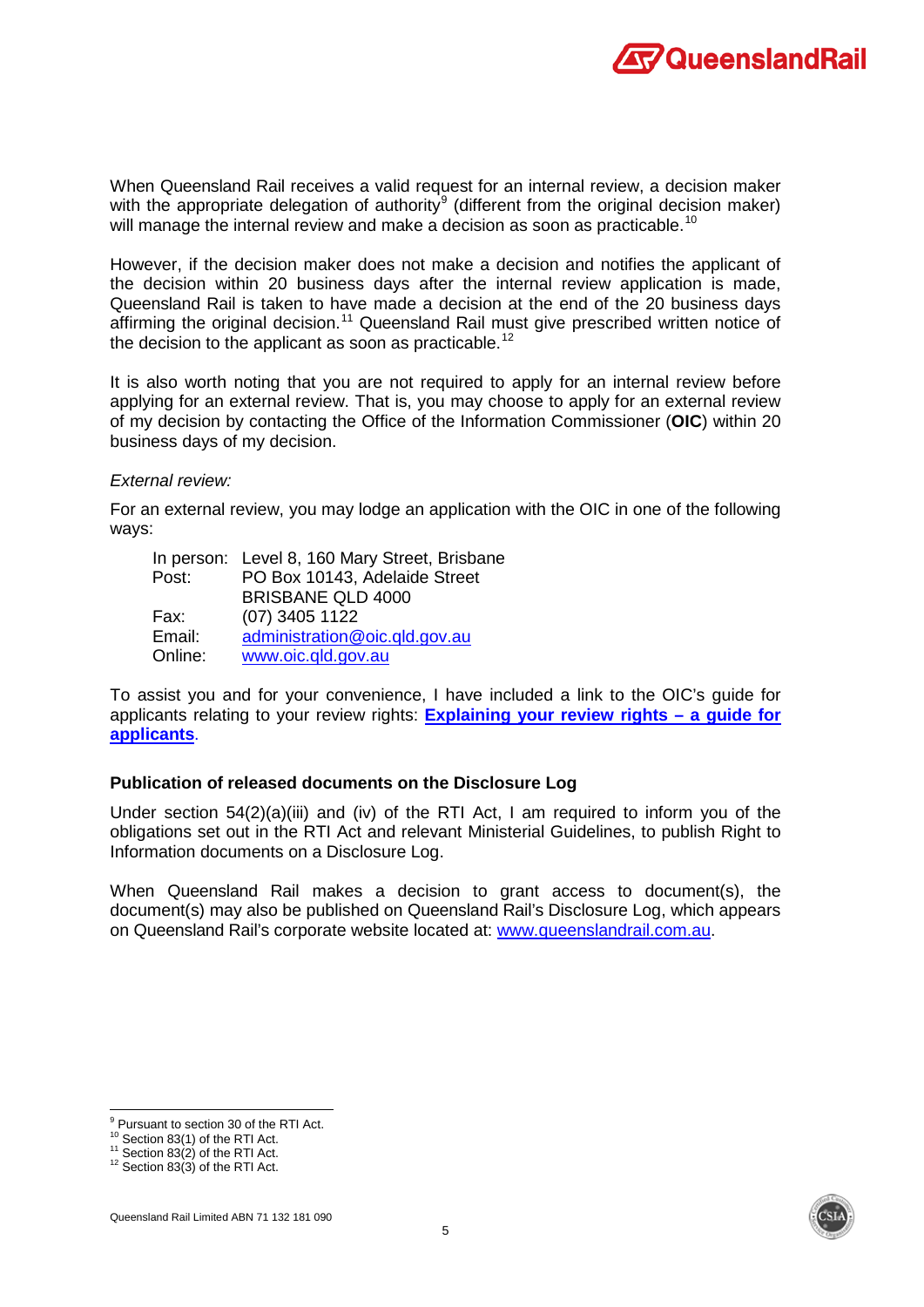

When Queensland Rail receives a valid request for an internal review, a decision maker with the appropriate delegation of authority<sup>[9](#page-40-0)</sup> (different from the original decision maker) will manage the internal review and make a decision as soon as practicable.<sup>[10](#page-40-1)</sup>

However, if the decision maker does not make a decision and notifies the applicant of the decision within 20 business days after the internal review application is made, Queensland Rail is taken to have made a decision at the end of the 20 business days affirming the original decision.<sup>[11](#page-40-2)</sup> Queensland Rail must give prescribed written notice of the decision to the applicant as soon as practicable.<sup>[12](#page-40-3)</sup>

It is also worth noting that you are not required to apply for an internal review before applying for an external review. That is, you may choose to apply for an external review of my decision by contacting the Office of the Information Commissioner (**OIC**) within 20 business days of my decision.

#### *External review:*

For an external review, you may lodge an application with the OIC in one of the following ways:

|         | In person: Level 8, 160 Mary Street, Brisbane |
|---------|-----------------------------------------------|
| Post:   | PO Box 10143, Adelaide Street                 |
|         | <b>BRISBANE QLD 4000</b>                      |
| Fax:    | $(07)$ 3405 1122                              |
| Email:  | administration@oic.gld.gov.au                 |
| Online: | www.oic.qld.gov.au                            |

To assist you and for your convenience, I have included a link to the OIC's guide for applicants relating to your review rights: **[Explaining your review rights –](https://www.oic.qld.gov.au/guidelines/for-community-members/information-sheets-access-and-amendment/explaining-your-review-rights-a-guide-for-applicants) a guide for [applicants](https://www.oic.qld.gov.au/guidelines/for-community-members/information-sheets-access-and-amendment/explaining-your-review-rights-a-guide-for-applicants)**.

### **Publication of released documents on the Disclosure Log**

Under section 54(2)(a)(iii) and (iv) of the RTI Act, I am required to inform you of the obligations set out in the RTI Act and relevant Ministerial Guidelines, to publish Right to Information documents on a Disclosure Log.

When Queensland Rail makes a decision to grant access to document(s), the document(s) may also be published on Queensland Rail's Disclosure Log, which appears on Queensland Rail's corporate website located at: [www.queenslandrail.com.au.](http://www.queenslandrail.com.au/)



<span id="page-40-0"></span> $9$  Pursuant to section 30 of the RTI Act.<br> $10$  Section 83(1) of the RTI Act.

<span id="page-40-2"></span><span id="page-40-1"></span>

<sup>&</sup>lt;sup>11</sup> Section 83(2) of the RTI Act. <sup>12</sup> Section 83(3) of the RTI Act.

<span id="page-40-3"></span>